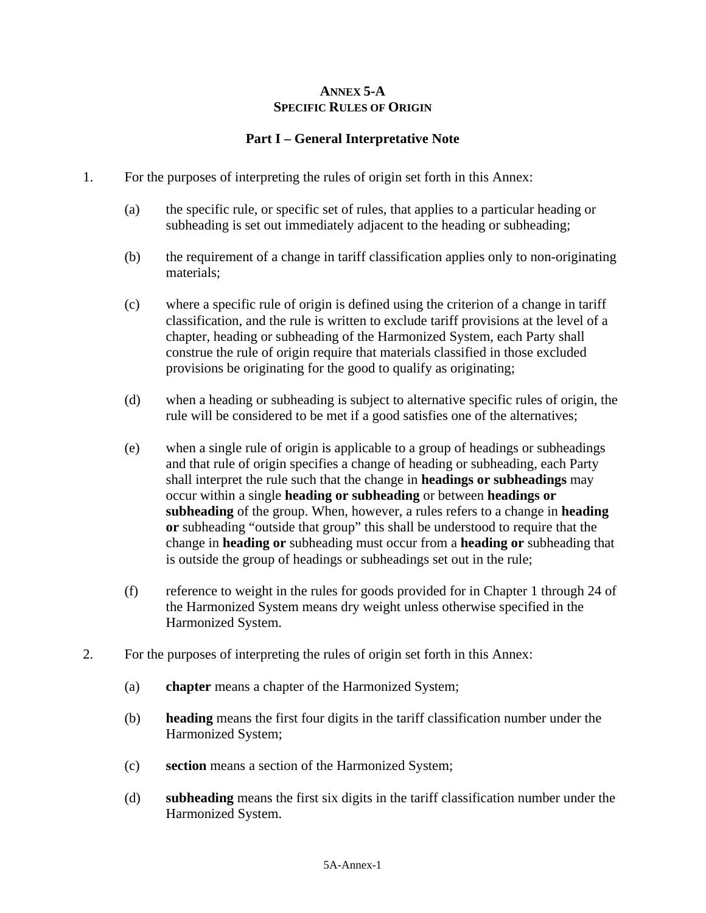# **ANNEX 5-A SPECIFIC RULES OF ORIGIN**

# **Part I – General Interpretative Note**

- 1. For the purposes of interpreting the rules of origin set forth in this Annex:
	- (a) the specific rule, or specific set of rules, that applies to a particular heading or subheading is set out immediately adjacent to the heading or subheading;
	- (b) the requirement of a change in tariff classification applies only to non-originating materials;
	- (c) where a specific rule of origin is defined using the criterion of a change in tariff classification, and the rule is written to exclude tariff provisions at the level of a chapter, heading or subheading of the Harmonized System, each Party shall construe the rule of origin require that materials classified in those excluded provisions be originating for the good to qualify as originating;
	- (d) when a heading or subheading is subject to alternative specific rules of origin, the rule will be considered to be met if a good satisfies one of the alternatives;
	- (e) when a single rule of origin is applicable to a group of headings or subheadings and that rule of origin specifies a change of heading or subheading, each Party shall interpret the rule such that the change in **headings or subheadings** may occur within a single **heading or subheading** or between **headings or subheading** of the group. When, however, a rules refers to a change in **heading or** subheading "outside that group" this shall be understood to require that the change in **heading or** subheading must occur from a **heading or** subheading that is outside the group of headings or subheadings set out in the rule;
	- (f) reference to weight in the rules for goods provided for in Chapter 1 through 24 of the Harmonized System means dry weight unless otherwise specified in the Harmonized System.
- 2. For the purposes of interpreting the rules of origin set forth in this Annex:
	- (a) **chapter** means a chapter of the Harmonized System;
	- (b) **heading** means the first four digits in the tariff classification number under the Harmonized System;
	- (c) **section** means a section of the Harmonized System;
	- (d) **subheading** means the first six digits in the tariff classification number under the Harmonized System.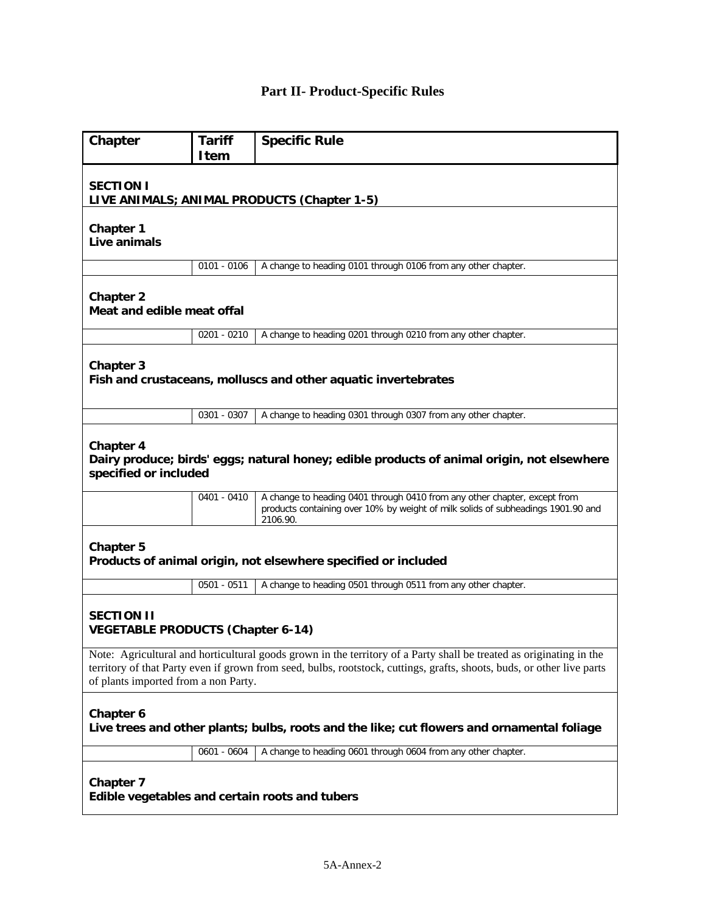# **Part II- Product-Specific Rules**

| Chapter                                                                                                                                                                                                                                                                               | <b>Tariff</b><br>Item                                          | <b>Specific Rule</b>                                                                                                                                                      |  |
|---------------------------------------------------------------------------------------------------------------------------------------------------------------------------------------------------------------------------------------------------------------------------------------|----------------------------------------------------------------|---------------------------------------------------------------------------------------------------------------------------------------------------------------------------|--|
| <b>SECTION I</b><br>LIVE ANIMALS; ANIMAL PRODUCTS (Chapter 1-5)                                                                                                                                                                                                                       |                                                                |                                                                                                                                                                           |  |
| <b>Chapter 1</b><br>Live animals                                                                                                                                                                                                                                                      |                                                                |                                                                                                                                                                           |  |
|                                                                                                                                                                                                                                                                                       | $0101 - 0106$                                                  | A change to heading 0101 through 0106 from any other chapter.                                                                                                             |  |
| <b>Chapter 2</b><br>Meat and edible meat offal                                                                                                                                                                                                                                        |                                                                |                                                                                                                                                                           |  |
|                                                                                                                                                                                                                                                                                       | $0201 - 0210$                                                  | A change to heading 0201 through 0210 from any other chapter.                                                                                                             |  |
| Chapter 3                                                                                                                                                                                                                                                                             |                                                                | Fish and crustaceans, molluscs and other aquatic invertebrates                                                                                                            |  |
|                                                                                                                                                                                                                                                                                       | 0301 - 0307                                                    | A change to heading 0301 through 0307 from any other chapter.                                                                                                             |  |
| <b>Chapter 4</b><br>Dairy produce; birds' eggs; natural honey; edible products of animal origin, not elsewhere<br>specified or included                                                                                                                                               |                                                                |                                                                                                                                                                           |  |
|                                                                                                                                                                                                                                                                                       | $0401 - 0410$                                                  | A change to heading 0401 through 0410 from any other chapter, except from<br>products containing over 10% by weight of milk solids of subheadings 1901.90 and<br>2106.90. |  |
| <b>Chapter 5</b>                                                                                                                                                                                                                                                                      | Products of animal origin, not elsewhere specified or included |                                                                                                                                                                           |  |
|                                                                                                                                                                                                                                                                                       | $0501 - 0511$                                                  | A change to heading 0501 through 0511 from any other chapter.                                                                                                             |  |
| <b>SECTION II</b><br><b>VEGETABLE PRODUCTS (Chapter 6-14)</b>                                                                                                                                                                                                                         |                                                                |                                                                                                                                                                           |  |
| Note: Agricultural and horticultural goods grown in the territory of a Party shall be treated as originating in the<br>territory of that Party even if grown from seed, bulbs, rootstock, cuttings, grafts, shoots, buds, or other live parts<br>of plants imported from a non Party. |                                                                |                                                                                                                                                                           |  |
| <b>Chapter 6</b><br>Live trees and other plants; bulbs, roots and the like; cut flowers and ornamental foliage                                                                                                                                                                        |                                                                |                                                                                                                                                                           |  |
|                                                                                                                                                                                                                                                                                       | 0601 - 0604                                                    | A change to heading 0601 through 0604 from any other chapter.                                                                                                             |  |
| <b>Chapter 7</b><br>Edible vegetables and certain roots and tubers                                                                                                                                                                                                                    |                                                                |                                                                                                                                                                           |  |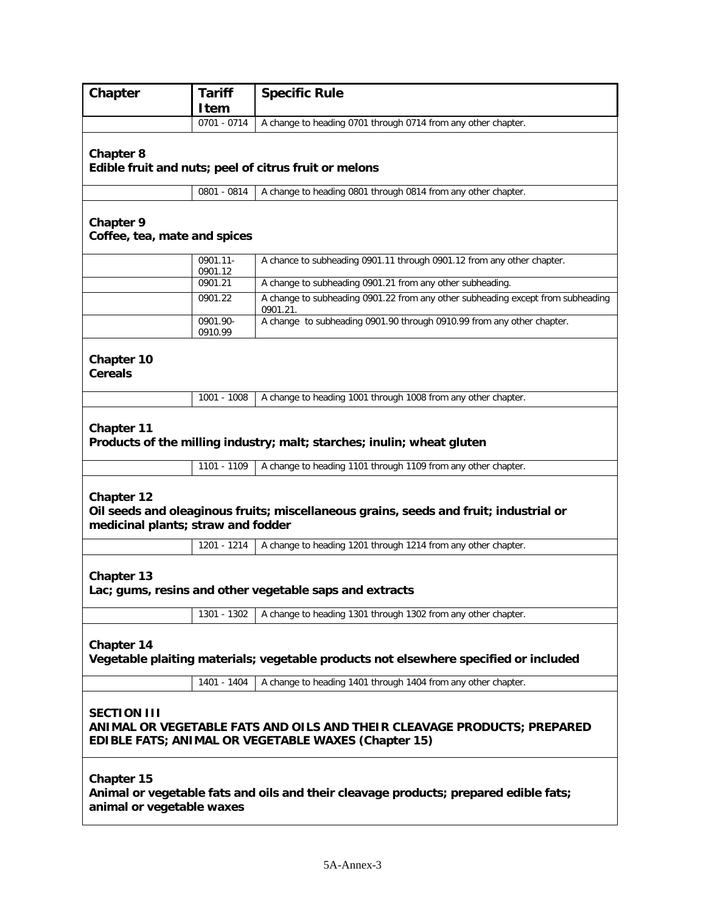| Chapter                                                                                                                                                     | <b>Tariff</b><br><b>Item</b>                                                                                                | <b>Specific Rule</b>                                                                        |  |
|-------------------------------------------------------------------------------------------------------------------------------------------------------------|-----------------------------------------------------------------------------------------------------------------------------|---------------------------------------------------------------------------------------------|--|
|                                                                                                                                                             | 0701 - 0714                                                                                                                 | A change to heading 0701 through 0714 from any other chapter.                               |  |
| <b>Chapter 8</b>                                                                                                                                            | Edible fruit and nuts; peel of citrus fruit or melons                                                                       |                                                                                             |  |
|                                                                                                                                                             | 0801 - 0814                                                                                                                 | A change to heading 0801 through 0814 from any other chapter.                               |  |
| <b>Chapter 9</b><br>Coffee, tea, mate and spices                                                                                                            |                                                                                                                             |                                                                                             |  |
|                                                                                                                                                             | 0901.11-<br>0901.12                                                                                                         | A chance to subheading 0901.11 through 0901.12 from any other chapter.                      |  |
|                                                                                                                                                             | 0901.21                                                                                                                     | A change to subheading 0901.21 from any other subheading.                                   |  |
|                                                                                                                                                             | 0901.22                                                                                                                     | A change to subheading 0901.22 from any other subheading except from subheading<br>0901.21. |  |
|                                                                                                                                                             | 0901.90-<br>0910.99                                                                                                         | A change to subheading 0901.90 through 0910.99 from any other chapter.                      |  |
| Chapter 10<br><b>Cereals</b>                                                                                                                                |                                                                                                                             |                                                                                             |  |
|                                                                                                                                                             | 1001 - 1008                                                                                                                 | A change to heading 1001 through 1008 from any other chapter.                               |  |
| Chapter 11                                                                                                                                                  | Products of the milling industry; malt; starches; inulin; wheat gluten                                                      |                                                                                             |  |
|                                                                                                                                                             | 1101 - 1109                                                                                                                 | A change to heading 1101 through 1109 from any other chapter.                               |  |
| <b>Chapter 12</b>                                                                                                                                           | Oil seeds and oleaginous fruits; miscellaneous grains, seeds and fruit; industrial or<br>medicinal plants; straw and fodder |                                                                                             |  |
|                                                                                                                                                             | 1201 - 1214                                                                                                                 | A change to heading 1201 through 1214 from any other chapter.                               |  |
| Chapter 13<br>Lac; gums, resins and other vegetable saps and extracts                                                                                       |                                                                                                                             |                                                                                             |  |
|                                                                                                                                                             | 1301 - 1302                                                                                                                 | A change to heading 1301 through 1302 from any other chapter.                               |  |
| Chapter 14<br>Vegetable plaiting materials; vegetable products not elsewhere specified or included                                                          |                                                                                                                             |                                                                                             |  |
|                                                                                                                                                             | 1401 - 1404                                                                                                                 | A change to heading 1401 through 1404 from any other chapter.                               |  |
| <b>SECTION III</b><br>ANIMAL OR VEGETABLE FATS AND OILS AND THEIR CLEAVAGE PRODUCTS; PREPARED<br><b>EDIBLE FATS; ANIMAL OR VEGETABLE WAXES (Chapter 15)</b> |                                                                                                                             |                                                                                             |  |
| Chapter 15<br>Animal or vegetable fats and oils and their cleavage products; prepared edible fats;<br>animal or vegetable waxes                             |                                                                                                                             |                                                                                             |  |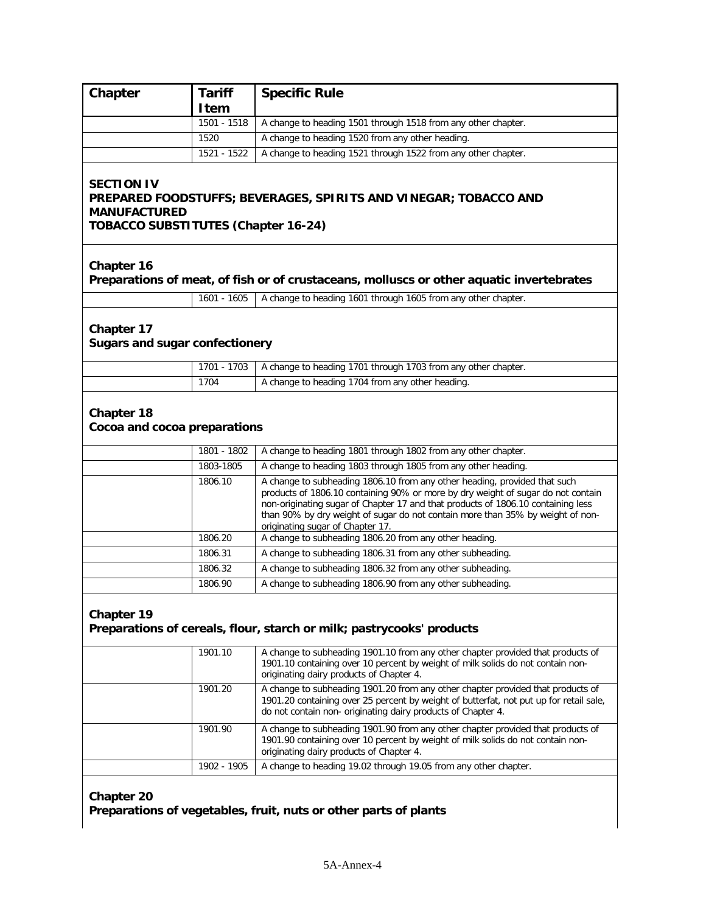| Chapter                                                                                                                                                    | <b>Tariff</b> | <b>Specific Rule</b>                                                                                                                                                                                                                                                                                                                                                    |  |
|------------------------------------------------------------------------------------------------------------------------------------------------------------|---------------|-------------------------------------------------------------------------------------------------------------------------------------------------------------------------------------------------------------------------------------------------------------------------------------------------------------------------------------------------------------------------|--|
|                                                                                                                                                            | <b>Item</b>   |                                                                                                                                                                                                                                                                                                                                                                         |  |
|                                                                                                                                                            | 1501 - 1518   | A change to heading 1501 through 1518 from any other chapter.                                                                                                                                                                                                                                                                                                           |  |
|                                                                                                                                                            | 1520          | A change to heading 1520 from any other heading.                                                                                                                                                                                                                                                                                                                        |  |
|                                                                                                                                                            | 1521 - 1522   | A change to heading 1521 through 1522 from any other chapter.                                                                                                                                                                                                                                                                                                           |  |
| <b>SECTION IV</b><br>PREPARED FOODSTUFFS; BEVERAGES, SPIRITS AND VINEGAR; TOBACCO AND<br><b>MANUFACTURED</b><br><b>TOBACCO SUBSTITUTES (Chapter 16-24)</b> |               |                                                                                                                                                                                                                                                                                                                                                                         |  |
| Chapter 16                                                                                                                                                 |               | Preparations of meat, of fish or of crustaceans, molluscs or other aquatic invertebrates                                                                                                                                                                                                                                                                                |  |
|                                                                                                                                                            | 1601 - 1605   | A change to heading 1601 through 1605 from any other chapter.                                                                                                                                                                                                                                                                                                           |  |
| Chapter 17<br><b>Sugars and sugar confectionery</b>                                                                                                        |               |                                                                                                                                                                                                                                                                                                                                                                         |  |
|                                                                                                                                                            | 1701 - 1703   | A change to heading 1701 through 1703 from any other chapter.                                                                                                                                                                                                                                                                                                           |  |
|                                                                                                                                                            | 1704          | A change to heading 1704 from any other heading.                                                                                                                                                                                                                                                                                                                        |  |
| Chapter 18<br>Cocoa and cocoa preparations                                                                                                                 |               |                                                                                                                                                                                                                                                                                                                                                                         |  |
|                                                                                                                                                            | 1801 - 1802   | A change to heading 1801 through 1802 from any other chapter.                                                                                                                                                                                                                                                                                                           |  |
|                                                                                                                                                            | 1803-1805     | A change to heading 1803 through 1805 from any other heading.                                                                                                                                                                                                                                                                                                           |  |
|                                                                                                                                                            | 1806.10       | A change to subheading 1806.10 from any other heading, provided that such<br>products of 1806.10 containing 90% or more by dry weight of sugar do not contain<br>non-originating sugar of Chapter 17 and that products of 1806.10 containing less<br>than 90% by dry weight of sugar do not contain more than 35% by weight of non-<br>originating sugar of Chapter 17. |  |
|                                                                                                                                                            | 1806.20       | A change to subheading 1806.20 from any other heading.                                                                                                                                                                                                                                                                                                                  |  |
|                                                                                                                                                            | 1806.31       | A change to subheading 1806.31 from any other subheading.                                                                                                                                                                                                                                                                                                               |  |
|                                                                                                                                                            | 1806.32       | A change to subheading 1806.32 from any other subheading.                                                                                                                                                                                                                                                                                                               |  |
|                                                                                                                                                            | 1806.90       | A change to subheading 1806.90 from any other subheading.                                                                                                                                                                                                                                                                                                               |  |
| Chapter 19<br>Preparations of cereals, flour, starch or milk; pastrycooks' products                                                                        |               |                                                                                                                                                                                                                                                                                                                                                                         |  |
|                                                                                                                                                            | 1901.10       | A change to subheading 1901.10 from any other chapter provided that products of<br>1901.10 containing over 10 percent by weight of milk solids do not contain non-<br>originating dairy products of Chapter 4.                                                                                                                                                          |  |
|                                                                                                                                                            | 1901.20       | A change to subheading 1901.20 from any other chapter provided that products of<br>1901.20 containing over 25 percent by weight of butterfat, not put up for retail sale,<br>do not contain non-originating dairy products of Chapter 4.                                                                                                                                |  |
|                                                                                                                                                            | 1901.90       | A change to subheading 1901.90 from any other chapter provided that products of<br>1901.90 containing over 10 percent by weight of milk solids do not contain non-<br>originating dairy products of Chapter 4.                                                                                                                                                          |  |
|                                                                                                                                                            | 1902 - 1905   | A change to heading 19.02 through 19.05 from any other chapter.                                                                                                                                                                                                                                                                                                         |  |
| <b>Chapter 20</b>                                                                                                                                          |               |                                                                                                                                                                                                                                                                                                                                                                         |  |

**Preparations of vegetables, fruit, nuts or other parts of plants**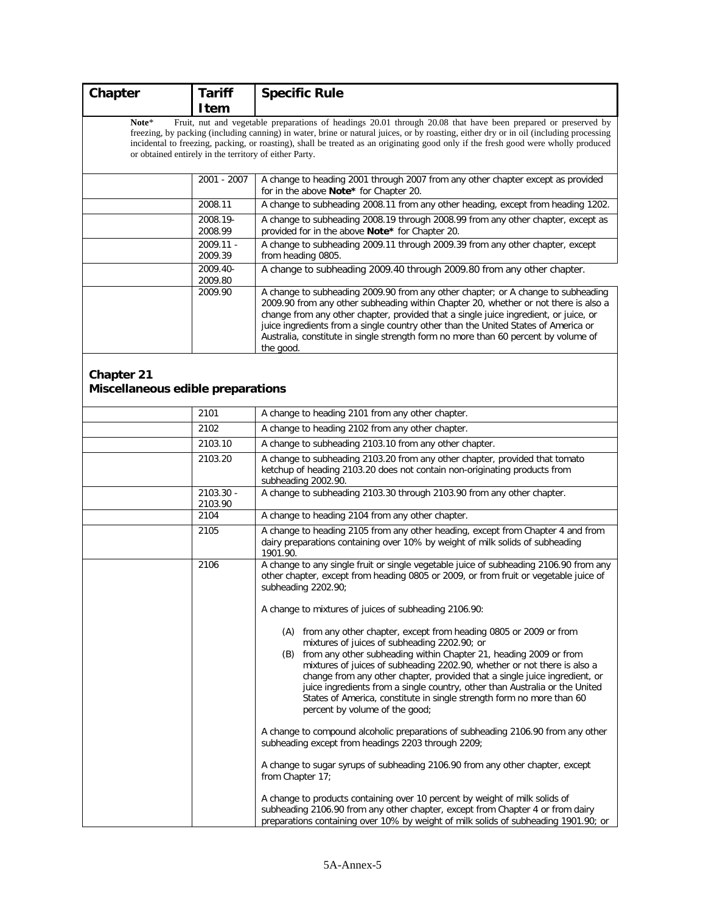| Chapter                                         | <b>Tariff</b>                                          | <b>Specific Rule</b>                                                                                                                                                                                                                                                                                                                                                                                                                                                                                                                              |
|-------------------------------------------------|--------------------------------------------------------|---------------------------------------------------------------------------------------------------------------------------------------------------------------------------------------------------------------------------------------------------------------------------------------------------------------------------------------------------------------------------------------------------------------------------------------------------------------------------------------------------------------------------------------------------|
|                                                 | <b>Item</b>                                            |                                                                                                                                                                                                                                                                                                                                                                                                                                                                                                                                                   |
| Note*                                           | or obtained entirely in the territory of either Party. | Fruit, nut and vegetable preparations of headings 20.01 through 20.08 that have been prepared or preserved by<br>freezing, by packing (including canning) in water, brine or natural juices, or by roasting, either dry or in oil (including processing<br>incidental to freezing, packing, or roasting), shall be treated as an originating good only if the fresh good were wholly produced                                                                                                                                                     |
|                                                 | 2001 - 2007                                            | A change to heading 2001 through 2007 from any other chapter except as provided<br>for in the above Note* for Chapter 20.                                                                                                                                                                                                                                                                                                                                                                                                                         |
|                                                 | 2008.11                                                | A change to subheading 2008.11 from any other heading, except from heading 1202.                                                                                                                                                                                                                                                                                                                                                                                                                                                                  |
|                                                 | 2008.19-<br>2008.99                                    | A change to subheading 2008.19 through 2008.99 from any other chapter, except as<br>provided for in the above Note* for Chapter 20.                                                                                                                                                                                                                                                                                                                                                                                                               |
|                                                 | 2009.11 -<br>2009.39                                   | A change to subheading 2009.11 through 2009.39 from any other chapter, except<br>from heading 0805.                                                                                                                                                                                                                                                                                                                                                                                                                                               |
|                                                 | 2009.40-<br>2009.80                                    | A change to subheading 2009.40 through 2009.80 from any other chapter.                                                                                                                                                                                                                                                                                                                                                                                                                                                                            |
|                                                 | 2009.90                                                | A change to subheading 2009.90 from any other chapter; or A change to subheading<br>2009.90 from any other subheading within Chapter 20, whether or not there is also a<br>change from any other chapter, provided that a single juice ingredient, or juice, or<br>juice ingredients from a single country other than the United States of America or<br>Australia, constitute in single strength form no more than 60 percent by volume of<br>the good.                                                                                          |
| Chapter 21<br>Miscellaneous edible preparations |                                                        |                                                                                                                                                                                                                                                                                                                                                                                                                                                                                                                                                   |
|                                                 | 2101                                                   | A change to heading 2101 from any other chapter.                                                                                                                                                                                                                                                                                                                                                                                                                                                                                                  |
|                                                 | 2102                                                   | A change to heading 2102 from any other chapter.                                                                                                                                                                                                                                                                                                                                                                                                                                                                                                  |
|                                                 | 2103.10                                                | A change to subheading 2103.10 from any other chapter.                                                                                                                                                                                                                                                                                                                                                                                                                                                                                            |
|                                                 | 2103.20                                                | A change to subheading 2103.20 from any other chapter, provided that tomato<br>ketchup of heading 2103.20 does not contain non-originating products from<br>subheading 2002.90.                                                                                                                                                                                                                                                                                                                                                                   |
|                                                 | 2103.30 -<br>2103.90                                   | A change to subheading 2103.30 through 2103.90 from any other chapter.                                                                                                                                                                                                                                                                                                                                                                                                                                                                            |
|                                                 | 2104                                                   | A change to heading 2104 from any other chapter.                                                                                                                                                                                                                                                                                                                                                                                                                                                                                                  |
|                                                 | 2105                                                   | A change to heading 2105 from any other heading, except from Chapter 4 and from<br>dairy preparations containing over 10% by weight of milk solids of subheading<br>1901.90.                                                                                                                                                                                                                                                                                                                                                                      |
|                                                 | 2106                                                   | A change to any single fruit or single vegetable juice of subheading 2106.90 from any<br>other chapter, except from heading 0805 or 2009, or from fruit or vegetable juice of<br>subheading 2202.90;                                                                                                                                                                                                                                                                                                                                              |
|                                                 |                                                        | A change to mixtures of juices of subheading 2106.90:                                                                                                                                                                                                                                                                                                                                                                                                                                                                                             |
|                                                 |                                                        | (A) from any other chapter, except from heading 0805 or 2009 or from<br>mixtures of juices of subheading 2202.90; or<br>(B) from any other subheading within Chapter 21, heading 2009 or from<br>mixtures of juices of subheading 2202.90, whether or not there is also a<br>change from any other chapter, provided that a single juice ingredient, or<br>juice ingredients from a single country, other than Australia or the United<br>States of America, constitute in single strength form no more than 60<br>percent by volume of the good; |
|                                                 |                                                        | A change to compound alcoholic preparations of subheading 2106.90 from any other<br>subheading except from headings 2203 through 2209;                                                                                                                                                                                                                                                                                                                                                                                                            |
|                                                 |                                                        | A change to sugar syrups of subheading 2106.90 from any other chapter, except<br>from Chapter 17;                                                                                                                                                                                                                                                                                                                                                                                                                                                 |
|                                                 |                                                        | A change to products containing over 10 percent by weight of milk solids of<br>subheading 2106.90 from any other chapter, except from Chapter 4 or from dairy<br>preparations containing over 10% by weight of milk solids of subheading 1901.90; or                                                                                                                                                                                                                                                                                              |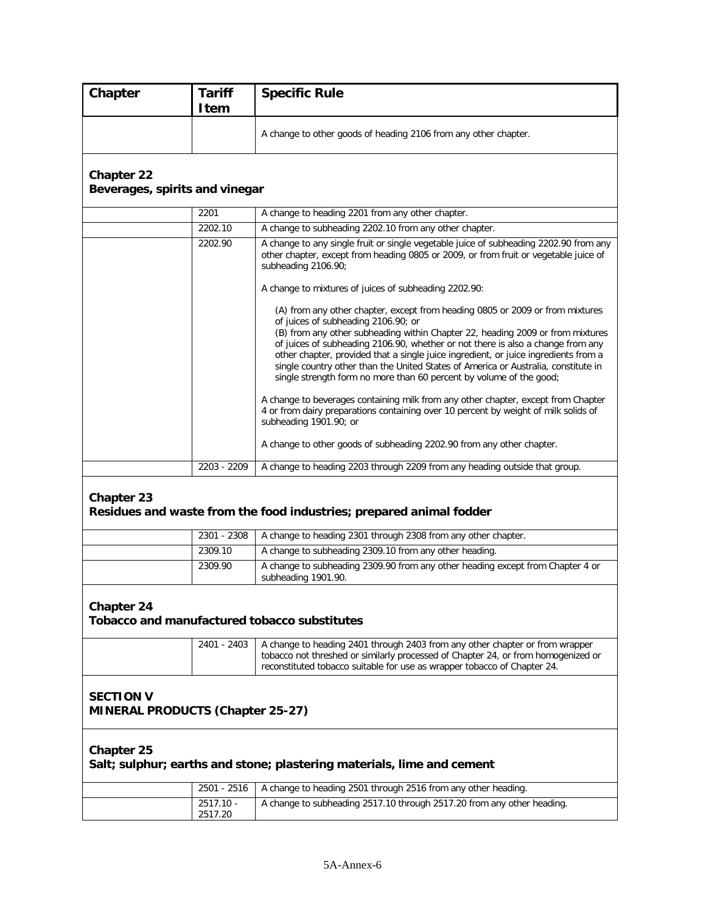| Chapter                                                     | <b>Tariff</b><br><b>Item</b> | <b>Specific Rule</b>                                                                                                                                                                                                                                                                                                                                                                                                  |
|-------------------------------------------------------------|------------------------------|-----------------------------------------------------------------------------------------------------------------------------------------------------------------------------------------------------------------------------------------------------------------------------------------------------------------------------------------------------------------------------------------------------------------------|
|                                                             |                              | A change to other goods of heading 2106 from any other chapter.                                                                                                                                                                                                                                                                                                                                                       |
| <b>Chapter 22</b><br>Beverages, spirits and vinegar         |                              |                                                                                                                                                                                                                                                                                                                                                                                                                       |
|                                                             | 2201                         | A change to heading 2201 from any other chapter.                                                                                                                                                                                                                                                                                                                                                                      |
|                                                             | 2202.10                      | A change to subheading 2202.10 from any other chapter.                                                                                                                                                                                                                                                                                                                                                                |
|                                                             | 2202.90                      | A change to any single fruit or single vegetable juice of subheading 2202.90 from any<br>other chapter, except from heading 0805 or 2009, or from fruit or vegetable juice of<br>subheading 2106.90;<br>A change to mixtures of juices of subheading 2202.90:<br>(A) from any other chapter, except from heading 0805 or 2009 or from mixtures<br>of juices of subheading 2106.90; or                                 |
|                                                             |                              | (B) from any other subheading within Chapter 22, heading 2009 or from mixtures<br>of juices of subheading 2106.90, whether or not there is also a change from any<br>other chapter, provided that a single juice ingredient, or juice ingredients from a<br>single country other than the United States of America or Australia, constitute in<br>single strength form no more than 60 percent by volume of the good; |
|                                                             |                              | A change to beverages containing milk from any other chapter, except from Chapter<br>4 or from dairy preparations containing over 10 percent by weight of milk solids of<br>subheading 1901.90; or                                                                                                                                                                                                                    |
|                                                             |                              | A change to other goods of subheading 2202.90 from any other chapter.                                                                                                                                                                                                                                                                                                                                                 |
|                                                             | 2203 - 2209                  | A change to heading 2203 through 2209 from any heading outside that group.                                                                                                                                                                                                                                                                                                                                            |
| Chapter 23                                                  |                              | Residues and waste from the food industries; prepared animal fodder                                                                                                                                                                                                                                                                                                                                                   |
|                                                             | 2301 - 2308                  | A change to heading 2301 through 2308 from any other chapter.                                                                                                                                                                                                                                                                                                                                                         |
|                                                             | 2309.10                      | A change to subheading 2309.10 from any other heading.                                                                                                                                                                                                                                                                                                                                                                |
|                                                             | 2309.90                      | A change to subheading 2309.90 from any other heading except from Chapter 4 or<br>subheading 1901.90.                                                                                                                                                                                                                                                                                                                 |
| Chapter 24                                                  |                              | Tobacco and manufactured tobacco substitutes                                                                                                                                                                                                                                                                                                                                                                          |
|                                                             | 2401 - 2403                  | A change to heading 2401 through 2403 from any other chapter or from wrapper<br>tobacco not threshed or similarly processed of Chapter 24, or from homogenized or<br>reconstituted tobacco suitable for use as wrapper tobacco of Chapter 24.                                                                                                                                                                         |
| <b>SECTION V</b><br><b>MINERAL PRODUCTS (Chapter 25-27)</b> |                              |                                                                                                                                                                                                                                                                                                                                                                                                                       |
| <b>Chapter 25</b>                                           |                              | Salt; sulphur; earths and stone; plastering materials, lime and cement                                                                                                                                                                                                                                                                                                                                                |
|                                                             | 2501 - 2516                  | A change to heading 2501 through 2516 from any other heading.                                                                                                                                                                                                                                                                                                                                                         |
|                                                             | 2517.10 -<br>2517.20         | A change to subheading 2517.10 through 2517.20 from any other heading.                                                                                                                                                                                                                                                                                                                                                |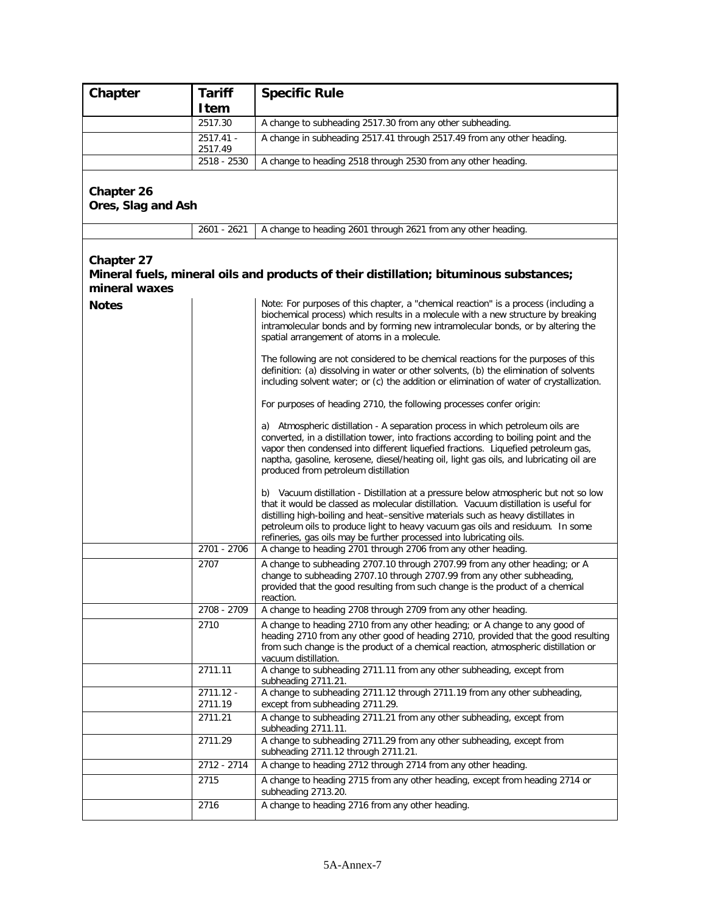| Chapter                                            | <b>Tariff</b>        | <b>Specific Rule</b>                                                                                                                                                                                                                                                                                                                                                                                                                                                                          |
|----------------------------------------------------|----------------------|-----------------------------------------------------------------------------------------------------------------------------------------------------------------------------------------------------------------------------------------------------------------------------------------------------------------------------------------------------------------------------------------------------------------------------------------------------------------------------------------------|
|                                                    | Item<br>2517.30      |                                                                                                                                                                                                                                                                                                                                                                                                                                                                                               |
|                                                    | 2517.41 -            | A change to subheading 2517.30 from any other subheading.<br>A change in subheading 2517.41 through 2517.49 from any other heading.                                                                                                                                                                                                                                                                                                                                                           |
|                                                    | 2517.49              |                                                                                                                                                                                                                                                                                                                                                                                                                                                                                               |
|                                                    | 2518 - 2530          | A change to heading 2518 through 2530 from any other heading.                                                                                                                                                                                                                                                                                                                                                                                                                                 |
| <b>Chapter 26</b><br>Ores, Slag and Ash            |                      |                                                                                                                                                                                                                                                                                                                                                                                                                                                                                               |
|                                                    | 2601 - 2621          | A change to heading 2601 through 2621 from any other heading.                                                                                                                                                                                                                                                                                                                                                                                                                                 |
| <b>Chapter 27</b><br>mineral waxes<br><b>Notes</b> |                      | Mineral fuels, mineral oils and products of their distillation; bituminous substances;<br>Note: For purposes of this chapter, a "chemical reaction" is a process (including a                                                                                                                                                                                                                                                                                                                 |
|                                                    |                      | biochemical process) which results in a molecule with a new structure by breaking<br>intramolecular bonds and by forming new intramolecular bonds, or by altering the<br>spatial arrangement of atoms in a molecule.                                                                                                                                                                                                                                                                          |
|                                                    |                      | The following are not considered to be chemical reactions for the purposes of this<br>definition: (a) dissolving in water or other solvents, (b) the elimination of solvents<br>including solvent water; or (c) the addition or elimination of water of crystallization.                                                                                                                                                                                                                      |
|                                                    |                      | For purposes of heading 2710, the following processes confer origin:                                                                                                                                                                                                                                                                                                                                                                                                                          |
|                                                    |                      | a) Atmospheric distillation - A separation process in which petroleum oils are<br>converted, in a distillation tower, into fractions according to boiling point and the<br>vapor then condensed into different liquefied fractions. Liquefied petroleum gas,<br>naptha, gasoline, kerosene, diesel/heating oil, light gas oils, and lubricating oil are<br>produced from petroleum distillation                                                                                               |
|                                                    | 2701 - 2706          | b) Vacuum distillation - Distillation at a pressure below atmospheric but not so low<br>that it would be classed as molecular distillation. Vacuum distillation is useful for<br>distilling high-boiling and heat-sensitive materials such as heavy distillates in<br>petroleum oils to produce light to heavy vacuum gas oils and residuum. In some<br>refineries, gas oils may be further processed into lubricating oils.<br>A change to heading 2701 through 2706 from any other heading. |
|                                                    | 2707                 | A change to subheading 2707.10 through 2707.99 from any other heading; or A                                                                                                                                                                                                                                                                                                                                                                                                                   |
|                                                    |                      | change to subheading 2707.10 through 2707.99 from any other subheading,<br>provided that the good resulting from such change is the product of a chemical<br>reaction.                                                                                                                                                                                                                                                                                                                        |
|                                                    | 2708 - 2709          | A change to heading 2708 through 2709 from any other heading.                                                                                                                                                                                                                                                                                                                                                                                                                                 |
|                                                    | 2710                 | A change to heading 2710 from any other heading; or A change to any good of<br>heading 2710 from any other good of heading 2710, provided that the good resulting<br>from such change is the product of a chemical reaction, atmospheric distillation or<br>vacuum distillation.                                                                                                                                                                                                              |
|                                                    | 2711.11              | A change to subheading 2711.11 from any other subheading, except from<br>subheading 2711.21.                                                                                                                                                                                                                                                                                                                                                                                                  |
|                                                    | 2711.12 -<br>2711.19 | A change to subheading 2711.12 through 2711.19 from any other subheading,<br>except from subheading 2711.29.                                                                                                                                                                                                                                                                                                                                                                                  |
|                                                    | 2711.21              | A change to subheading 2711.21 from any other subheading, except from<br>subheading 2711.11.                                                                                                                                                                                                                                                                                                                                                                                                  |
|                                                    | 2711.29              | A change to subheading 2711.29 from any other subheading, except from<br>subheading 2711.12 through 2711.21.                                                                                                                                                                                                                                                                                                                                                                                  |
|                                                    | 2712 - 2714          | A change to heading 2712 through 2714 from any other heading.                                                                                                                                                                                                                                                                                                                                                                                                                                 |
|                                                    | 2715                 | A change to heading 2715 from any other heading, except from heading 2714 or<br>subheading 2713.20.                                                                                                                                                                                                                                                                                                                                                                                           |
|                                                    | 2716                 | A change to heading 2716 from any other heading.                                                                                                                                                                                                                                                                                                                                                                                                                                              |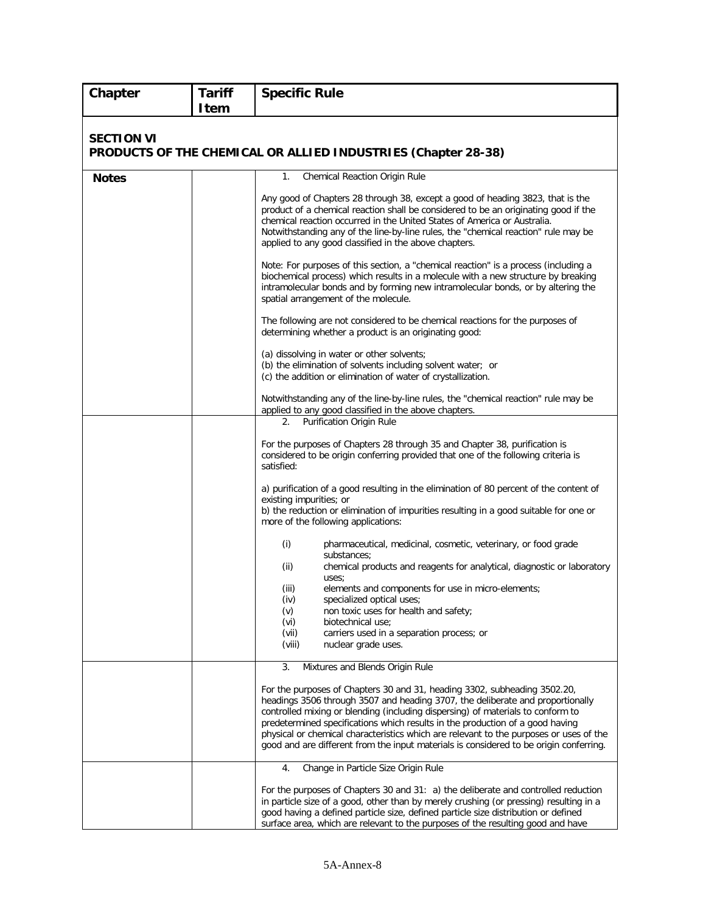| Chapter           | <b>Tariff</b><br><b>Item</b> | <b>Specific Rule</b>                                                                                                                                                                                                                                                                                                                                                                                                                                                                                                |
|-------------------|------------------------------|---------------------------------------------------------------------------------------------------------------------------------------------------------------------------------------------------------------------------------------------------------------------------------------------------------------------------------------------------------------------------------------------------------------------------------------------------------------------------------------------------------------------|
|                   |                              |                                                                                                                                                                                                                                                                                                                                                                                                                                                                                                                     |
| <b>SECTION VI</b> |                              | PRODUCTS OF THE CHEMICAL OR ALLIED INDUSTRIES (Chapter 28-38)                                                                                                                                                                                                                                                                                                                                                                                                                                                       |
| <b>Notes</b>      |                              | Chemical Reaction Origin Rule<br>1.                                                                                                                                                                                                                                                                                                                                                                                                                                                                                 |
|                   |                              | Any good of Chapters 28 through 38, except a good of heading 3823, that is the<br>product of a chemical reaction shall be considered to be an originating good if the<br>chemical reaction occurred in the United States of America or Australia.<br>Notwithstanding any of the line-by-line rules, the "chemical reaction" rule may be<br>applied to any good classified in the above chapters.                                                                                                                    |
|                   |                              | Note: For purposes of this section, a "chemical reaction" is a process (including a<br>biochemical process) which results in a molecule with a new structure by breaking<br>intramolecular bonds and by forming new intramolecular bonds, or by altering the<br>spatial arrangement of the molecule.                                                                                                                                                                                                                |
|                   |                              | The following are not considered to be chemical reactions for the purposes of<br>determining whether a product is an originating good:                                                                                                                                                                                                                                                                                                                                                                              |
|                   |                              | (a) dissolving in water or other solvents;<br>(b) the elimination of solvents including solvent water; or<br>(c) the addition or elimination of water of crystallization.                                                                                                                                                                                                                                                                                                                                           |
|                   |                              | Notwithstanding any of the line-by-line rules, the "chemical reaction" rule may be<br>applied to any good classified in the above chapters.                                                                                                                                                                                                                                                                                                                                                                         |
|                   |                              | Purification Origin Rule<br>2.                                                                                                                                                                                                                                                                                                                                                                                                                                                                                      |
|                   |                              | For the purposes of Chapters 28 through 35 and Chapter 38, purification is<br>considered to be origin conferring provided that one of the following criteria is<br>satisfied:                                                                                                                                                                                                                                                                                                                                       |
|                   |                              | a) purification of a good resulting in the elimination of 80 percent of the content of<br>existing impurities; or<br>b) the reduction or elimination of impurities resulting in a good suitable for one or<br>more of the following applications:                                                                                                                                                                                                                                                                   |
|                   |                              | (i)<br>pharmaceutical, medicinal, cosmetic, veterinary, or food grade<br>substances;                                                                                                                                                                                                                                                                                                                                                                                                                                |
|                   |                              | (ii)<br>chemical products and reagents for analytical, diagnostic or laboratory<br>uses;                                                                                                                                                                                                                                                                                                                                                                                                                            |
|                   |                              | elements and components for use in micro-elements;<br>(iii)<br>specialized optical uses;<br>(iv)                                                                                                                                                                                                                                                                                                                                                                                                                    |
|                   |                              | non toxic uses for health and safety;<br>(v)<br>biotechnical use:<br>(vi)                                                                                                                                                                                                                                                                                                                                                                                                                                           |
|                   |                              | (vii)<br>carriers used in a separation process; or<br>(viii)<br>nuclear grade uses.                                                                                                                                                                                                                                                                                                                                                                                                                                 |
|                   |                              | 3.<br>Mixtures and Blends Origin Rule                                                                                                                                                                                                                                                                                                                                                                                                                                                                               |
|                   |                              | For the purposes of Chapters 30 and 31, heading 3302, subheading 3502.20,<br>headings 3506 through 3507 and heading 3707, the deliberate and proportionally<br>controlled mixing or blending (including dispersing) of materials to conform to<br>predetermined specifications which results in the production of a good having<br>physical or chemical characteristics which are relevant to the purposes or uses of the<br>good and are different from the input materials is considered to be origin conferring. |
|                   |                              | Change in Particle Size Origin Rule<br>4.                                                                                                                                                                                                                                                                                                                                                                                                                                                                           |
|                   |                              | For the purposes of Chapters 30 and 31: a) the deliberate and controlled reduction<br>in particle size of a good, other than by merely crushing (or pressing) resulting in a<br>good having a defined particle size, defined particle size distribution or defined<br>surface area, which are relevant to the purposes of the resulting good and have                                                                                                                                                               |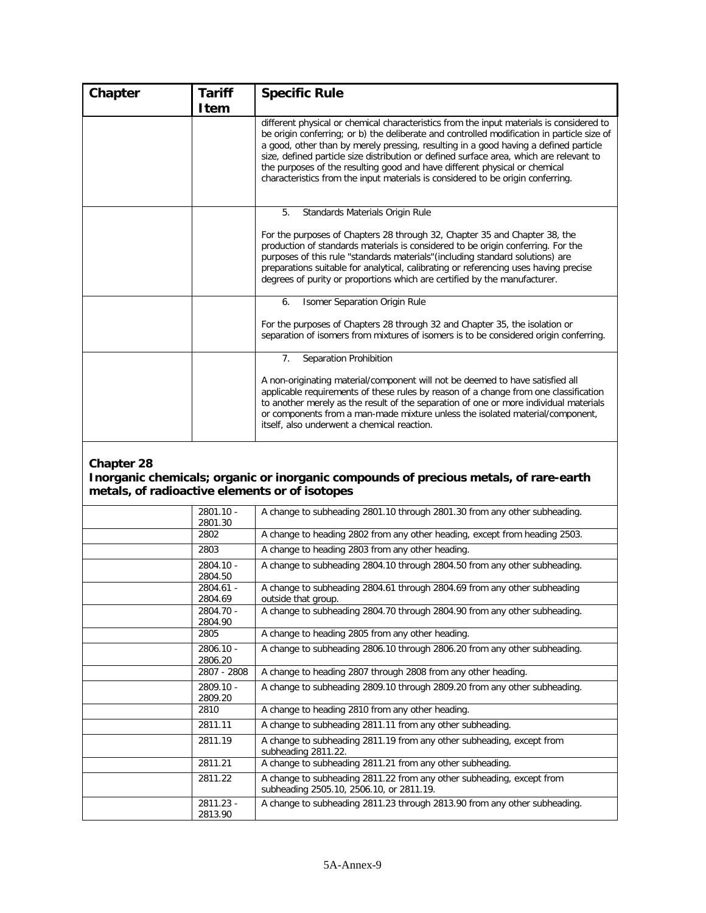| Chapter    | <b>Tariff</b> | <b>Specific Rule</b>                                                                                                                                                                                                                                                                                                                                                                                                                                                                                                                       |
|------------|---------------|--------------------------------------------------------------------------------------------------------------------------------------------------------------------------------------------------------------------------------------------------------------------------------------------------------------------------------------------------------------------------------------------------------------------------------------------------------------------------------------------------------------------------------------------|
|            | Item          | different physical or chemical characteristics from the input materials is considered to<br>be origin conferring; or b) the deliberate and controlled modification in particle size of<br>a good, other than by merely pressing, resulting in a good having a defined particle<br>size, defined particle size distribution or defined surface area, which are relevant to<br>the purposes of the resulting good and have different physical or chemical<br>characteristics from the input materials is considered to be origin conferring. |
|            |               | 5.<br>Standards Materials Origin Rule<br>For the purposes of Chapters 28 through 32, Chapter 35 and Chapter 38, the<br>production of standards materials is considered to be origin conferring. For the<br>purposes of this rule "standards materials" (including standard solutions) are<br>preparations suitable for analytical, calibrating or referencing uses having precise<br>degrees of purity or proportions which are certified by the manufacturer.                                                                             |
|            |               | Isomer Separation Origin Rule<br>6.<br>For the purposes of Chapters 28 through 32 and Chapter 35, the isolation or<br>separation of isomers from mixtures of isomers is to be considered origin conferring.                                                                                                                                                                                                                                                                                                                                |
|            |               | Separation Prohibition<br>7 <sub>1</sub><br>A non-originating material/component will not be deemed to have satisfied all<br>applicable requirements of these rules by reason of a change from one classification<br>to another merely as the result of the separation of one or more individual materials<br>or components from a man-made mixture unless the isolated material/component,<br>itself, also underwent a chemical reaction.                                                                                                 |
| Chapter 28 |               | Inorganic chemicals; organic or inorganic compounds of precious metals, of rare-earth                                                                                                                                                                                                                                                                                                                                                                                                                                                      |

# **metals, of radioactive elements or of isotopes**

| $2801.10 -$<br>2801.30 | A change to subheading 2801.10 through 2801.30 from any other subheading.                                         |
|------------------------|-------------------------------------------------------------------------------------------------------------------|
| 2802                   | A change to heading 2802 from any other heading, except from heading 2503.                                        |
| 2803                   | A change to heading 2803 from any other heading.                                                                  |
| 2804.10 -<br>2804.50   | A change to subheading 2804.10 through 2804.50 from any other subheading.                                         |
| $2804.61 -$<br>2804.69 | A change to subheading 2804.61 through 2804.69 from any other subheading<br>outside that group.                   |
| 2804.70 -<br>2804.90   | A change to subheading 2804.70 through 2804.90 from any other subheading.                                         |
| 2805                   | A change to heading 2805 from any other heading.                                                                  |
| 2806.10 -<br>2806.20   | A change to subheading 2806.10 through 2806.20 from any other subheading.                                         |
| 2807 - 2808            | A change to heading 2807 through 2808 from any other heading.                                                     |
| 2809.10 -<br>2809.20   | A change to subheading 2809.10 through 2809.20 from any other subheading.                                         |
| 2810                   | A change to heading 2810 from any other heading.                                                                  |
| 2811.11                | A change to subheading 2811.11 from any other subheading.                                                         |
| 2811.19                | A change to subheading 2811.19 from any other subheading, except from<br>subheading 2811.22.                      |
| 2811.21                | A change to subheading 2811.21 from any other subheading.                                                         |
| 2811.22                | A change to subheading 2811.22 from any other subheading, except from<br>subheading 2505.10, 2506.10, or 2811.19. |
| 2811.23 -<br>2813.90   | A change to subheading 2811.23 through 2813.90 from any other subheading.                                         |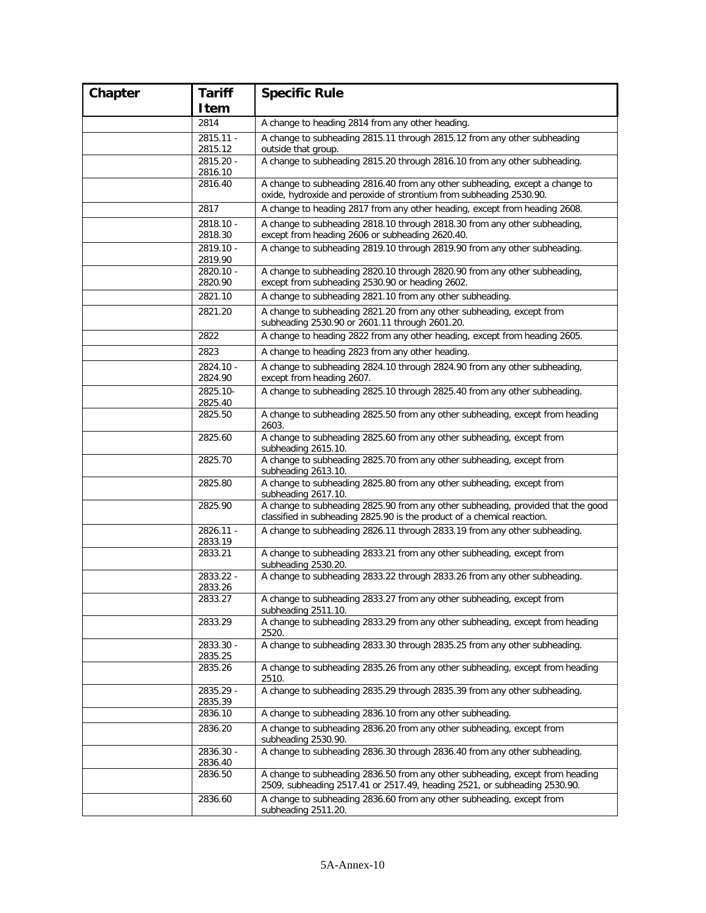| Chapter | <b>Tariff</b>        | <b>Specific Rule</b>                                                                                                                                        |
|---------|----------------------|-------------------------------------------------------------------------------------------------------------------------------------------------------------|
|         | Item                 |                                                                                                                                                             |
|         | 2814                 | A change to heading 2814 from any other heading.                                                                                                            |
|         | $2815.11 -$          | A change to subheading 2815.11 through 2815.12 from any other subheading                                                                                    |
|         | 2815.12<br>2815.20 - | outside that group.<br>A change to subheading 2815.20 through 2816.10 from any other subheading.                                                            |
|         | 2816.10              |                                                                                                                                                             |
|         | 2816.40              | A change to subheading 2816.40 from any other subheading, except a change to<br>oxide, hydroxide and peroxide of strontium from subheading 2530.90.         |
|         | 2817                 | A change to heading 2817 from any other heading, except from heading 2608.                                                                                  |
|         | 2818.10 -<br>2818.30 | A change to subheading 2818.10 through 2818.30 from any other subheading,<br>except from heading 2606 or subheading 2620.40.                                |
|         | 2819.10 -<br>2819.90 | A change to subheading 2819.10 through 2819.90 from any other subheading.                                                                                   |
|         | 2820.10 -<br>2820.90 | A change to subheading 2820.10 through 2820.90 from any other subheading,<br>except from subheading 2530.90 or heading 2602.                                |
|         | 2821.10              | A change to subheading 2821.10 from any other subheading.                                                                                                   |
|         | 2821.20              | A change to subheading 2821.20 from any other subheading, except from<br>subheading 2530.90 or 2601.11 through 2601.20.                                     |
|         | 2822                 | A change to heading 2822 from any other heading, except from heading 2605.                                                                                  |
|         | 2823                 | A change to heading 2823 from any other heading.                                                                                                            |
|         | 2824.10 -<br>2824.90 | A change to subheading 2824.10 through 2824.90 from any other subheading,<br>except from heading 2607.                                                      |
|         | 2825.10-<br>2825.40  | A change to subheading 2825.10 through 2825.40 from any other subheading.                                                                                   |
|         | 2825.50              | A change to subheading 2825.50 from any other subheading, except from heading<br>2603.                                                                      |
|         | 2825.60              | A change to subheading 2825.60 from any other subheading, except from<br>subheading 2615.10.                                                                |
|         | 2825.70              | A change to subheading 2825.70 from any other subheading, except from<br>subheading 2613.10.                                                                |
|         | 2825.80              | A change to subheading 2825.80 from any other subheading, except from<br>subheading 2617.10.                                                                |
|         | 2825.90              | A change to subheading 2825.90 from any other subheading, provided that the good<br>classified in subheading 2825.90 is the product of a chemical reaction. |
|         | 2826.11 -<br>2833.19 | A change to subheading 2826.11 through 2833.19 from any other subheading.                                                                                   |
|         | 2833.21              | A change to subheading 2833.21 from any other subheading, except from<br>subheading 2530.20.                                                                |
|         | 2833.22 -<br>2833.26 | A change to subheading 2833.22 through 2833.26 from any other subheading.                                                                                   |
|         | 2833.27              | A change to subheading 2833.27 from any other subheading, except from<br>subheading 2511.10.                                                                |
|         | 2833.29              | A change to subheading 2833.29 from any other subheading, except from heading<br>2520.                                                                      |
|         | 2833.30 -<br>2835.25 | A change to subheading 2833.30 through 2835.25 from any other subheading.                                                                                   |
|         | 2835.26              | A change to subheading 2835.26 from any other subheading, except from heading<br>2510.                                                                      |
|         | 2835.29 -<br>2835.39 | A change to subheading 2835.29 through 2835.39 from any other subheading.                                                                                   |
|         | 2836.10              | A change to subheading 2836.10 from any other subheading.                                                                                                   |
|         | 2836.20              | A change to subheading 2836.20 from any other subheading, except from<br>subheading 2530.90.                                                                |
|         | 2836.30 -<br>2836.40 | A change to subheading 2836.30 through 2836.40 from any other subheading.                                                                                   |
|         | 2836.50              | A change to subheading 2836.50 from any other subheading, except from heading<br>2509, subheading 2517.41 or 2517.49, heading 2521, or subheading 2530.90.  |
|         | 2836.60              | A change to subheading 2836.60 from any other subheading, except from<br>subheading 2511.20.                                                                |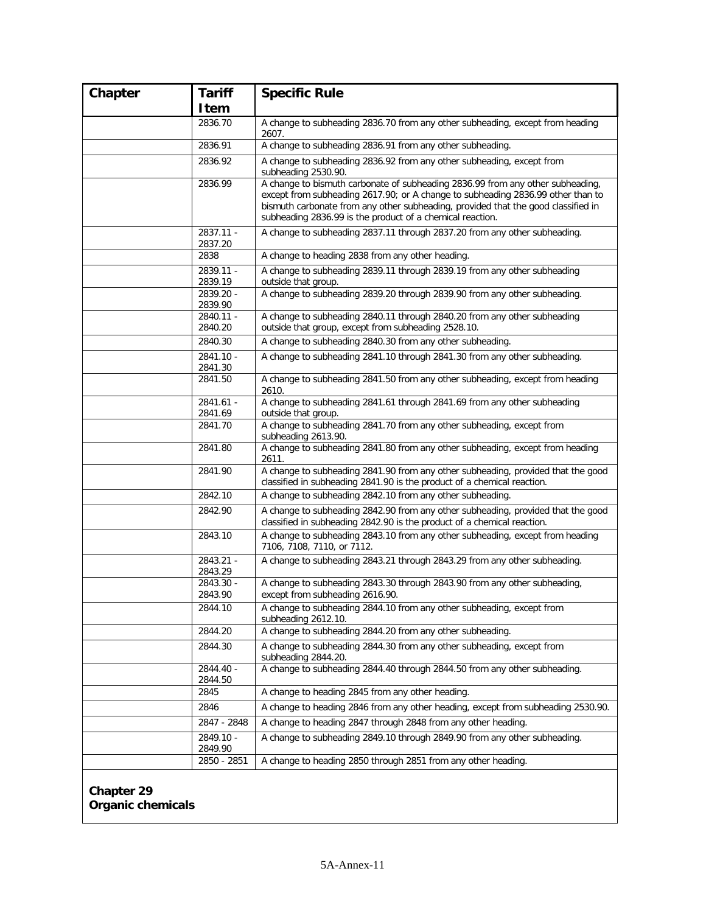| Chapter    | <b>Tariff</b>        | <b>Specific Rule</b>                                                                                                                                                                                                                                                                                                |
|------------|----------------------|---------------------------------------------------------------------------------------------------------------------------------------------------------------------------------------------------------------------------------------------------------------------------------------------------------------------|
|            | Item                 |                                                                                                                                                                                                                                                                                                                     |
|            | 2836.70              | A change to subheading 2836.70 from any other subheading, except from heading<br>2607.                                                                                                                                                                                                                              |
|            | 2836.91              | A change to subheading 2836.91 from any other subheading.                                                                                                                                                                                                                                                           |
|            | 2836.92              | A change to subheading 2836.92 from any other subheading, except from<br>subheading 2530.90.                                                                                                                                                                                                                        |
|            | 2836.99              | A change to bismuth carbonate of subheading 2836.99 from any other subheading,<br>except from subheading 2617.90; or A change to subheading 2836.99 other than to<br>bismuth carbonate from any other subheading, provided that the good classified in<br>subheading 2836.99 is the product of a chemical reaction. |
|            | 2837.11 -<br>2837.20 | A change to subheading 2837.11 through 2837.20 from any other subheading.                                                                                                                                                                                                                                           |
|            | 2838                 | A change to heading 2838 from any other heading.                                                                                                                                                                                                                                                                    |
|            | 2839.11 -<br>2839.19 | A change to subheading 2839.11 through 2839.19 from any other subheading<br>outside that group.                                                                                                                                                                                                                     |
|            | 2839.20 -<br>2839.90 | A change to subheading 2839.20 through 2839.90 from any other subheading.                                                                                                                                                                                                                                           |
|            | 2840.11 -<br>2840.20 | A change to subheading 2840.11 through 2840.20 from any other subheading<br>outside that group, except from subheading 2528.10.                                                                                                                                                                                     |
|            | 2840.30              | A change to subheading 2840.30 from any other subheading.                                                                                                                                                                                                                                                           |
|            | 2841.10 -<br>2841.30 | A change to subheading 2841.10 through 2841.30 from any other subheading.                                                                                                                                                                                                                                           |
|            | 2841.50              | A change to subheading 2841.50 from any other subheading, except from heading<br>2610.                                                                                                                                                                                                                              |
|            | 2841.61 -<br>2841.69 | A change to subheading 2841.61 through 2841.69 from any other subheading<br>outside that group.                                                                                                                                                                                                                     |
|            | 2841.70              | A change to subheading 2841.70 from any other subheading, except from<br>subheading 2613.90.                                                                                                                                                                                                                        |
|            | 2841.80              | A change to subheading 2841.80 from any other subheading, except from heading<br>2611.                                                                                                                                                                                                                              |
|            | 2841.90              | A change to subheading 2841.90 from any other subheading, provided that the good<br>classified in subheading 2841.90 is the product of a chemical reaction.                                                                                                                                                         |
|            | 2842.10              | A change to subheading 2842.10 from any other subheading.                                                                                                                                                                                                                                                           |
|            | 2842.90              | A change to subheading 2842.90 from any other subheading, provided that the good<br>classified in subheading 2842.90 is the product of a chemical reaction.                                                                                                                                                         |
|            | 2843.10              | A change to subheading 2843.10 from any other subheading, except from heading<br>7106, 7108, 7110, or 7112.                                                                                                                                                                                                         |
|            | 2843.21 -<br>2843.29 | A change to subheading 2843.21 through 2843.29 from any other subheading.                                                                                                                                                                                                                                           |
|            | 2843.30 -<br>2843.90 | A change to subheading 2843.30 through 2843.90 from any other subheading,<br>except from subheading 2616.90.                                                                                                                                                                                                        |
|            | 2844.10              | A change to subheading 2844.10 from any other subheading, except from<br>subheading 2612.10.                                                                                                                                                                                                                        |
|            | 2844.20              | A change to subheading 2844.20 from any other subheading.                                                                                                                                                                                                                                                           |
|            | 2844.30              | A change to subheading 2844.30 from any other subheading, except from<br>subheading 2844.20.                                                                                                                                                                                                                        |
|            | 2844.40 -<br>2844.50 | A change to subheading 2844.40 through 2844.50 from any other subheading.                                                                                                                                                                                                                                           |
|            | 2845                 | A change to heading 2845 from any other heading.                                                                                                                                                                                                                                                                    |
|            | 2846                 | A change to heading 2846 from any other heading, except from subheading 2530.90.                                                                                                                                                                                                                                    |
|            | 2847 - 2848          | A change to heading 2847 through 2848 from any other heading.                                                                                                                                                                                                                                                       |
|            | 2849.10 -<br>2849.90 | A change to subheading 2849.10 through 2849.90 from any other subheading.                                                                                                                                                                                                                                           |
|            | 2850 - 2851          | A change to heading 2850 through 2851 from any other heading.                                                                                                                                                                                                                                                       |
| Chapter 29 |                      |                                                                                                                                                                                                                                                                                                                     |

**Organic chemicals**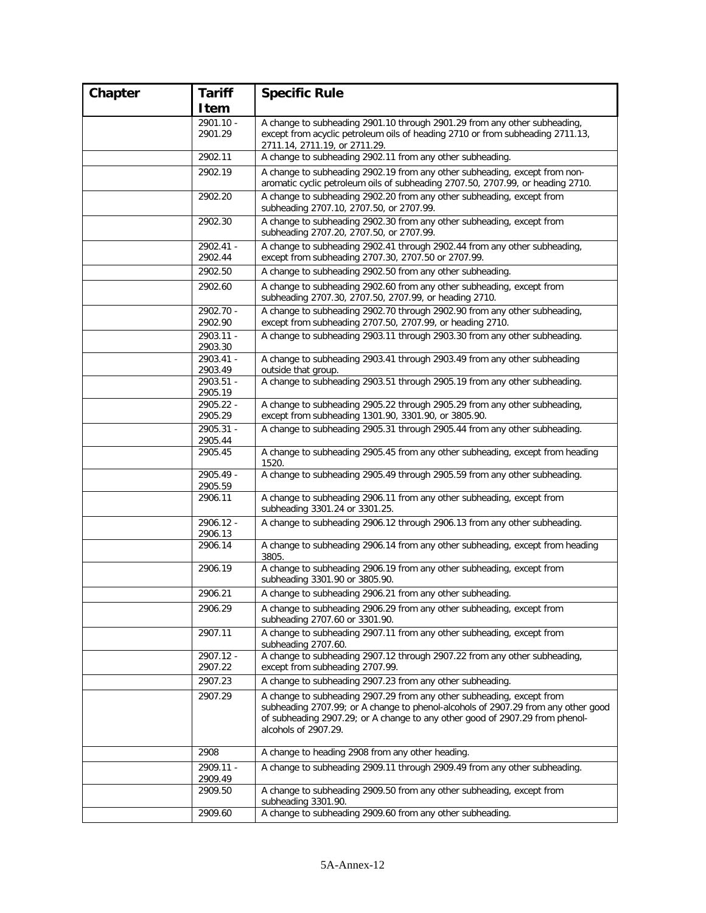| Chapter | <b>Tariff</b>        | <b>Specific Rule</b>                                                                                                                                                                                                                                               |
|---------|----------------------|--------------------------------------------------------------------------------------------------------------------------------------------------------------------------------------------------------------------------------------------------------------------|
|         | Item                 |                                                                                                                                                                                                                                                                    |
|         | 2901.10 -            | A change to subheading 2901.10 through 2901.29 from any other subheading,                                                                                                                                                                                          |
|         | 2901.29              | except from acyclic petroleum oils of heading 2710 or from subheading 2711.13,<br>2711.14, 2711.19, or 2711.29.                                                                                                                                                    |
|         | 2902.11              | A change to subheading 2902.11 from any other subheading.                                                                                                                                                                                                          |
|         | 2902.19              | A change to subheading 2902.19 from any other subheading, except from non-                                                                                                                                                                                         |
|         |                      | aromatic cyclic petroleum oils of subheading 2707.50, 2707.99, or heading 2710.                                                                                                                                                                                    |
|         | 2902.20              | A change to subheading 2902.20 from any other subheading, except from<br>subheading 2707.10, 2707.50, or 2707.99.                                                                                                                                                  |
|         | 2902.30              | A change to subheading 2902.30 from any other subheading, except from<br>subheading 2707.20, 2707.50, or 2707.99.                                                                                                                                                  |
|         | 2902.41 -<br>2902.44 | A change to subheading 2902.41 through 2902.44 from any other subheading,<br>except from subheading 2707.30, 2707.50 or 2707.99.                                                                                                                                   |
|         | 2902.50              | A change to subheading 2902.50 from any other subheading.                                                                                                                                                                                                          |
|         | 2902.60              | A change to subheading 2902.60 from any other subheading, except from<br>subheading 2707.30, 2707.50, 2707.99, or heading 2710.                                                                                                                                    |
|         | 2902.70 -            | A change to subheading 2902.70 through 2902.90 from any other subheading,                                                                                                                                                                                          |
|         | 2902.90              | except from subheading 2707.50, 2707.99, or heading 2710.                                                                                                                                                                                                          |
|         | 2903.11 -<br>2903.30 | A change to subheading 2903.11 through 2903.30 from any other subheading.                                                                                                                                                                                          |
|         | 2903.41 -            | A change to subheading 2903.41 through 2903.49 from any other subheading                                                                                                                                                                                           |
|         | 2903.49<br>2903.51 - | outside that group.<br>A change to subheading 2903.51 through 2905.19 from any other subheading.                                                                                                                                                                   |
|         | 2905.19              |                                                                                                                                                                                                                                                                    |
|         | 2905.22 -<br>2905.29 | A change to subheading 2905.22 through 2905.29 from any other subheading,<br>except from subheading 1301.90, 3301.90, or 3805.90.                                                                                                                                  |
|         | 2905.31 -<br>2905.44 | A change to subheading 2905.31 through 2905.44 from any other subheading.                                                                                                                                                                                          |
|         | 2905.45              | A change to subheading 2905.45 from any other subheading, except from heading<br>1520.                                                                                                                                                                             |
|         | 2905.49 -<br>2905.59 | A change to subheading 2905.49 through 2905.59 from any other subheading.                                                                                                                                                                                          |
|         | 2906.11              | A change to subheading 2906.11 from any other subheading, except from<br>subheading 3301.24 or 3301.25.                                                                                                                                                            |
|         | 2906.12 -<br>2906.13 | A change to subheading 2906.12 through 2906.13 from any other subheading.                                                                                                                                                                                          |
|         | 2906.14              | A change to subheading 2906.14 from any other subheading, except from heading<br>3805.                                                                                                                                                                             |
|         | 2906.19              | A change to subheading 2906.19 from any other subheading, except from<br>subheading 3301.90 or 3805.90.                                                                                                                                                            |
|         | 2906.21              | A change to subheading 2906.21 from any other subheading.                                                                                                                                                                                                          |
|         | 2906.29              | A change to subheading 2906.29 from any other subheading, except from<br>subheading 2707.60 or 3301.90.                                                                                                                                                            |
|         | 2907.11              | A change to subheading 2907.11 from any other subheading, except from<br>subheading 2707.60.                                                                                                                                                                       |
|         | 2907.12 -<br>2907.22 | A change to subheading 2907.12 through 2907.22 from any other subheading,<br>except from subheading 2707.99.                                                                                                                                                       |
|         | 2907.23              | A change to subheading 2907.23 from any other subheading.                                                                                                                                                                                                          |
|         | 2907.29              | A change to subheading 2907.29 from any other subheading, except from<br>subheading 2707.99; or A change to phenol-alcohols of 2907.29 from any other good<br>of subheading 2907.29; or A change to any other good of 2907.29 from phenol-<br>alcohols of 2907.29. |
|         | 2908                 | A change to heading 2908 from any other heading.                                                                                                                                                                                                                   |
|         | 2909.11 -            | A change to subheading 2909.11 through 2909.49 from any other subheading.                                                                                                                                                                                          |
|         | 2909.49<br>2909.50   | A change to subheading 2909.50 from any other subheading, except from                                                                                                                                                                                              |
|         | 2909.60              | subheading 3301.90.<br>A change to subheading 2909.60 from any other subheading.                                                                                                                                                                                   |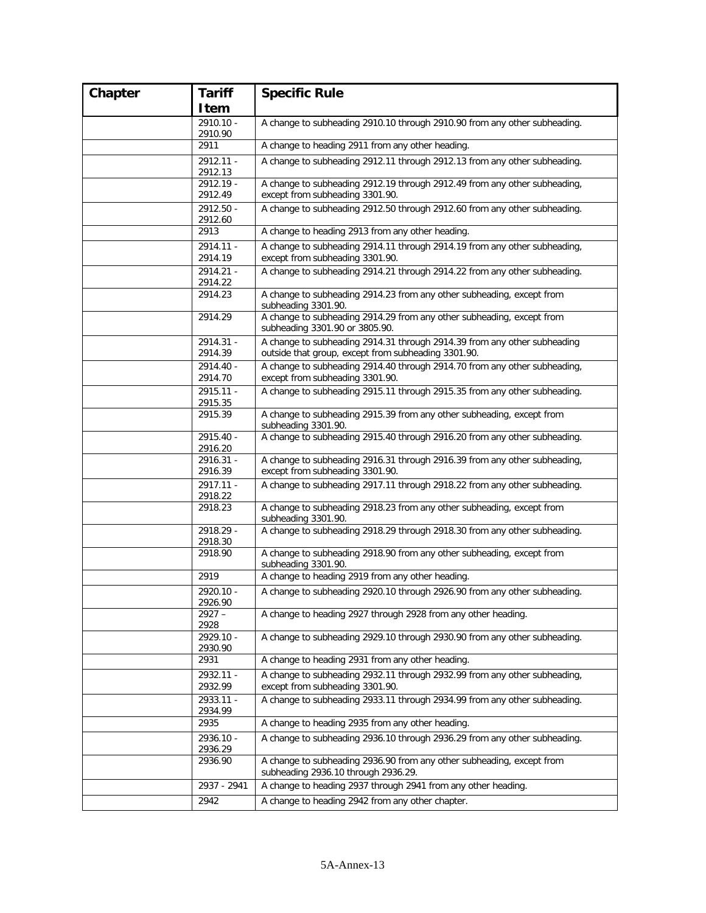| Chapter | <b>Tariff</b>          | <b>Specific Rule</b>                                                                                                            |
|---------|------------------------|---------------------------------------------------------------------------------------------------------------------------------|
|         | Item                   |                                                                                                                                 |
|         | $2910.10 -$            | A change to subheading 2910.10 through 2910.90 from any other subheading.                                                       |
|         | 2910.90                |                                                                                                                                 |
|         | 2911                   | A change to heading 2911 from any other heading.                                                                                |
|         | 2912.11 -<br>2912.13   | A change to subheading 2912.11 through 2912.13 from any other subheading.                                                       |
|         | 2912.19 -<br>2912.49   | A change to subheading 2912.19 through 2912.49 from any other subheading,<br>except from subheading 3301.90.                    |
|         | 2912.50 -<br>2912.60   | A change to subheading 2912.50 through 2912.60 from any other subheading.                                                       |
|         | 2913                   | A change to heading 2913 from any other heading.                                                                                |
|         | 2914.11 -<br>2914.19   | A change to subheading 2914.11 through 2914.19 from any other subheading,<br>except from subheading 3301.90.                    |
|         | 2914.21 -<br>2914.22   | A change to subheading 2914.21 through 2914.22 from any other subheading.                                                       |
|         | 2914.23                | A change to subheading 2914.23 from any other subheading, except from<br>subheading 3301.90.                                    |
|         | 2914.29                | A change to subheading 2914.29 from any other subheading, except from<br>subheading 3301.90 or 3805.90.                         |
|         | 2914.31 -<br>2914.39   | A change to subheading 2914.31 through 2914.39 from any other subheading<br>outside that group, except from subheading 3301.90. |
|         | 2914.40 -<br>2914.70   | A change to subheading 2914.40 through 2914.70 from any other subheading,<br>except from subheading 3301.90.                    |
|         | 2915.11 -<br>2915.35   | A change to subheading 2915.11 through 2915.35 from any other subheading.                                                       |
|         | 2915.39                | A change to subheading 2915.39 from any other subheading, except from<br>subheading 3301.90.                                    |
|         | 2915.40 -<br>2916.20   | A change to subheading 2915.40 through 2916.20 from any other subheading.                                                       |
|         | 2916.31 -<br>2916.39   | A change to subheading 2916.31 through 2916.39 from any other subheading,<br>except from subheading 3301.90.                    |
|         | 2917.11 -<br>2918.22   | A change to subheading 2917.11 through 2918.22 from any other subheading.                                                       |
|         | 2918.23                | A change to subheading 2918.23 from any other subheading, except from<br>subheading 3301.90.                                    |
|         | 2918.29 -<br>2918.30   | A change to subheading 2918.29 through 2918.30 from any other subheading.                                                       |
|         | 2918.90                | A change to subheading 2918.90 from any other subheading, except from<br>subheading 3301.90.                                    |
|         | 2919                   | A change to heading 2919 from any other heading.                                                                                |
|         | $2920.10 -$<br>2926.90 | A change to subheading 2920.10 through 2926.90 from any other subheading.                                                       |
|         | $2927 -$<br>2928       | A change to heading 2927 through 2928 from any other heading.                                                                   |
|         | 2929.10 -<br>2930.90   | A change to subheading 2929.10 through 2930.90 from any other subheading.                                                       |
|         | 2931                   | A change to heading 2931 from any other heading.                                                                                |
|         | 2932.11 -<br>2932.99   | A change to subheading 2932.11 through 2932.99 from any other subheading,<br>except from subheading 3301.90.                    |
|         | 2933.11 -<br>2934.99   | A change to subheading 2933.11 through 2934.99 from any other subheading.                                                       |
|         | 2935                   | A change to heading 2935 from any other heading.                                                                                |
|         | 2936.10 -<br>2936.29   | A change to subheading 2936.10 through 2936.29 from any other subheading.                                                       |
|         | 2936.90                | A change to subheading 2936.90 from any other subheading, except from<br>subheading 2936.10 through 2936.29.                    |
|         | 2937 - 2941            | A change to heading 2937 through 2941 from any other heading.                                                                   |
|         | 2942                   | A change to heading 2942 from any other chapter.                                                                                |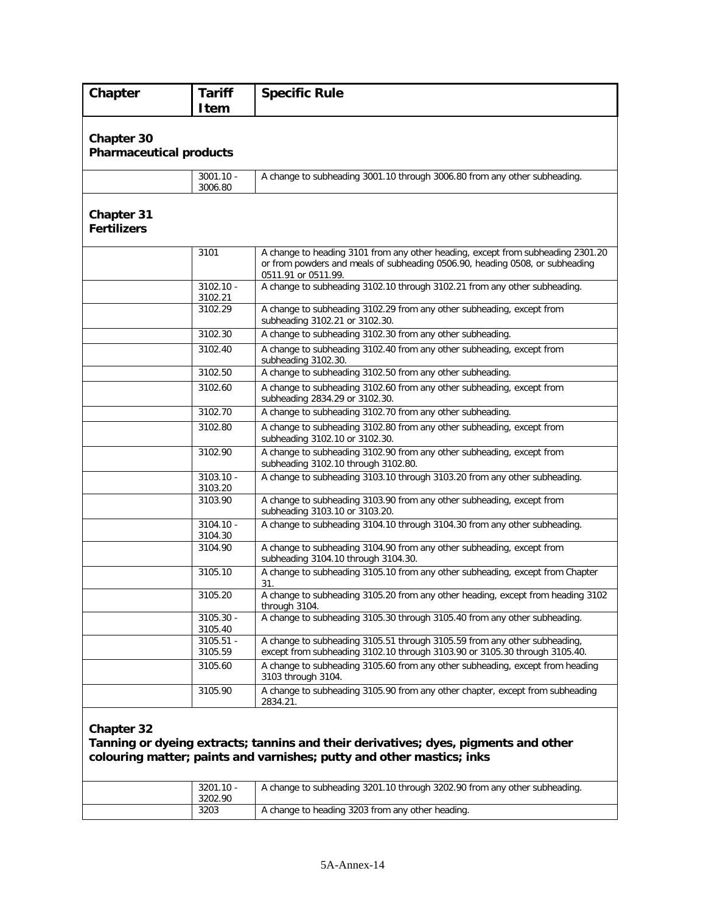| Chapter                                      | <b>Tariff</b><br><b>Item</b> | <b>Specific Rule</b>                                                                                                                                                                   |
|----------------------------------------------|------------------------------|----------------------------------------------------------------------------------------------------------------------------------------------------------------------------------------|
| Chapter 30<br><b>Pharmaceutical products</b> |                              |                                                                                                                                                                                        |
|                                              | $3001.10 -$<br>3006.80       | A change to subheading 3001.10 through 3006.80 from any other subheading.                                                                                                              |
| <b>Chapter 31</b><br><b>Fertilizers</b>      |                              |                                                                                                                                                                                        |
|                                              | 3101                         | A change to heading 3101 from any other heading, except from subheading 2301.20<br>or from powders and meals of subheading 0506.90, heading 0508, or subheading<br>0511.91 or 0511.99. |
|                                              | $3102.10 -$<br>3102.21       | A change to subheading 3102.10 through 3102.21 from any other subheading.                                                                                                              |
|                                              | 3102.29                      | A change to subheading 3102.29 from any other subheading, except from<br>subheading 3102.21 or 3102.30.                                                                                |
|                                              | 3102.30                      | A change to subheading 3102.30 from any other subheading.                                                                                                                              |
|                                              | 3102.40                      | A change to subheading 3102.40 from any other subheading, except from<br>subheading 3102.30.                                                                                           |
|                                              | 3102.50                      | A change to subheading 3102.50 from any other subheading.                                                                                                                              |
|                                              | 3102.60                      | A change to subheading 3102.60 from any other subheading, except from<br>subheading 2834.29 or 3102.30.                                                                                |
|                                              | 3102.70                      | A change to subheading 3102.70 from any other subheading.                                                                                                                              |
|                                              | 3102.80                      | A change to subheading 3102.80 from any other subheading, except from<br>subheading 3102.10 or 3102.30.                                                                                |
|                                              | 3102.90                      | A change to subheading 3102.90 from any other subheading, except from<br>subheading 3102.10 through 3102.80.                                                                           |
|                                              | $3103.10 -$<br>3103.20       | A change to subheading 3103.10 through 3103.20 from any other subheading.                                                                                                              |
|                                              | 3103.90                      | A change to subheading 3103.90 from any other subheading, except from<br>subheading 3103.10 or 3103.20.                                                                                |
|                                              | $3104.10 -$<br>3104.30       | A change to subheading 3104.10 through 3104.30 from any other subheading.                                                                                                              |
|                                              | 3104.90                      | A change to subheading 3104.90 from any other subheading, except from<br>subheading 3104.10 through 3104.30.                                                                           |
|                                              | 3105.10                      | A change to subheading 3105.10 from any other subheading, except from Chapter<br>31.                                                                                                   |
|                                              | 3105.20                      | A change to subheading 3105.20 from any other heading, except from heading 3102<br>through 3104.                                                                                       |
|                                              | 3105.30 -<br>3105.40         | A change to subheading 3105.30 through 3105.40 from any other subheading.                                                                                                              |
|                                              | $3105.51 -$<br>3105.59       | A change to subheading 3105.51 through 3105.59 from any other subheading,<br>except from subheading 3102.10 through 3103.90 or 3105.30 through 3105.40.                                |
|                                              | 3105.60                      | A change to subheading 3105.60 from any other subheading, except from heading<br>3103 through 3104.                                                                                    |
|                                              | 3105.90                      | A change to subheading 3105.90 from any other chapter, except from subheading<br>2834.21.                                                                                              |
| Chapter 32                                   |                              | Tanning or dyeing extracts; tannins and their derivatives; dyes, pigments and other                                                                                                    |

**colouring matter; paints and varnishes; putty and other mastics; inks**

| $3201.10 -$<br>3202.90 | A change to subheading 3201.10 through 3202.90 from any other subheading. |
|------------------------|---------------------------------------------------------------------------|
| 3203                   | A change to heading 3203 from any other heading.                          |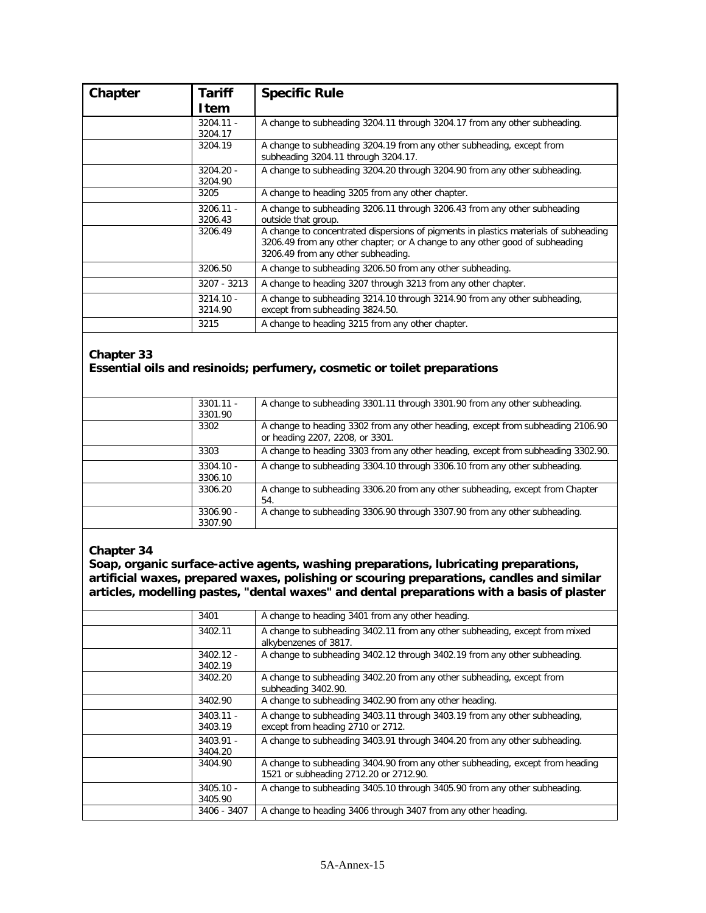| Chapter | <b>Tariff</b><br>Item  | <b>Specific Rule</b>                                                                                                                                                                                      |
|---------|------------------------|-----------------------------------------------------------------------------------------------------------------------------------------------------------------------------------------------------------|
|         | $3204.11 -$<br>3204.17 | A change to subheading 3204.11 through 3204.17 from any other subheading.                                                                                                                                 |
|         | 3204.19                | A change to subheading 3204.19 from any other subheading, except from<br>subheading 3204.11 through 3204.17.                                                                                              |
|         | $3204.20 -$<br>3204.90 | A change to subheading 3204.20 through 3204.90 from any other subheading.                                                                                                                                 |
|         | 3205                   | A change to heading 3205 from any other chapter.                                                                                                                                                          |
|         | $3206.11 -$<br>3206.43 | A change to subheading 3206.11 through 3206.43 from any other subheading<br>outside that group.                                                                                                           |
|         | 3206.49                | A change to concentrated dispersions of pigments in plastics materials of subheading<br>3206.49 from any other chapter; or A change to any other good of subheading<br>3206.49 from any other subheading. |
|         | 3206.50                | A change to subheading 3206.50 from any other subheading.                                                                                                                                                 |
|         | 3207 - 3213            | A change to heading 3207 through 3213 from any other chapter.                                                                                                                                             |
|         | $3214.10 -$<br>3214.90 | A change to subheading 3214.10 through 3214.90 from any other subheading,<br>except from subheading 3824.50.                                                                                              |
|         | 3215                   | A change to heading 3215 from any other chapter.                                                                                                                                                          |

## **Chapter 33 Essential oils and resinoids; perfumery, cosmetic or toilet preparations**

| $3301.11 -$<br>3301.90 | A change to subheading 3301.11 through 3301.90 from any other subheading.                                          |
|------------------------|--------------------------------------------------------------------------------------------------------------------|
| 3302                   | A change to heading 3302 from any other heading, except from subheading 2106.90<br>or heading 2207, 2208, or 3301. |
| 3303                   | A change to heading 3303 from any other heading, except from subheading 3302.90.                                   |
| $3304.10 -$<br>3306.10 | A change to subheading 3304.10 through 3306.10 from any other subheading.                                          |
| 3306.20                | A change to subheading 3306.20 from any other subheading, except from Chapter<br>54.                               |
| $3306.90 -$<br>3307.90 | A change to subheading 3306.90 through 3307.90 from any other subheading.                                          |

#### **Chapter 34**

**Soap, organic surface-active agents, washing preparations, lubricating preparations, artificial waxes, prepared waxes, polishing or scouring preparations, candles and similar articles, modelling pastes, "dental waxes" and dental preparations with a basis of plaster** 

| 3401                   | A change to heading 3401 from any other heading.                                                                        |
|------------------------|-------------------------------------------------------------------------------------------------------------------------|
| 3402.11                | A change to subheading 3402.11 from any other subheading, except from mixed<br>alkybenzenes of 3817.                    |
| $3402.12 -$<br>3402.19 | A change to subheading 3402.12 through 3402.19 from any other subheading.                                               |
| 3402.20                | A change to subheading 3402.20 from any other subheading, except from<br>subheading 3402.90.                            |
| 3402.90                | A change to subheading 3402.90 from any other heading.                                                                  |
| $3403.11 -$<br>3403.19 | A change to subheading 3403.11 through 3403.19 from any other subheading,<br>except from heading 2710 or 2712.          |
| $3403.91 -$<br>3404.20 | A change to subheading 3403.91 through 3404.20 from any other subheading.                                               |
| 3404.90                | A change to subheading 3404.90 from any other subheading, except from heading<br>1521 or subheading 2712.20 or 2712.90. |
| $3405.10 -$<br>3405.90 | A change to subheading 3405.10 through 3405.90 from any other subheading.                                               |
| 3406 - 3407            | A change to heading 3406 through 3407 from any other heading.                                                           |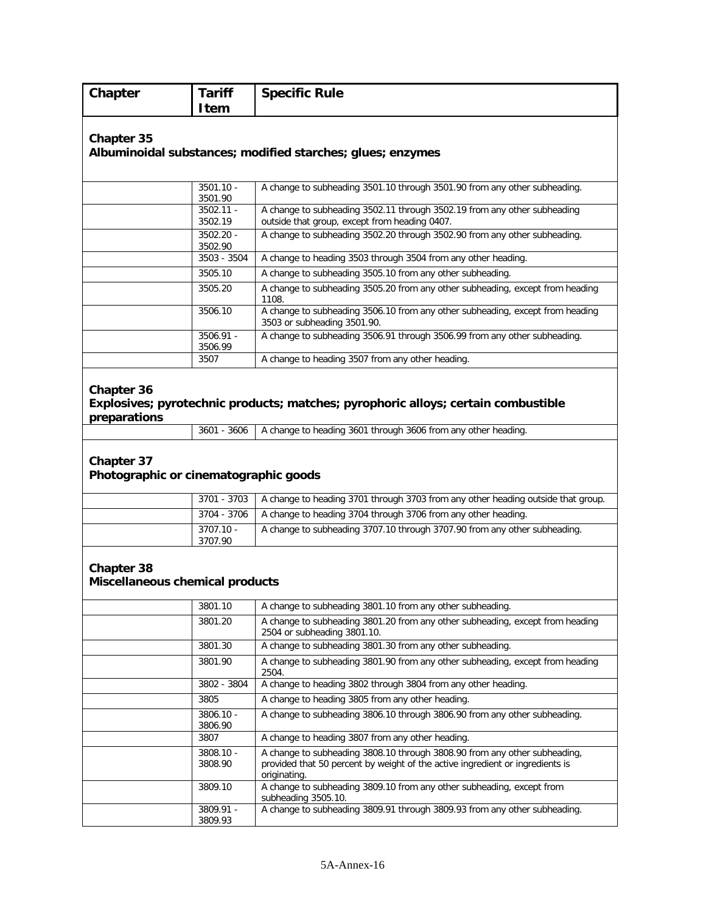| Chapter                                             | <b>Tariff</b><br><b>Item</b> | <b>Specific Rule</b>                                                                                                                                                       |
|-----------------------------------------------------|------------------------------|----------------------------------------------------------------------------------------------------------------------------------------------------------------------------|
| Chapter 35                                          |                              | Albuminoidal substances; modified starches; glues; enzymes                                                                                                                 |
|                                                     | $3501.10 -$<br>3501.90       | A change to subheading 3501.10 through 3501.90 from any other subheading.                                                                                                  |
|                                                     | $3502.11 -$<br>3502.19       | A change to subheading 3502.11 through 3502.19 from any other subheading<br>outside that group, except from heading 0407.                                                  |
|                                                     | 3502.20 -<br>3502.90         | A change to subheading 3502.20 through 3502.90 from any other subheading.                                                                                                  |
|                                                     | 3503 - 3504                  | A change to heading 3503 through 3504 from any other heading.                                                                                                              |
|                                                     | 3505.10                      | A change to subheading 3505.10 from any other subheading.                                                                                                                  |
|                                                     | 3505.20                      | A change to subheading 3505.20 from any other subheading, except from heading<br>1108.                                                                                     |
|                                                     | 3506.10                      | A change to subheading 3506.10 from any other subheading, except from heading<br>3503 or subheading 3501.90.                                                               |
|                                                     | 3506.91 -<br>3506.99         | A change to subheading 3506.91 through 3506.99 from any other subheading.                                                                                                  |
|                                                     | 3507                         | A change to heading 3507 from any other heading.                                                                                                                           |
| Chapter 37<br>Photographic or cinematographic goods |                              |                                                                                                                                                                            |
|                                                     | 3701 - 3703                  | A change to heading 3701 through 3703 from any other heading outside that group.                                                                                           |
|                                                     | 3704 - 3706                  | A change to heading 3704 through 3706 from any other heading.                                                                                                              |
|                                                     | $3707.10 -$<br>3707.90       | A change to subheading 3707.10 through 3707.90 from any other subheading.                                                                                                  |
| Chapter 38<br>Miscellaneous chemical products       | 3801.10                      | A change to subheading 3801.10 from any other subheading.                                                                                                                  |
|                                                     | 3801.20                      | A change to subheading 3801.20 from any other subheading, except from heading<br>2504 or subheading 3801.10.                                                               |
|                                                     | 3801.30                      | A change to subheading 3801.30 from any other subheading.                                                                                                                  |
|                                                     | 3801.90                      | A change to subheading 3801.90 from any other subheading, except from heading<br>2504.                                                                                     |
|                                                     | 3802 - 3804                  | A change to heading 3802 through 3804 from any other heading.                                                                                                              |
|                                                     | 3805                         | A change to heading 3805 from any other heading.                                                                                                                           |
|                                                     | 3806.10 -<br>3806.90         | A change to subheading 3806.10 through 3806.90 from any other subheading.                                                                                                  |
|                                                     | 3807                         | A change to heading 3807 from any other heading.                                                                                                                           |
|                                                     | 3808.10 -<br>3808.90         | A change to subheading 3808.10 through 3808.90 from any other subheading,<br>provided that 50 percent by weight of the active ingredient or ingredients is<br>originating. |

subheading 3505.10.

3809.91 - 3809.93

3809.10 A change to subheading 3809.10 from any other subheading, except from

A change to subheading 3809.91 through 3809.93 from any other subheading.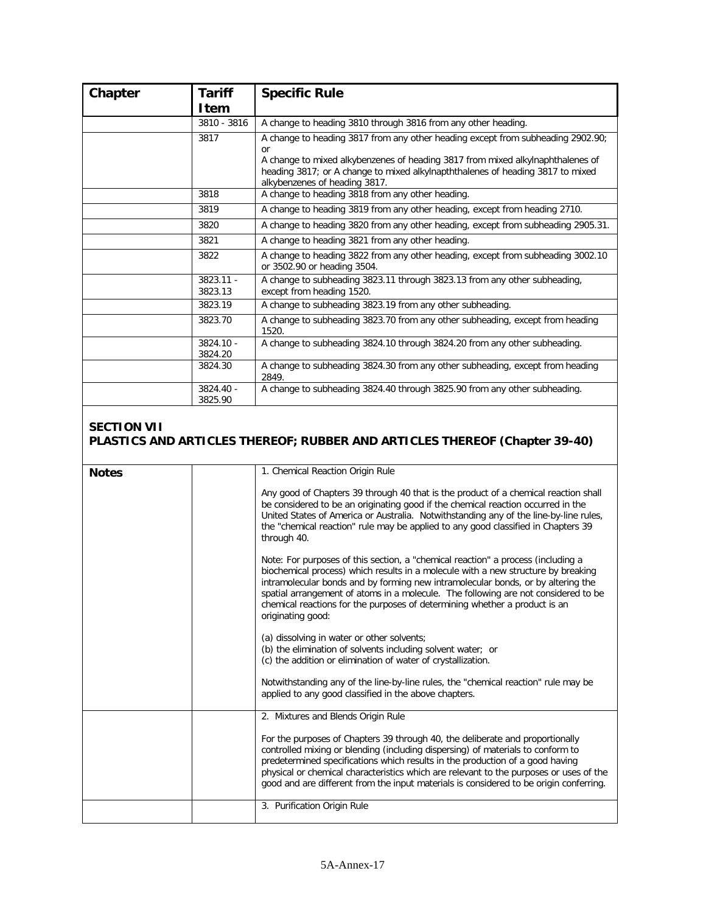| Chapter | <b>Tariff</b><br>Item  | <b>Specific Rule</b>                                                                                                                                                                                                                                                                                  |
|---------|------------------------|-------------------------------------------------------------------------------------------------------------------------------------------------------------------------------------------------------------------------------------------------------------------------------------------------------|
|         | 3810 - 3816            | A change to heading 3810 through 3816 from any other heading.                                                                                                                                                                                                                                         |
|         | 3817                   | A change to heading 3817 from any other heading except from subheading 2902.90;<br><sub>or</sub><br>A change to mixed alkybenzenes of heading 3817 from mixed alkylnaphthalenes of<br>heading 3817; or A change to mixed alkylnapththalenes of heading 3817 to mixed<br>alkybenzenes of heading 3817. |
|         | 3818                   | A change to heading 3818 from any other heading.                                                                                                                                                                                                                                                      |
|         | 3819                   | A change to heading 3819 from any other heading, except from heading 2710.                                                                                                                                                                                                                            |
|         | 3820                   | A change to heading 3820 from any other heading, except from subheading 2905.31.                                                                                                                                                                                                                      |
|         | 3821                   | A change to heading 3821 from any other heading.                                                                                                                                                                                                                                                      |
|         | 3822                   | A change to heading 3822 from any other heading, except from subheading 3002.10<br>or 3502.90 or heading 3504.                                                                                                                                                                                        |
|         | $3823.11 -$<br>3823.13 | A change to subheading 3823.11 through 3823.13 from any other subheading,<br>except from heading 1520.                                                                                                                                                                                                |
|         | 3823.19                | A change to subheading 3823.19 from any other subheading.                                                                                                                                                                                                                                             |
|         | 3823.70                | A change to subheading 3823.70 from any other subheading, except from heading<br>1520.                                                                                                                                                                                                                |
|         | 3824.10 -<br>3824.20   | A change to subheading 3824.10 through 3824.20 from any other subheading.                                                                                                                                                                                                                             |
|         | 3824.30                | A change to subheading 3824.30 from any other subheading, except from heading<br>2849.                                                                                                                                                                                                                |
|         | $3824.40 -$<br>3825.90 | A change to subheading 3824.40 through 3825.90 from any other subheading.                                                                                                                                                                                                                             |

## **SECTION VII PLASTICS AND ARTICLES THEREOF; RUBBER AND ARTICLES THEREOF (Chapter 39-40)**

| <b>Notes</b> | 1. Chemical Reaction Origin Rule                                                                                                                                                                                                                                                                                                                                                                                                                   |
|--------------|----------------------------------------------------------------------------------------------------------------------------------------------------------------------------------------------------------------------------------------------------------------------------------------------------------------------------------------------------------------------------------------------------------------------------------------------------|
|              | Any good of Chapters 39 through 40 that is the product of a chemical reaction shall<br>be considered to be an originating good if the chemical reaction occurred in the<br>United States of America or Australia. Notwithstanding any of the line-by-line rules,<br>the "chemical reaction" rule may be applied to any good classified in Chapters 39<br>through 40.                                                                               |
|              | Note: For purposes of this section, a "chemical reaction" a process (including a<br>biochemical process) which results in a molecule with a new structure by breaking<br>intramolecular bonds and by forming new intramolecular bonds, or by altering the<br>spatial arrangement of atoms in a molecule. The following are not considered to be<br>chemical reactions for the purposes of determining whether a product is an<br>originating good: |
|              | (a) dissolving in water or other solvents;<br>(b) the elimination of solvents including solvent water; or<br>(c) the addition or elimination of water of crystallization.                                                                                                                                                                                                                                                                          |
|              | Notwithstanding any of the line-by-line rules, the "chemical reaction" rule may be<br>applied to any good classified in the above chapters.                                                                                                                                                                                                                                                                                                        |
|              | 2. Mixtures and Blends Origin Rule                                                                                                                                                                                                                                                                                                                                                                                                                 |
|              | For the purposes of Chapters 39 through 40, the deliberate and proportionally<br>controlled mixing or blending (including dispersing) of materials to conform to<br>predetermined specifications which results in the production of a good having<br>physical or chemical characteristics which are relevant to the purposes or uses of the<br>good and are different from the input materials is considered to be origin conferring.              |
|              | 3. Purification Origin Rule                                                                                                                                                                                                                                                                                                                                                                                                                        |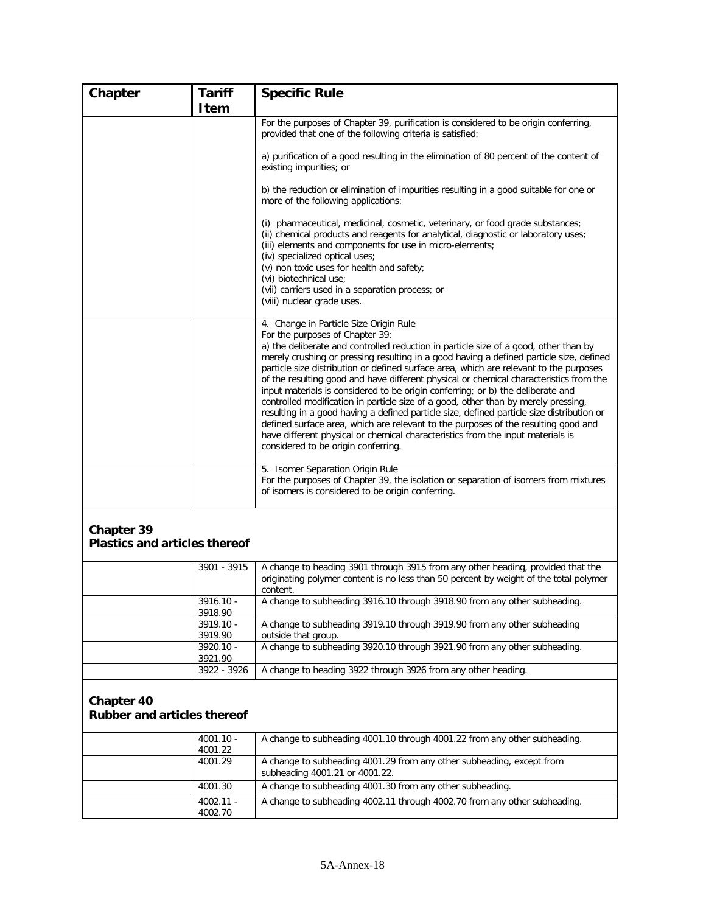| Chapter                                            | <b>Tariff</b>          | <b>Specific Rule</b>                                                                                                                                                                                                                                                                                                                                                                                                                                                                                                                                                                                                                                                                                                                                                                                                                                                                                                                   |
|----------------------------------------------------|------------------------|----------------------------------------------------------------------------------------------------------------------------------------------------------------------------------------------------------------------------------------------------------------------------------------------------------------------------------------------------------------------------------------------------------------------------------------------------------------------------------------------------------------------------------------------------------------------------------------------------------------------------------------------------------------------------------------------------------------------------------------------------------------------------------------------------------------------------------------------------------------------------------------------------------------------------------------|
|                                                    | <b>Item</b>            |                                                                                                                                                                                                                                                                                                                                                                                                                                                                                                                                                                                                                                                                                                                                                                                                                                                                                                                                        |
|                                                    |                        | For the purposes of Chapter 39, purification is considered to be origin conferring,<br>provided that one of the following criteria is satisfied:                                                                                                                                                                                                                                                                                                                                                                                                                                                                                                                                                                                                                                                                                                                                                                                       |
|                                                    |                        | a) purification of a good resulting in the elimination of 80 percent of the content of<br>existing impurities; or                                                                                                                                                                                                                                                                                                                                                                                                                                                                                                                                                                                                                                                                                                                                                                                                                      |
|                                                    |                        | b) the reduction or elimination of impurities resulting in a good suitable for one or<br>more of the following applications:                                                                                                                                                                                                                                                                                                                                                                                                                                                                                                                                                                                                                                                                                                                                                                                                           |
|                                                    |                        | (i) pharmaceutical, medicinal, cosmetic, veterinary, or food grade substances;<br>(ii) chemical products and reagents for analytical, diagnostic or laboratory uses;<br>(iii) elements and components for use in micro-elements;<br>(iv) specialized optical uses;<br>(v) non toxic uses for health and safety;<br>(vi) biotechnical use;<br>(vii) carriers used in a separation process; or<br>(viii) nuclear grade uses.                                                                                                                                                                                                                                                                                                                                                                                                                                                                                                             |
|                                                    |                        | 4. Change in Particle Size Origin Rule<br>For the purposes of Chapter 39:<br>a) the deliberate and controlled reduction in particle size of a good, other than by<br>merely crushing or pressing resulting in a good having a defined particle size, defined<br>particle size distribution or defined surface area, which are relevant to the purposes<br>of the resulting good and have different physical or chemical characteristics from the<br>input materials is considered to be origin conferring; or b) the deliberate and<br>controlled modification in particle size of a good, other than by merely pressing,<br>resulting in a good having a defined particle size, defined particle size distribution or<br>defined surface area, which are relevant to the purposes of the resulting good and<br>have different physical or chemical characteristics from the input materials is<br>considered to be origin conferring. |
|                                                    |                        | 5. Isomer Separation Origin Rule<br>For the purposes of Chapter 39, the isolation or separation of isomers from mixtures<br>of isomers is considered to be origin conferring.                                                                                                                                                                                                                                                                                                                                                                                                                                                                                                                                                                                                                                                                                                                                                          |
| Chapter 39<br><b>Plastics and articles thereof</b> |                        |                                                                                                                                                                                                                                                                                                                                                                                                                                                                                                                                                                                                                                                                                                                                                                                                                                                                                                                                        |
|                                                    | 3901 - 3915            | A change to heading 3901 through 3915 from any other heading, provided that the<br>originating polymer content is no less than 50 percent by weight of the total polymer<br>content.                                                                                                                                                                                                                                                                                                                                                                                                                                                                                                                                                                                                                                                                                                                                                   |
|                                                    | 3916.10 -<br>3918.90   | A change to subheading 3916.10 through 3918.90 from any other subheading.                                                                                                                                                                                                                                                                                                                                                                                                                                                                                                                                                                                                                                                                                                                                                                                                                                                              |
|                                                    | 3919.10 -              | A change to subheading 3919.10 through 3919.90 from any other subheading                                                                                                                                                                                                                                                                                                                                                                                                                                                                                                                                                                                                                                                                                                                                                                                                                                                               |
|                                                    | 3919.90<br>3920.10 -   | outside that group.<br>A change to subheading 3920.10 through 3921.90 from any other subheading.                                                                                                                                                                                                                                                                                                                                                                                                                                                                                                                                                                                                                                                                                                                                                                                                                                       |
|                                                    | 3921.90                |                                                                                                                                                                                                                                                                                                                                                                                                                                                                                                                                                                                                                                                                                                                                                                                                                                                                                                                                        |
|                                                    | 3922 - 3926            | A change to heading 3922 through 3926 from any other heading.                                                                                                                                                                                                                                                                                                                                                                                                                                                                                                                                                                                                                                                                                                                                                                                                                                                                          |
| Chapter 40<br><b>Rubber and articles thereof</b>   |                        |                                                                                                                                                                                                                                                                                                                                                                                                                                                                                                                                                                                                                                                                                                                                                                                                                                                                                                                                        |
|                                                    | $4001.10 -$<br>4001.22 | A change to subheading 4001.10 through 4001.22 from any other subheading.                                                                                                                                                                                                                                                                                                                                                                                                                                                                                                                                                                                                                                                                                                                                                                                                                                                              |
|                                                    | 4001.29                | A change to subheading 4001.29 from any other subheading, except from<br>subheading 4001.21 or 4001.22.                                                                                                                                                                                                                                                                                                                                                                                                                                                                                                                                                                                                                                                                                                                                                                                                                                |
|                                                    | 4001.30                | A change to subheading 4001.30 from any other subheading.                                                                                                                                                                                                                                                                                                                                                                                                                                                                                                                                                                                                                                                                                                                                                                                                                                                                              |
|                                                    | $4002.11 -$            | A change to subheading 4002.11 through 4002.70 from any other subheading.                                                                                                                                                                                                                                                                                                                                                                                                                                                                                                                                                                                                                                                                                                                                                                                                                                                              |

4002.70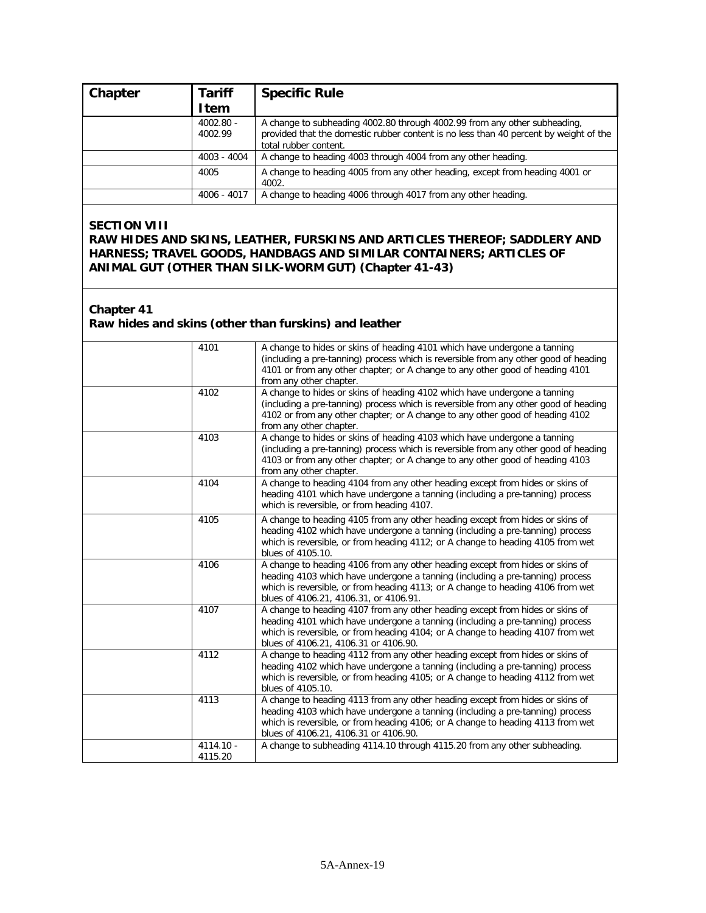| Chapter | <b>Tariff</b>          | <b>Specific Rule</b>                                                                                                                                                                        |
|---------|------------------------|---------------------------------------------------------------------------------------------------------------------------------------------------------------------------------------------|
|         | <b>I</b> tem           |                                                                                                                                                                                             |
|         | $4002.80 -$<br>4002.99 | A change to subheading 4002.80 through 4002.99 from any other subheading,<br>provided that the domestic rubber content is no less than 40 percent by weight of the<br>total rubber content. |
|         | 4003 - 4004            | A change to heading 4003 through 4004 from any other heading.                                                                                                                               |
|         | 4005                   | A change to heading 4005 from any other heading, except from heading 4001 or<br>4002.                                                                                                       |
|         | 4006 - 4017            | A change to heading 4006 through 4017 from any other heading.                                                                                                                               |

#### **SECTION VIII**

**RAW HIDES AND SKINS, LEATHER, FURSKINS AND ARTICLES THEREOF; SADDLERY AND HARNESS; TRAVEL GOODS, HANDBAGS AND SIMILAR CONTAINERS; ARTICLES OF ANIMAL GUT (OTHER THAN SILK-WORM GUT) (Chapter 41-43)**

#### **Chapter 41**

#### **Raw hides and skins (other than furskins) and leather**

| 4101                 | A change to hides or skins of heading 4101 which have undergone a tanning<br>(including a pre-tanning) process which is reversible from any other good of heading<br>4101 or from any other chapter; or A change to any other good of heading 4101<br>from any other chapter.               |
|----------------------|---------------------------------------------------------------------------------------------------------------------------------------------------------------------------------------------------------------------------------------------------------------------------------------------|
| 4102                 | A change to hides or skins of heading 4102 which have undergone a tanning<br>(including a pre-tanning) process which is reversible from any other good of heading<br>4102 or from any other chapter; or A change to any other good of heading 4102<br>from any other chapter.               |
| 4103                 | A change to hides or skins of heading 4103 which have undergone a tanning<br>(including a pre-tanning) process which is reversible from any other good of heading<br>4103 or from any other chapter; or A change to any other good of heading 4103<br>from any other chapter.               |
| 4104                 | A change to heading 4104 from any other heading except from hides or skins of<br>heading 4101 which have undergone a tanning (including a pre-tanning) process<br>which is reversible, or from heading 4107.                                                                                |
| 4105                 | A change to heading 4105 from any other heading except from hides or skins of<br>heading 4102 which have undergone a tanning (including a pre-tanning) process<br>which is reversible, or from heading 4112; or A change to heading 4105 from wet<br>blues of 4105.10.                      |
| 4106                 | A change to heading 4106 from any other heading except from hides or skins of<br>heading 4103 which have undergone a tanning (including a pre-tanning) process<br>which is reversible, or from heading 4113; or A change to heading 4106 from wet<br>blues of 4106.21, 4106.31, or 4106.91. |
| 4107                 | A change to heading 4107 from any other heading except from hides or skins of<br>heading 4101 which have undergone a tanning (including a pre-tanning) process<br>which is reversible, or from heading 4104; or A change to heading 4107 from wet<br>blues of 4106.21, 4106.31 or 4106.90.  |
| 4112                 | A change to heading 4112 from any other heading except from hides or skins of<br>heading 4102 which have undergone a tanning (including a pre-tanning) process<br>which is reversible, or from heading 4105; or A change to heading 4112 from wet<br>blues of 4105.10.                      |
| 4113                 | A change to heading 4113 from any other heading except from hides or skins of<br>heading 4103 which have undergone a tanning (including a pre-tanning) process<br>which is reversible, or from heading 4106; or A change to heading 4113 from wet<br>blues of 4106.21, 4106.31 or 4106.90.  |
| 4114.10 -<br>4115.20 | A change to subheading 4114.10 through 4115.20 from any other subheading.                                                                                                                                                                                                                   |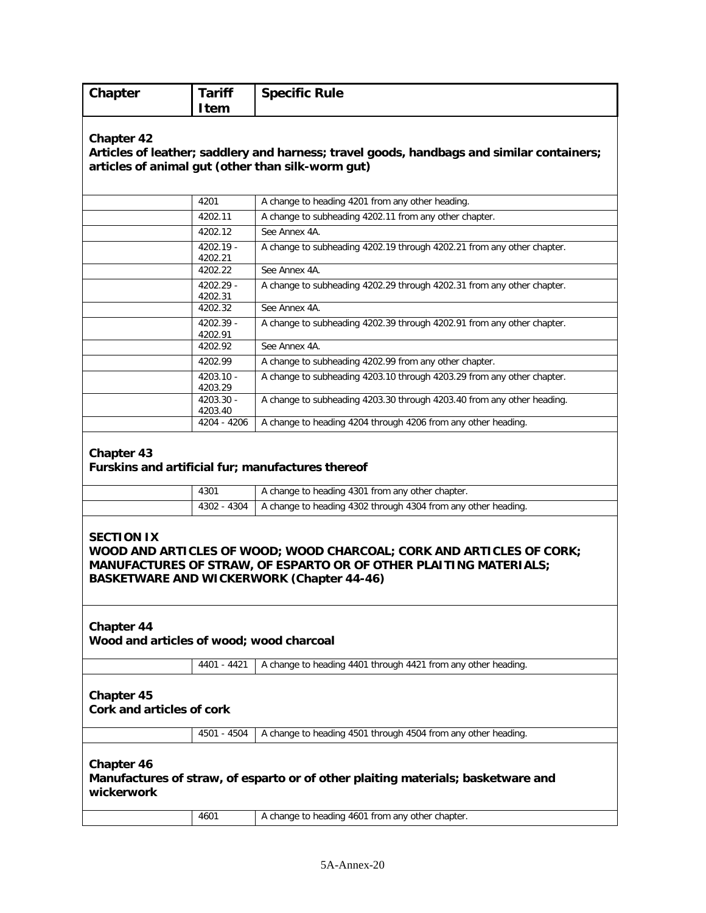| Chapter | <b>Tariff</b> | <b>Specific Rule</b> |
|---------|---------------|----------------------|
|         | <b>Item</b>   |                      |

#### **Articles of leather; saddlery and harness; travel goods, handbags and similar containers; articles of animal gut (other than silk-worm gut)**

| 4201                   | A change to heading 4201 from any other heading.                       |
|------------------------|------------------------------------------------------------------------|
| 4202.11                | A change to subheading 4202.11 from any other chapter.                 |
| 4202.12                | See Annex 4A.                                                          |
| $4202.19 -$<br>4202.21 | A change to subheading 4202.19 through 4202.21 from any other chapter. |
| 4202.22                | See Annex 4A.                                                          |
| $4202.29 -$<br>4202.31 | A change to subheading 4202.29 through 4202.31 from any other chapter. |
| 4202.32                | See Annex 4A.                                                          |
| $4202.39 -$<br>4202.91 | A change to subheading 4202.39 through 4202.91 from any other chapter. |
| 4202.92                | See Annex 4A.                                                          |
| 4202.99                | A change to subheading 4202.99 from any other chapter.                 |
| $4203.10 -$<br>4203.29 | A change to subheading 4203.10 through 4203.29 from any other chapter. |
| $4203.30 -$<br>4203.40 | A change to subheading 4203.30 through 4203.40 from any other heading. |
| 4204 - 4206            | A change to heading 4204 through 4206 from any other heading.          |

#### **Chapter 43**

#### **Furskins and artificial fur; manufactures thereof**

| 4301 | A change to heading 4301 from any other chapter.                               |
|------|--------------------------------------------------------------------------------|
|      | $-4302 - 4304$   A change to heading 4302 through 4304 from any other heading. |

#### **SECTION IX WOOD AND ARTICLES OF WOOD; WOOD CHARCOAL; CORK AND ARTICLES OF CORK; MANUFACTURES OF STRAW, OF ESPARTO OR OF OTHER PLAITING MATERIALS; BASKETWARE AND WICKERWORK (Chapter 44-46)**

## **Chapter 44**

**Wood and articles of wood; wood charcoal**

4401 - 4421 A change to heading 4401 through 4421 from any other heading.

# **Chapter 45**

**Cork and articles of cork**

|  |  | 4501 - 4504   A change to heading 4501 through 4504 from any other heading. |  |  |  |  |
|--|--|-----------------------------------------------------------------------------|--|--|--|--|
|--|--|-----------------------------------------------------------------------------|--|--|--|--|

# **Chapter 46 Manufactures of straw, of esparto or of other plaiting materials; basketware and wickerwork**

|  | 4601 | ∴o heading 4601 f<br>any other chapter.<br>from<br>change |
|--|------|-----------------------------------------------------------|
|--|------|-----------------------------------------------------------|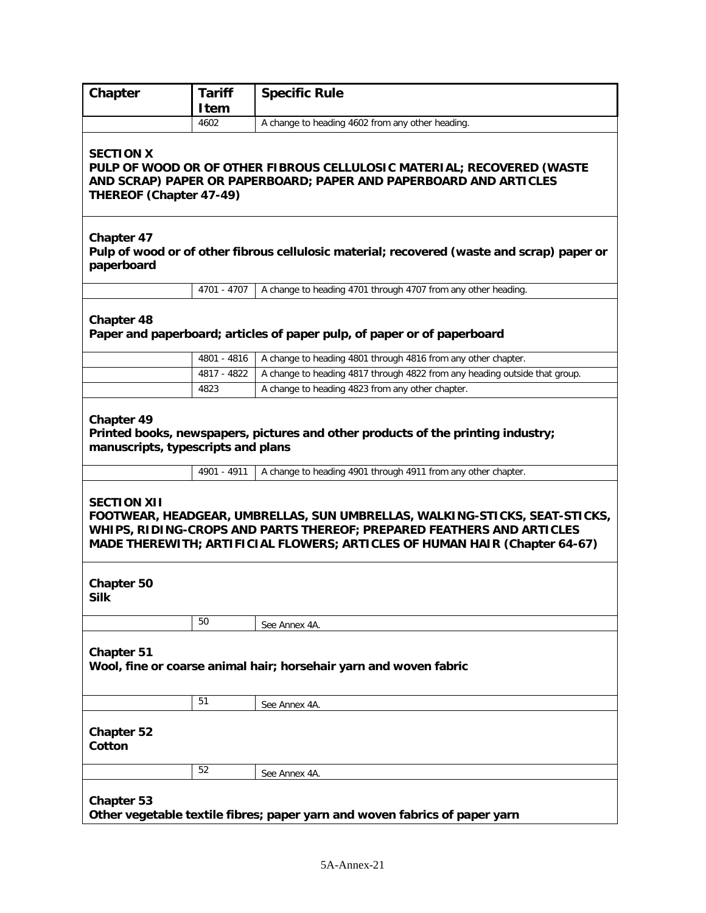| Chapter                                                                                                                                                                                                                                                 | <b>Tariff</b><br>Item                                                                                                                | <b>Specific Rule</b>                                                                       |  |  |
|---------------------------------------------------------------------------------------------------------------------------------------------------------------------------------------------------------------------------------------------------------|--------------------------------------------------------------------------------------------------------------------------------------|--------------------------------------------------------------------------------------------|--|--|
|                                                                                                                                                                                                                                                         | 4602                                                                                                                                 | A change to heading 4602 from any other heading.                                           |  |  |
| <b>SECTION X</b><br>PULP OF WOOD OR OF OTHER FIBROUS CELLULOSIC MATERIAL; RECOVERED (WASTE<br>AND SCRAP) PAPER OR PAPERBOARD; PAPER AND PAPERBOARD AND ARTICLES<br>THEREOF (Chapter 47-49)                                                              |                                                                                                                                      |                                                                                            |  |  |
| Chapter 47<br>paperboard                                                                                                                                                                                                                                |                                                                                                                                      | Pulp of wood or of other fibrous cellulosic material; recovered (waste and scrap) paper or |  |  |
|                                                                                                                                                                                                                                                         | 4701 - 4707                                                                                                                          | A change to heading 4701 through 4707 from any other heading.                              |  |  |
| <b>Chapter 48</b>                                                                                                                                                                                                                                       |                                                                                                                                      | Paper and paperboard; articles of paper pulp, of paper or of paperboard                    |  |  |
|                                                                                                                                                                                                                                                         | 4801 - 4816                                                                                                                          | A change to heading 4801 through 4816 from any other chapter.                              |  |  |
|                                                                                                                                                                                                                                                         | 4817 - 4822                                                                                                                          | A change to heading 4817 through 4822 from any heading outside that group.                 |  |  |
|                                                                                                                                                                                                                                                         | 4823                                                                                                                                 | A change to heading 4823 from any other chapter.                                           |  |  |
|                                                                                                                                                                                                                                                         | Chapter 49<br>Printed books, newspapers, pictures and other products of the printing industry;<br>manuscripts, typescripts and plans |                                                                                            |  |  |
|                                                                                                                                                                                                                                                         | 4901 - 4911                                                                                                                          | A change to heading 4901 through 4911 from any other chapter.                              |  |  |
| <b>SECTION XII</b><br>FOOTWEAR, HEADGEAR, UMBRELLAS, SUN UMBRELLAS, WALKING-STICKS, SEAT-STICKS,<br>WHIPS, RIDING-CROPS AND PARTS THEREOF; PREPARED FEATHERS AND ARTICLES<br>MADE THEREWITH; ARTIFICIAL FLOWERS; ARTICLES OF HUMAN HAIR (Chapter 64-67) |                                                                                                                                      |                                                                                            |  |  |
| <b>Chapter 50</b><br><b>Silk</b>                                                                                                                                                                                                                        |                                                                                                                                      |                                                                                            |  |  |
|                                                                                                                                                                                                                                                         | 50                                                                                                                                   | See Annex 4A.                                                                              |  |  |
| <b>Chapter 51</b><br>Wool, fine or coarse animal hair; horsehair yarn and woven fabric                                                                                                                                                                  |                                                                                                                                      |                                                                                            |  |  |
|                                                                                                                                                                                                                                                         | 51                                                                                                                                   | See Annex 4A.                                                                              |  |  |
| <b>Chapter 52</b><br>Cotton                                                                                                                                                                                                                             |                                                                                                                                      |                                                                                            |  |  |
|                                                                                                                                                                                                                                                         | 52                                                                                                                                   | See Annex 4A.                                                                              |  |  |
| <b>Chapter 53</b>                                                                                                                                                                                                                                       |                                                                                                                                      | Other vegetable textile fibres; paper yarn and woven fabrics of paper yarn                 |  |  |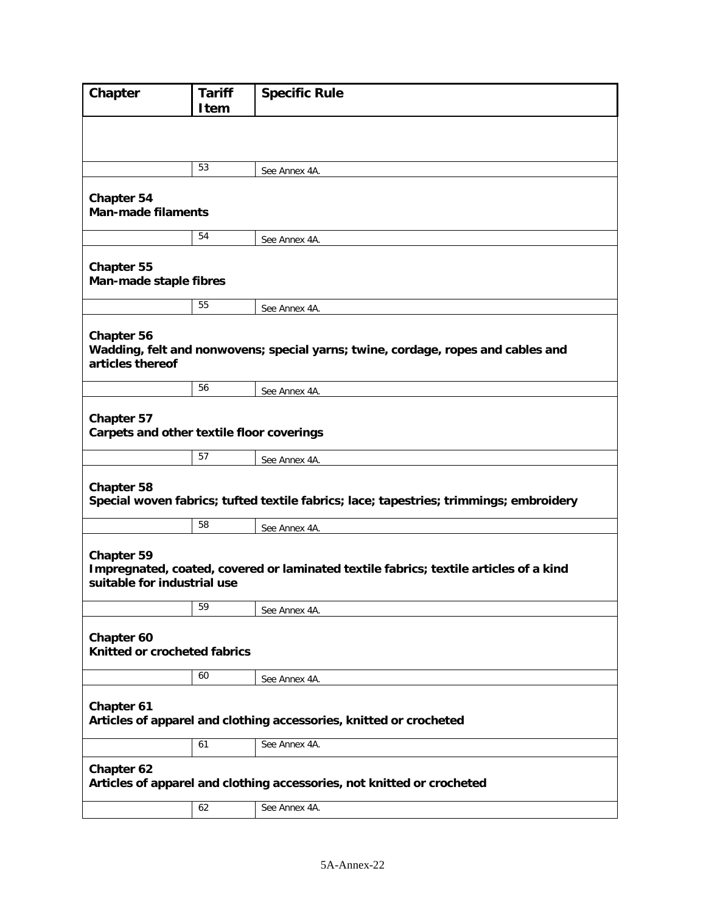| Chapter                                                 | <b>Tariff</b><br><b>Item</b>                                           | <b>Specific Rule</b>                                                                   |  |
|---------------------------------------------------------|------------------------------------------------------------------------|----------------------------------------------------------------------------------------|--|
|                                                         |                                                                        |                                                                                        |  |
|                                                         | 53                                                                     | See Annex 4A.                                                                          |  |
| <b>Chapter 54</b>                                       |                                                                        |                                                                                        |  |
| <b>Man-made filaments</b>                               |                                                                        |                                                                                        |  |
|                                                         | 54                                                                     | See Annex 4A.                                                                          |  |
| Chapter 55<br>Man-made staple fibres                    |                                                                        |                                                                                        |  |
|                                                         | 55                                                                     | See Annex 4A.                                                                          |  |
| Chapter 56<br>articles thereof                          |                                                                        | Wadding, felt and nonwovens; special yarns; twine, cordage, ropes and cables and       |  |
|                                                         | 56                                                                     | See Annex 4A.                                                                          |  |
| Chapter 57<br>Carpets and other textile floor coverings |                                                                        |                                                                                        |  |
|                                                         | 57                                                                     | See Annex 4A.                                                                          |  |
| <b>Chapter 58</b>                                       |                                                                        | Special woven fabrics; tufted textile fabrics; lace; tapestries; trimmings; embroidery |  |
|                                                         | 58                                                                     | See Annex 4A.                                                                          |  |
| Chapter 59<br>suitable for industrial use               |                                                                        | Impregnated, coated, covered or laminated textile fabrics; textile articles of a kind  |  |
|                                                         | 59                                                                     | See Annex 4A.                                                                          |  |
| Chapter 60<br>Knitted or crocheted fabrics              |                                                                        |                                                                                        |  |
|                                                         | 60                                                                     | See Annex 4A.                                                                          |  |
| Chapter 61                                              |                                                                        | Articles of apparel and clothing accessories, knitted or crocheted                     |  |
|                                                         | 61                                                                     | See Annex 4A.                                                                          |  |
| Chapter 62                                              | Articles of apparel and clothing accessories, not knitted or crocheted |                                                                                        |  |
|                                                         | 62                                                                     | See Annex 4A.                                                                          |  |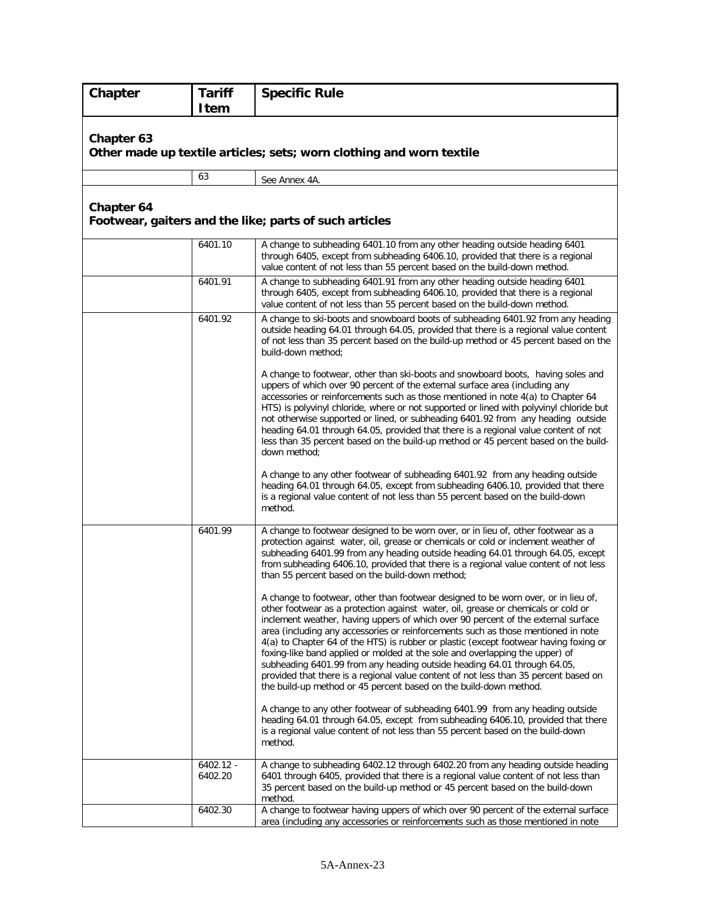| Chapter    | <b>Tariff</b><br><b>Item</b> | <b>Specific Rule</b>                                                                                                                                                                                                                                                                                                                                                                                                                                                                                                                                                                                                                                                                                                                                                |
|------------|------------------------------|---------------------------------------------------------------------------------------------------------------------------------------------------------------------------------------------------------------------------------------------------------------------------------------------------------------------------------------------------------------------------------------------------------------------------------------------------------------------------------------------------------------------------------------------------------------------------------------------------------------------------------------------------------------------------------------------------------------------------------------------------------------------|
| Chapter 63 |                              | Other made up textile articles; sets; worn clothing and worn textile                                                                                                                                                                                                                                                                                                                                                                                                                                                                                                                                                                                                                                                                                                |
|            | 63                           | See Annex 4A.                                                                                                                                                                                                                                                                                                                                                                                                                                                                                                                                                                                                                                                                                                                                                       |
| Chapter 64 |                              | Footwear, gaiters and the like; parts of such articles                                                                                                                                                                                                                                                                                                                                                                                                                                                                                                                                                                                                                                                                                                              |
|            | 6401.10                      | A change to subheading 6401.10 from any other heading outside heading 6401<br>through 6405, except from subheading 6406.10, provided that there is a regional<br>value content of not less than 55 percent based on the build-down method.                                                                                                                                                                                                                                                                                                                                                                                                                                                                                                                          |
|            | 6401.91                      | A change to subheading 6401.91 from any other heading outside heading 6401<br>through 6405, except from subheading 6406.10, provided that there is a regional<br>value content of not less than 55 percent based on the build-down method.                                                                                                                                                                                                                                                                                                                                                                                                                                                                                                                          |
|            | 6401.92                      | A change to ski-boots and snowboard boots of subheading 6401.92 from any heading<br>outside heading 64.01 through 64.05, provided that there is a regional value content<br>of not less than 35 percent based on the build-up method or 45 percent based on the<br>build-down method;                                                                                                                                                                                                                                                                                                                                                                                                                                                                               |
|            |                              | A change to footwear, other than ski-boots and snowboard boots, having soles and<br>uppers of which over 90 percent of the external surface area (including any<br>accessories or reinforcements such as those mentioned in note 4(a) to Chapter 64<br>HTS) is polyvinyl chloride, where or not supported or lined with polyvinyl chloride but<br>not otherwise supported or lined, or subheading 6401.92 from any heading outside<br>heading 64.01 through 64.05, provided that there is a regional value content of not<br>less than 35 percent based on the build-up method or 45 percent based on the build-<br>down method;                                                                                                                                    |
|            |                              | A change to any other footwear of subheading 6401.92 from any heading outside<br>heading 64.01 through 64.05, except from subheading 6406.10, provided that there<br>is a regional value content of not less than 55 percent based on the build-down<br>method.                                                                                                                                                                                                                                                                                                                                                                                                                                                                                                     |
|            | 6401.99                      | A change to footwear designed to be worn over, or in lieu of, other footwear as a<br>protection against water, oil, grease or chemicals or cold or inclement weather of<br>subheading 6401.99 from any heading outside heading 64.01 through 64.05, except<br>from subheading 6406.10, provided that there is a regional value content of not less<br>than 55 percent based on the build-down method;                                                                                                                                                                                                                                                                                                                                                               |
|            |                              | A change to footwear, other than footwear designed to be worn over, or in lieu of,<br>other footwear as a protection against water, oil, grease or chemicals or cold or<br>inclement weather, having uppers of which over 90 percent of the external surface<br>area (including any accessories or reinforcements such as those mentioned in note<br>4(a) to Chapter 64 of the HTS) is rubber or plastic (except footwear having foxing or<br>foxing-like band applied or molded at the sole and overlapping the upper) of<br>subheading 6401.99 from any heading outside heading 64.01 through 64.05,<br>provided that there is a regional value content of not less than 35 percent based on<br>the build-up method or 45 percent based on the build-down method. |
|            |                              | A change to any other footwear of subheading 6401.99 from any heading outside<br>heading 64.01 through 64.05, except from subheading 6406.10, provided that there<br>is a regional value content of not less than 55 percent based on the build-down<br>method.                                                                                                                                                                                                                                                                                                                                                                                                                                                                                                     |
|            | $6402.12 -$<br>6402.20       | A change to subheading 6402.12 through 6402.20 from any heading outside heading<br>6401 through 6405, provided that there is a regional value content of not less than<br>35 percent based on the build-up method or 45 percent based on the build-down<br>method.                                                                                                                                                                                                                                                                                                                                                                                                                                                                                                  |
|            | 6402.30                      | A change to footwear having uppers of which over 90 percent of the external surface<br>area (including any accessories or reinforcements such as those mentioned in note                                                                                                                                                                                                                                                                                                                                                                                                                                                                                                                                                                                            |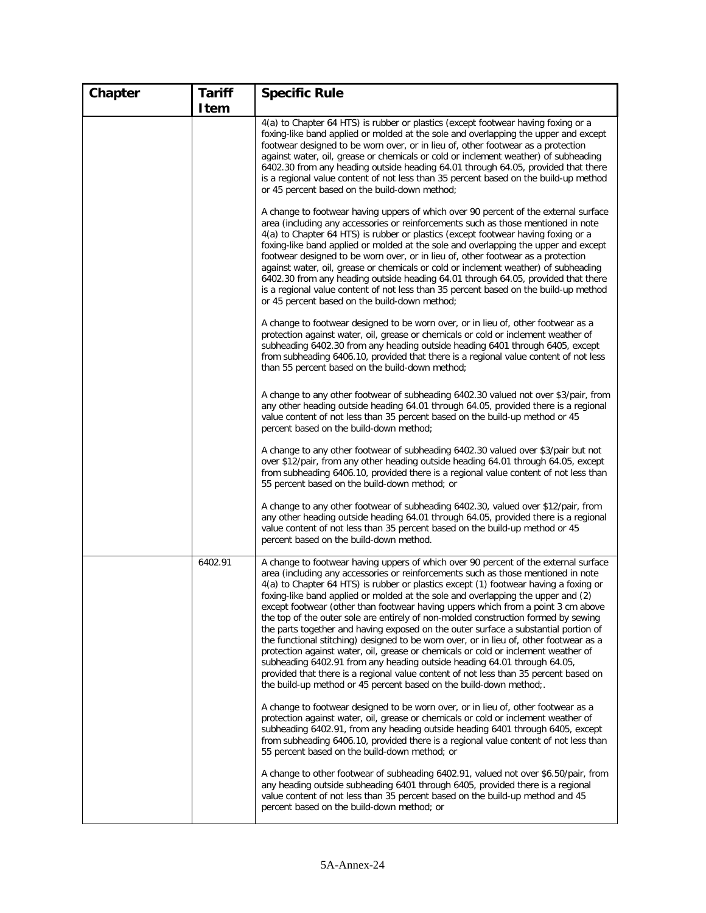| Chapter | <b>Tariff</b> | <b>Specific Rule</b>                                                                                                                                                                                                                                                                                                                                                                                                                                                                                                                                                                                                                                                                                                                                                                                                                                                                                                                                                                                                                           |
|---------|---------------|------------------------------------------------------------------------------------------------------------------------------------------------------------------------------------------------------------------------------------------------------------------------------------------------------------------------------------------------------------------------------------------------------------------------------------------------------------------------------------------------------------------------------------------------------------------------------------------------------------------------------------------------------------------------------------------------------------------------------------------------------------------------------------------------------------------------------------------------------------------------------------------------------------------------------------------------------------------------------------------------------------------------------------------------|
|         | Item          |                                                                                                                                                                                                                                                                                                                                                                                                                                                                                                                                                                                                                                                                                                                                                                                                                                                                                                                                                                                                                                                |
|         |               | 4(a) to Chapter 64 HTS) is rubber or plastics (except footwear having foxing or a<br>foxing-like band applied or molded at the sole and overlapping the upper and except<br>footwear designed to be worn over, or in lieu of, other footwear as a protection<br>against water, oil, grease or chemicals or cold or inclement weather) of subheading<br>6402.30 from any heading outside heading 64.01 through 64.05, provided that there<br>is a regional value content of not less than 35 percent based on the build-up method<br>or 45 percent based on the build-down method;                                                                                                                                                                                                                                                                                                                                                                                                                                                              |
|         |               | A change to footwear having uppers of which over 90 percent of the external surface<br>area (including any accessories or reinforcements such as those mentioned in note<br>4(a) to Chapter 64 HTS) is rubber or plastics (except footwear having foxing or a<br>foxing-like band applied or molded at the sole and overlapping the upper and except<br>footwear designed to be worn over, or in lieu of, other footwear as a protection<br>against water, oil, grease or chemicals or cold or inclement weather) of subheading<br>6402.30 from any heading outside heading 64.01 through 64.05, provided that there<br>is a regional value content of not less than 35 percent based on the build-up method<br>or 45 percent based on the build-down method;                                                                                                                                                                                                                                                                                  |
|         |               | A change to footwear designed to be worn over, or in lieu of, other footwear as a<br>protection against water, oil, grease or chemicals or cold or inclement weather of<br>subheading 6402.30 from any heading outside heading 6401 through 6405, except<br>from subheading 6406.10, provided that there is a regional value content of not less<br>than 55 percent based on the build-down method;                                                                                                                                                                                                                                                                                                                                                                                                                                                                                                                                                                                                                                            |
|         |               | A change to any other footwear of subheading 6402.30 valued not over \$3/pair, from<br>any other heading outside heading 64.01 through 64.05, provided there is a regional<br>value content of not less than 35 percent based on the build-up method or 45<br>percent based on the build-down method;                                                                                                                                                                                                                                                                                                                                                                                                                                                                                                                                                                                                                                                                                                                                          |
|         |               | A change to any other footwear of subheading 6402.30 valued over \$3/pair but not<br>over \$12/pair, from any other heading outside heading 64.01 through 64.05, except<br>from subheading 6406.10, provided there is a regional value content of not less than<br>55 percent based on the build-down method; or                                                                                                                                                                                                                                                                                                                                                                                                                                                                                                                                                                                                                                                                                                                               |
|         |               | A change to any other footwear of subheading 6402.30, valued over \$12/pair, from<br>any other heading outside heading 64.01 through 64.05, provided there is a regional<br>value content of not less than 35 percent based on the build-up method or 45<br>percent based on the build-down method.                                                                                                                                                                                                                                                                                                                                                                                                                                                                                                                                                                                                                                                                                                                                            |
|         | 6402.91       | A change to footwear having uppers of which over 90 percent of the external surface<br>area (including any accessories or reinforcements such as those mentioned in note<br>4(a) to Chapter 64 HTS) is rubber or plastics except (1) footwear having a foxing or<br>foxing-like band applied or molded at the sole and overlapping the upper and (2)<br>except footwear (other than footwear having uppers which from a point 3 cm above<br>the top of the outer sole are entirely of non-molded construction formed by sewing<br>the parts together and having exposed on the outer surface a substantial portion of<br>the functional stitching) designed to be worn over, or in lieu of, other footwear as a<br>protection against water, oil, grease or chemicals or cold or inclement weather of<br>subheading 6402.91 from any heading outside heading 64.01 through 64.05,<br>provided that there is a regional value content of not less than 35 percent based on<br>the build-up method or 45 percent based on the build-down method: |
|         |               | A change to footwear designed to be worn over, or in lieu of, other footwear as a<br>protection against water, oil, grease or chemicals or cold or inclement weather of<br>subheading 6402.91, from any heading outside heading 6401 through 6405, except<br>from subheading 6406.10, provided there is a regional value content of not less than<br>55 percent based on the build-down method; or                                                                                                                                                                                                                                                                                                                                                                                                                                                                                                                                                                                                                                             |
|         |               | A change to other footwear of subheading 6402.91, valued not over \$6.50/pair, from<br>any heading outside subheading 6401 through 6405, provided there is a regional<br>value content of not less than 35 percent based on the build-up method and 45<br>percent based on the build-down method; or                                                                                                                                                                                                                                                                                                                                                                                                                                                                                                                                                                                                                                                                                                                                           |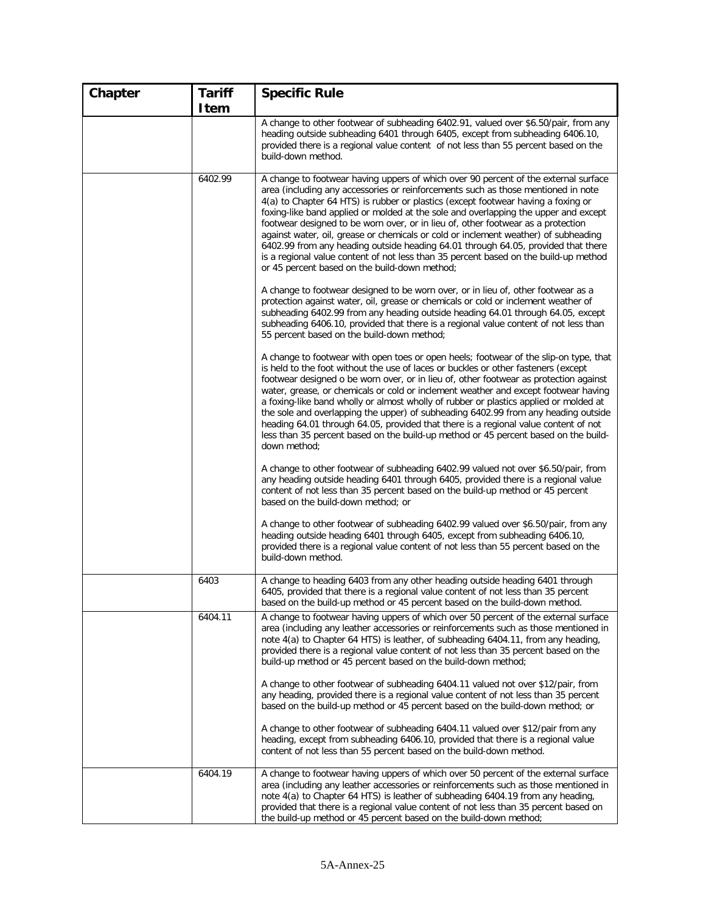| Chapter | <b>Tariff</b> | <b>Specific Rule</b>                                                                                                                                                                                                                                                                                                                                                                                                                                                                                                                                                                                                                                                                                                                                          |
|---------|---------------|---------------------------------------------------------------------------------------------------------------------------------------------------------------------------------------------------------------------------------------------------------------------------------------------------------------------------------------------------------------------------------------------------------------------------------------------------------------------------------------------------------------------------------------------------------------------------------------------------------------------------------------------------------------------------------------------------------------------------------------------------------------|
|         | Item          |                                                                                                                                                                                                                                                                                                                                                                                                                                                                                                                                                                                                                                                                                                                                                               |
|         |               | A change to other footwear of subheading 6402.91, valued over \$6.50/pair, from any<br>heading outside subheading 6401 through 6405, except from subheading 6406.10,<br>provided there is a regional value content of not less than 55 percent based on the<br>build-down method.                                                                                                                                                                                                                                                                                                                                                                                                                                                                             |
|         | 6402.99       | A change to footwear having uppers of which over 90 percent of the external surface<br>area (including any accessories or reinforcements such as those mentioned in note<br>4(a) to Chapter 64 HTS) is rubber or plastics (except footwear having a foxing or<br>foxing-like band applied or molded at the sole and overlapping the upper and except<br>footwear designed to be worn over, or in lieu of, other footwear as a protection<br>against water, oil, grease or chemicals or cold or inclement weather) of subheading<br>6402.99 from any heading outside heading 64.01 through 64.05, provided that there<br>is a regional value content of not less than 35 percent based on the build-up method<br>or 45 percent based on the build-down method; |
|         |               | A change to footwear designed to be worn over, or in lieu of, other footwear as a<br>protection against water, oil, grease or chemicals or cold or inclement weather of<br>subheading 6402.99 from any heading outside heading 64.01 through 64.05, except<br>subheading 6406.10, provided that there is a regional value content of not less than<br>55 percent based on the build-down method;                                                                                                                                                                                                                                                                                                                                                              |
|         |               | A change to footwear with open toes or open heels; footwear of the slip-on type, that<br>is held to the foot without the use of laces or buckles or other fasteners (except<br>footwear designed o be worn over, or in lieu of, other footwear as protection against<br>water, grease, or chemicals or cold or inclement weather and except footwear having<br>a foxing-like band wholly or almost wholly of rubber or plastics applied or molded at<br>the sole and overlapping the upper) of subheading 6402.99 from any heading outside<br>heading 64.01 through 64.05, provided that there is a regional value content of not<br>less than 35 percent based on the build-up method or 45 percent based on the build-<br>down method;                      |
|         |               | A change to other footwear of subheading 6402.99 valued not over \$6.50/pair, from<br>any heading outside heading 6401 through 6405, provided there is a regional value<br>content of not less than 35 percent based on the build-up method or 45 percent<br>based on the build-down method; or                                                                                                                                                                                                                                                                                                                                                                                                                                                               |
|         |               | A change to other footwear of subheading 6402.99 valued over \$6.50/pair, from any<br>heading outside heading 6401 through 6405, except from subheading 6406.10,<br>provided there is a regional value content of not less than 55 percent based on the<br>build-down method.                                                                                                                                                                                                                                                                                                                                                                                                                                                                                 |
|         | 6403          | A change to heading 6403 from any other heading outside heading 6401 through<br>6405, provided that there is a regional value content of not less than 35 percent<br>based on the build-up method or 45 percent based on the build-down method.                                                                                                                                                                                                                                                                                                                                                                                                                                                                                                               |
|         | 6404.11       | A change to footwear having uppers of which over 50 percent of the external surface<br>area (including any leather accessories or reinforcements such as those mentioned in<br>note 4(a) to Chapter 64 HTS) is leather, of subheading 6404.11, from any heading,<br>provided there is a regional value content of not less than 35 percent based on the<br>build-up method or 45 percent based on the build-down method;                                                                                                                                                                                                                                                                                                                                      |
|         |               | A change to other footwear of subheading 6404.11 valued not over \$12/pair, from<br>any heading, provided there is a regional value content of not less than 35 percent<br>based on the build-up method or 45 percent based on the build-down method; or                                                                                                                                                                                                                                                                                                                                                                                                                                                                                                      |
|         |               | A change to other footwear of subheading 6404.11 valued over \$12/pair from any<br>heading, except from subheading 6406.10, provided that there is a regional value<br>content of not less than 55 percent based on the build-down method.                                                                                                                                                                                                                                                                                                                                                                                                                                                                                                                    |
|         | 6404.19       | A change to footwear having uppers of which over 50 percent of the external surface<br>area (including any leather accessories or reinforcements such as those mentioned in<br>note 4(a) to Chapter 64 HTS) is leather of subheading 6404.19 from any heading,<br>provided that there is a regional value content of not less than 35 percent based on<br>the build-up method or 45 percent based on the build-down method;                                                                                                                                                                                                                                                                                                                                   |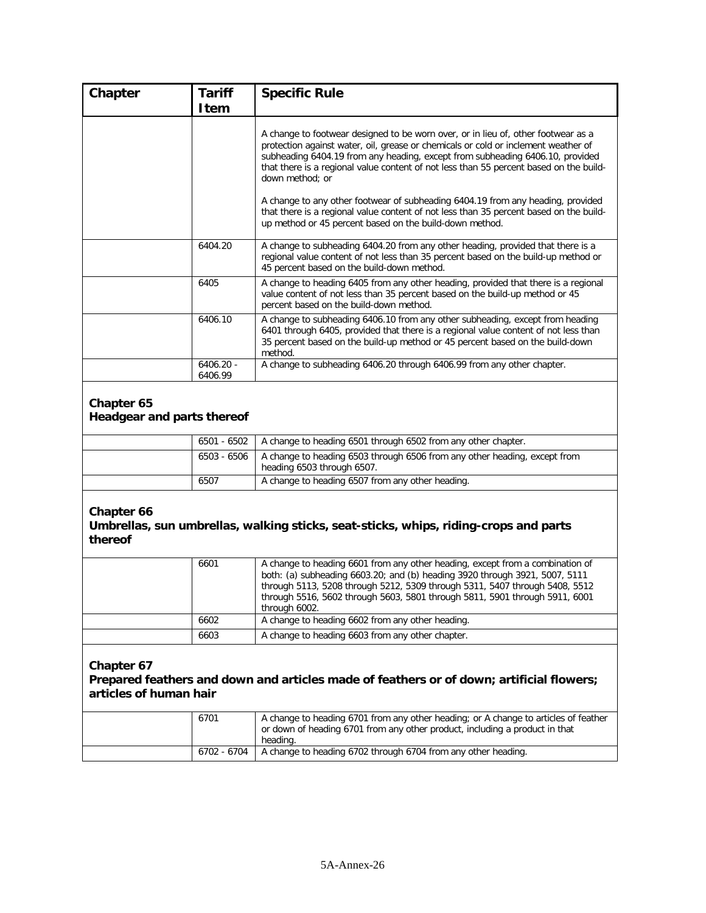| Chapter                                  | <b>Tariff</b><br>Item  | <b>Specific Rule</b>                                                                                                                                                                                                                                                                                                                                                  |
|------------------------------------------|------------------------|-----------------------------------------------------------------------------------------------------------------------------------------------------------------------------------------------------------------------------------------------------------------------------------------------------------------------------------------------------------------------|
|                                          |                        | A change to footwear designed to be worn over, or in lieu of, other footwear as a<br>protection against water, oil, grease or chemicals or cold or inclement weather of<br>subheading 6404.19 from any heading, except from subheading 6406.10, provided<br>that there is a regional value content of not less than 55 percent based on the build-<br>down method: or |
|                                          |                        | A change to any other footwear of subheading 6404.19 from any heading, provided<br>that there is a regional value content of not less than 35 percent based on the build-<br>up method or 45 percent based on the build-down method.                                                                                                                                  |
|                                          | 6404.20                | A change to subheading 6404.20 from any other heading, provided that there is a<br>regional value content of not less than 35 percent based on the build-up method or<br>45 percent based on the build-down method.                                                                                                                                                   |
|                                          | 6405                   | A change to heading 6405 from any other heading, provided that there is a regional<br>value content of not less than 35 percent based on the build-up method or 45<br>percent based on the build-down method.                                                                                                                                                         |
|                                          | 6406.10                | A change to subheading 6406.10 from any other subheading, except from heading<br>6401 through 6405, provided that there is a regional value content of not less than<br>35 percent based on the build-up method or 45 percent based on the build-down<br>method.                                                                                                      |
|                                          | $6406.20 -$<br>6406.99 | A change to subheading 6406.20 through 6406.99 from any other chapter.                                                                                                                                                                                                                                                                                                |
| Chapter 65<br>Headgear and parts thereof |                        |                                                                                                                                                                                                                                                                                                                                                                       |

|      | 6501 - 6502   A change to heading 6501 through 6502 from any other chapter.                                           |
|------|-----------------------------------------------------------------------------------------------------------------------|
|      | 6503 - 6506   A change to heading 6503 through 6506 from any other heading, except from<br>heading 6503 through 6507. |
| 6507 | A change to heading 6507 from any other heading.                                                                      |

#### **Umbrellas, sun umbrellas, walking sticks, seat-sticks, whips, riding-crops and parts thereof**

| 6601 | A change to heading 6601 from any other heading, except from a combination of<br>both: (a) subheading 6603.20; and (b) heading 3920 through 3921, 5007, 5111<br>through 5113, 5208 through 5212, 5309 through 5311, 5407 through 5408, 5512<br>through 5516, 5602 through 5603, 5801 through 5811, 5901 through 5911, 6001<br>through 6002. |
|------|---------------------------------------------------------------------------------------------------------------------------------------------------------------------------------------------------------------------------------------------------------------------------------------------------------------------------------------------|
| 6602 | A change to heading 6602 from any other heading.                                                                                                                                                                                                                                                                                            |
| 6603 | A change to heading 6603 from any other chapter.                                                                                                                                                                                                                                                                                            |

**Chapter 67**

#### **Prepared feathers and down and articles made of feathers or of down; artificial flowers; articles of human hair**

| 6701        | A change to heading 6701 from any other heading; or A change to articles of feather<br>or down of heading 6701 from any other product, including a product in that<br>heading. |
|-------------|--------------------------------------------------------------------------------------------------------------------------------------------------------------------------------|
| 6702 - 6704 | A change to heading 6702 through 6704 from any other heading.                                                                                                                  |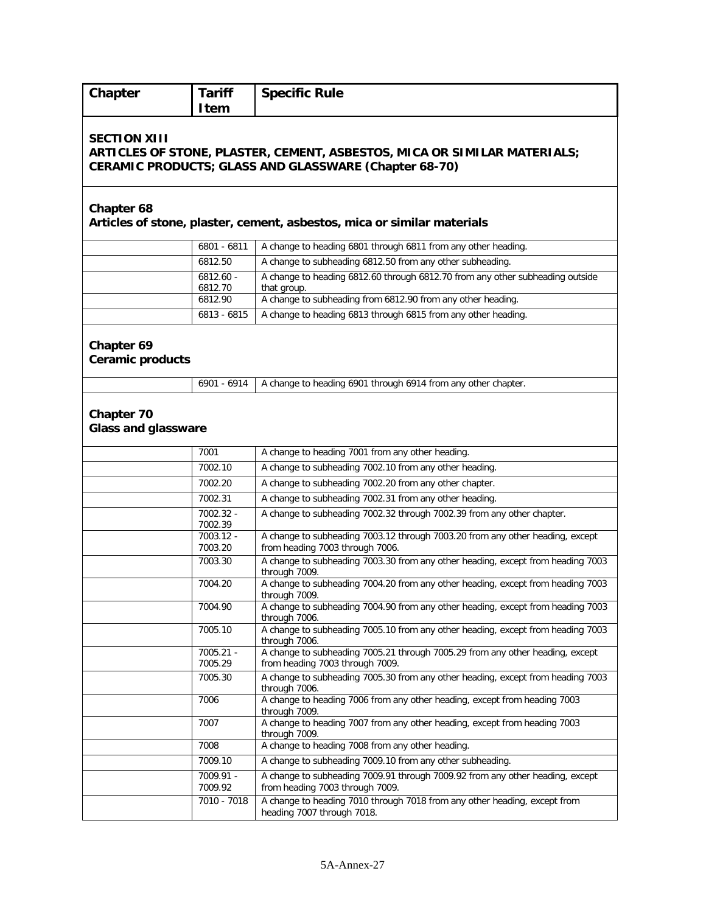| Chapter                                  | <b>Tariff</b><br>Item  | <b>Specific Rule</b>                                                                                                                                                              |
|------------------------------------------|------------------------|-----------------------------------------------------------------------------------------------------------------------------------------------------------------------------------|
| <b>SECTION XIII</b>                      |                        | ARTICLES OF STONE, PLASTER, CEMENT, ASBESTOS, MICA OR SIMILAR MATERIALS;<br>CERAMIC PRODUCTS; GLASS AND GLASSWARE (Chapter 68-70)                                                 |
| <b>Chapter 68</b>                        |                        | Articles of stone, plaster, cement, asbestos, mica or similar materials                                                                                                           |
|                                          | 6801 - 6811            | A change to heading 6801 through 6811 from any other heading.                                                                                                                     |
|                                          | 6812.50                | A change to subheading 6812.50 from any other subheading.                                                                                                                         |
|                                          | $6812.60 -$<br>6812.70 | A change to heading 6812.60 through 6812.70 from any other subheading outside<br>that group.                                                                                      |
|                                          | 6812.90                | A change to subheading from 6812.90 from any other heading.                                                                                                                       |
|                                          | 6813 - 6815            | A change to heading 6813 through 6815 from any other heading.                                                                                                                     |
| Chapter 69<br><b>Ceramic products</b>    | 6901 - 6914            | A change to heading 6901 through 6914 from any other chapter.                                                                                                                     |
|                                          |                        |                                                                                                                                                                                   |
| Chapter 70<br><b>Glass and glassware</b> |                        |                                                                                                                                                                                   |
|                                          | 7001                   | A change to heading 7001 from any other heading.                                                                                                                                  |
|                                          | 7002.10                | A change to subheading 7002.10 from any other heading.                                                                                                                            |
|                                          | 7002.20                | A change to subheading 7002.20 from any other chapter.                                                                                                                            |
|                                          | 7002.31                | A change to subheading 7002.31 from any other heading.                                                                                                                            |
|                                          | 7002.32 -<br>7002.39   | A change to subheading 7002.32 through 7002.39 from any other chapter.                                                                                                            |
|                                          | 7003.12 -<br>7003.20   | A change to subheading 7003.12 through 7003.20 from any other heading, except<br>from heading 7003 through 7006.                                                                  |
|                                          | 7003.30                | A change to subheading 7003.30 from any other heading, except from heading 7003<br>through 7009.                                                                                  |
|                                          | 7004.20                | A change to subheading 7004.20 from any other heading, except from heading 7003<br>through 7009.                                                                                  |
|                                          | 7004.90                | A change to subheading 7004.90 from any other heading, except from heading 7003<br>through 7006.                                                                                  |
|                                          | 7005.10                | A change to subheading 7005.10 from any other heading, except from heading 7003<br>through 7006.<br>A change to subheading 7005.21 through 7005.29 from any other heading, except |
|                                          | 7005.21 -<br>7005.29   | from heading 7003 through 7009.                                                                                                                                                   |
|                                          | 7005.30                | A change to subheading 7005.30 from any other heading, except from heading 7003<br>through 7006.                                                                                  |
|                                          | 7006                   | A change to heading 7006 from any other heading, except from heading 7003<br>through 7009.                                                                                        |
|                                          | 7007                   | A change to heading 7007 from any other heading, except from heading 7003<br>through 7009.                                                                                        |
|                                          | 7008                   | A change to heading 7008 from any other heading.                                                                                                                                  |
|                                          | 7009.10                | A change to subheading 7009.10 from any other subheading.                                                                                                                         |
|                                          | 7009.91 -<br>7009.92   | A change to subheading 7009.91 through 7009.92 from any other heading, except<br>from heading 7003 through 7009.                                                                  |
|                                          | 7010 - 7018            | A change to heading 7010 through 7018 from any other heading, except from<br>heading 7007 through 7018.                                                                           |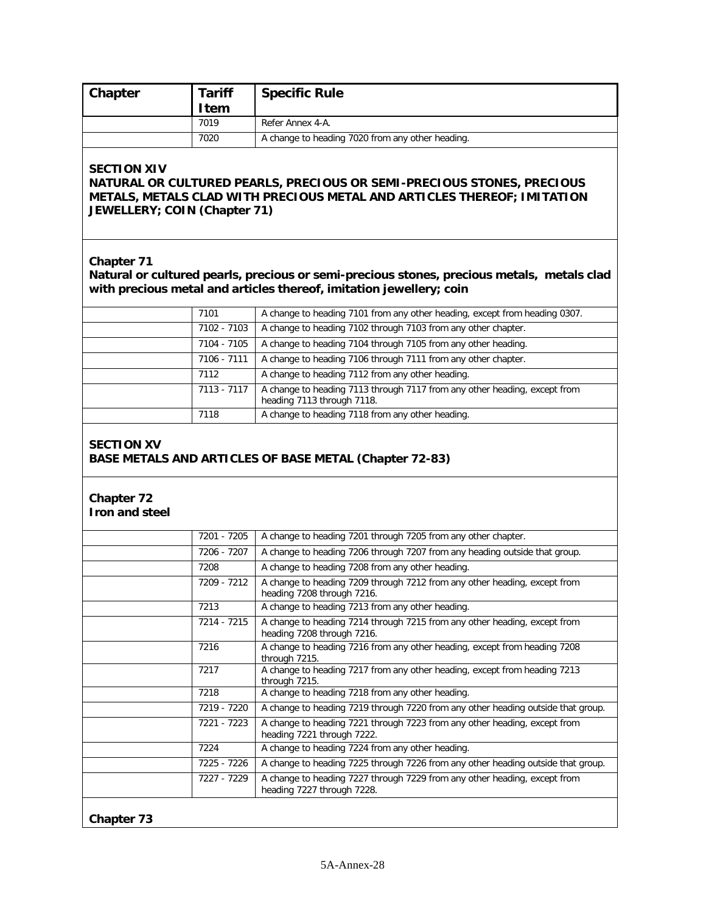|                                                    | <b>Tariff</b><br>Item      | <b>Specific Rule</b>                                                                                                                                              |
|----------------------------------------------------|----------------------------|-------------------------------------------------------------------------------------------------------------------------------------------------------------------|
|                                                    | 7019                       | Refer Annex 4-A.                                                                                                                                                  |
|                                                    | 7020                       | A change to heading 7020 from any other heading.                                                                                                                  |
| <b>SECTION XIV</b><br>JEWELLERY; COIN (Chapter 71) |                            | NATURAL OR CULTURED PEARLS, PRECIOUS OR SEMI-PRECIOUS STONES, PRECIOUS<br>METALS, METALS CLAD WITH PRECIOUS METAL AND ARTICLES THEREOF; IMITATION                 |
| Chapter 71                                         |                            | Natural or cultured pearls, precious or semi-precious stones, precious metals, metals clad<br>with precious metal and articles thereof, imitation jewellery; coin |
|                                                    | 7101                       | A change to heading 7101 from any other heading, except from heading 0307.                                                                                        |
|                                                    | $7102 - 7103$              | A change to heading 7102 through 7103 from any other chapter.                                                                                                     |
|                                                    | 7104 - 7105                | A change to heading 7104 through 7105 from any other heading.                                                                                                     |
|                                                    | 7106 - 7111                | A change to heading 7106 through 7111 from any other chapter.                                                                                                     |
|                                                    | 7112                       | A change to heading 7112 from any other heading.                                                                                                                  |
|                                                    | 7113 - 7117                | A change to heading 7113 through 7117 from any other heading, except from<br>heading 7113 through 7118.                                                           |
|                                                    | 7118                       | A change to heading 7118 from any other heading.                                                                                                                  |
|                                                    |                            |                                                                                                                                                                   |
| Chapter 72<br>Iron and steel                       |                            |                                                                                                                                                                   |
|                                                    |                            |                                                                                                                                                                   |
|                                                    | 7201 - 7205                | A change to heading 7201 through 7205 from any other chapter.                                                                                                     |
|                                                    | 7206 - 7207<br>7208        | A change to heading 7206 through 7207 from any heading outside that group.                                                                                        |
|                                                    | 7209 - 7212                | A change to heading 7208 from any other heading.<br>A change to heading 7209 through 7212 from any other heading, except from<br>heading 7208 through 7216.       |
|                                                    | 7213                       | A change to heading 7213 from any other heading.                                                                                                                  |
|                                                    | 7214 - 7215                | A change to heading 7214 through 7215 from any other heading, except from<br>heading 7208 through 7216.                                                           |
|                                                    | 7216                       | A change to heading 7216 from any other heading, except from heading 7208<br>through 7215.                                                                        |
|                                                    | 7217                       | A change to heading 7217 from any other heading, except from heading 7213<br>through 7215.                                                                        |
|                                                    | 7218                       | A change to heading 7218 from any other heading.                                                                                                                  |
|                                                    | 7219 - 7220                | A change to heading 7219 through 7220 from any other heading outside that group.                                                                                  |
|                                                    | 7221 - 7223                | A change to heading 7221 through 7223 from any other heading, except from<br>heading 7221 through 7222.                                                           |
|                                                    | 7224                       | A change to heading 7224 from any other heading.                                                                                                                  |
|                                                    | 7225 - 7226<br>7227 - 7229 | A change to heading 7225 through 7226 from any other heading outside that group.                                                                                  |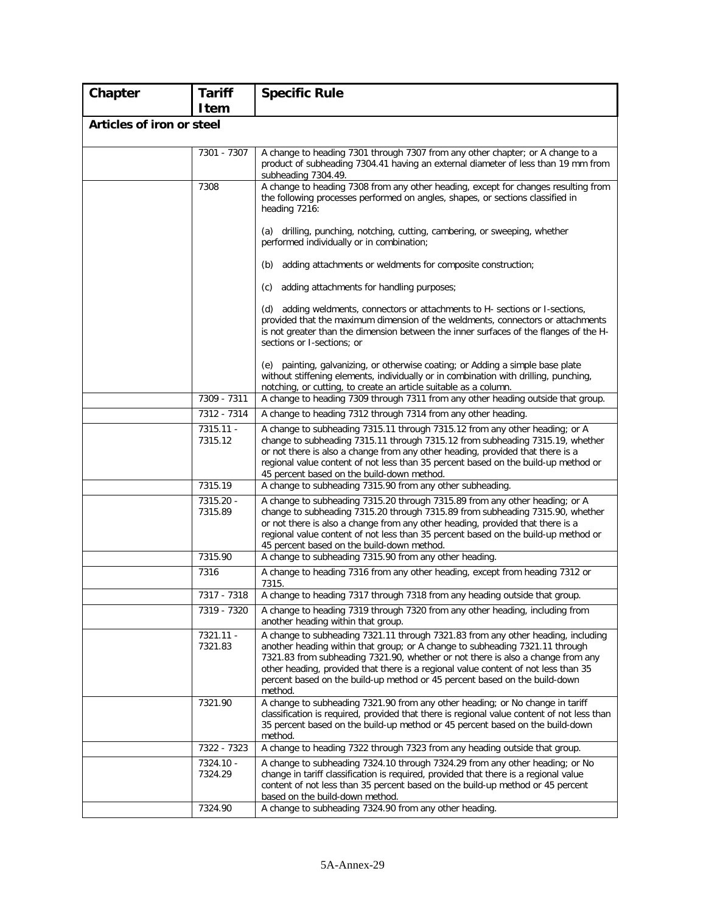| Chapter                   | <b>Tariff</b>        | <b>Specific Rule</b>                                                                                                                                                                                                                                                                                                                                                                                                               |
|---------------------------|----------------------|------------------------------------------------------------------------------------------------------------------------------------------------------------------------------------------------------------------------------------------------------------------------------------------------------------------------------------------------------------------------------------------------------------------------------------|
|                           | <b>I</b> tem         |                                                                                                                                                                                                                                                                                                                                                                                                                                    |
| Articles of iron or steel |                      |                                                                                                                                                                                                                                                                                                                                                                                                                                    |
|                           | 7301 - 7307          | A change to heading 7301 through 7307 from any other chapter; or A change to a<br>product of subheading 7304.41 having an external diameter of less than 19 mm from<br>subheading 7304.49.                                                                                                                                                                                                                                         |
|                           | 7308                 | A change to heading 7308 from any other heading, except for changes resulting from<br>the following processes performed on angles, shapes, or sections classified in<br>heading 7216:                                                                                                                                                                                                                                              |
|                           |                      | (a) drilling, punching, notching, cutting, cambering, or sweeping, whether<br>performed individually or in combination;                                                                                                                                                                                                                                                                                                            |
|                           |                      | adding attachments or weldments for composite construction;<br>(b)                                                                                                                                                                                                                                                                                                                                                                 |
|                           |                      | adding attachments for handling purposes;<br>(c)                                                                                                                                                                                                                                                                                                                                                                                   |
|                           |                      | (d) adding weldments, connectors or attachments to H- sections or I-sections,<br>provided that the maximum dimension of the weldments, connectors or attachments<br>is not greater than the dimension between the inner surfaces of the flanges of the H-<br>sections or I-sections; or                                                                                                                                            |
|                           |                      | (e) painting, galvanizing, or otherwise coating; or Adding a simple base plate<br>without stiffening elements, individually or in combination with drilling, punching,<br>notching, or cutting, to create an article suitable as a column.                                                                                                                                                                                         |
|                           | 7309 - 7311          | A change to heading 7309 through 7311 from any other heading outside that group.                                                                                                                                                                                                                                                                                                                                                   |
|                           | 7312 - 7314          | A change to heading 7312 through 7314 from any other heading.                                                                                                                                                                                                                                                                                                                                                                      |
|                           | 7315.11 -<br>7315.12 | A change to subheading 7315.11 through 7315.12 from any other heading; or A<br>change to subheading 7315.11 through 7315.12 from subheading 7315.19, whether<br>or not there is also a change from any other heading, provided that there is a<br>regional value content of not less than 35 percent based on the build-up method or<br>45 percent based on the build-down method.                                                 |
|                           | 7315.19              | A change to subheading 7315.90 from any other subheading.                                                                                                                                                                                                                                                                                                                                                                          |
|                           | 7315.20 -<br>7315.89 | A change to subheading 7315.20 through 7315.89 from any other heading; or A<br>change to subheading 7315.20 through 7315.89 from subheading 7315.90, whether<br>or not there is also a change from any other heading, provided that there is a<br>regional value content of not less than 35 percent based on the build-up method or<br>45 percent based on the build-down method.                                                 |
|                           | 7315.90              | A change to subheading 7315.90 from any other heading.                                                                                                                                                                                                                                                                                                                                                                             |
|                           | 7316                 | A change to heading 7316 from any other heading, except from heading 7312 or<br>7315.                                                                                                                                                                                                                                                                                                                                              |
|                           | 7317 - 7318          | A change to heading 7317 through 7318 from any heading outside that group.                                                                                                                                                                                                                                                                                                                                                         |
|                           | 7319 - 7320          | A change to heading 7319 through 7320 from any other heading, including from<br>another heading within that group.                                                                                                                                                                                                                                                                                                                 |
|                           | 7321.11 -<br>7321.83 | A change to subheading 7321.11 through 7321.83 from any other heading, including<br>another heading within that group; or A change to subheading 7321.11 through<br>7321.83 from subheading 7321.90, whether or not there is also a change from any<br>other heading, provided that there is a regional value content of not less than 35<br>percent based on the build-up method or 45 percent based on the build-down<br>method. |
|                           | 7321.90              | A change to subheading 7321.90 from any other heading; or No change in tariff<br>classification is required, provided that there is regional value content of not less than<br>35 percent based on the build-up method or 45 percent based on the build-down<br>method.                                                                                                                                                            |
|                           | 7322 - 7323          | A change to heading 7322 through 7323 from any heading outside that group.                                                                                                                                                                                                                                                                                                                                                         |
|                           | 7324.10 -<br>7324.29 | A change to subheading 7324.10 through 7324.29 from any other heading; or No<br>change in tariff classification is required, provided that there is a regional value<br>content of not less than 35 percent based on the build-up method or 45 percent<br>based on the build-down method.                                                                                                                                          |
|                           | 7324.90              | A change to subheading 7324.90 from any other heading.                                                                                                                                                                                                                                                                                                                                                                             |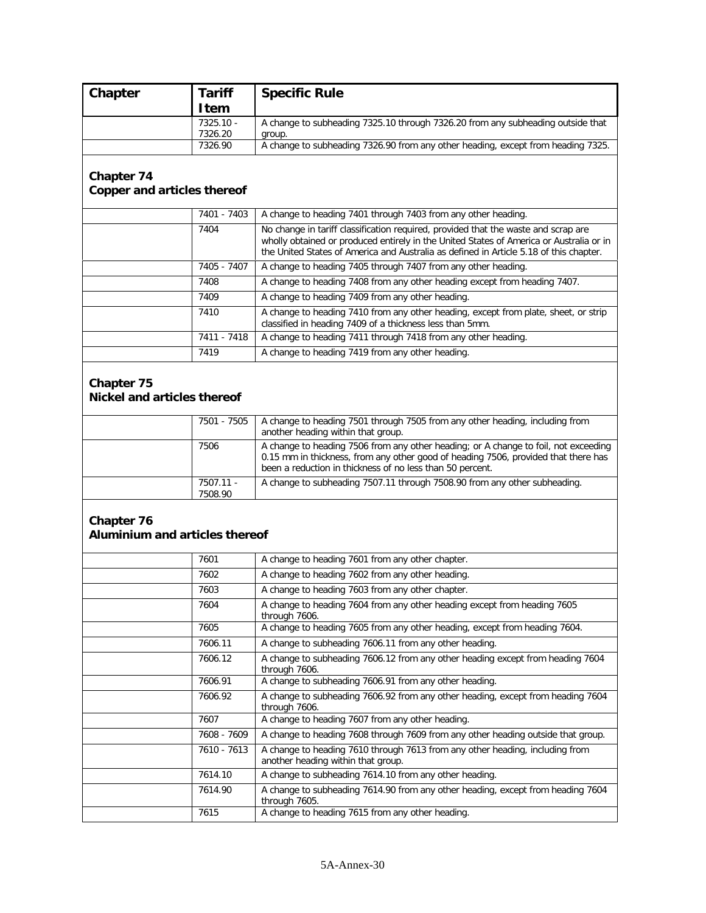| Chapter                                                 | <b>Tariff</b>          | <b>Specific Rule</b>                                                                                                                                                                                                                                                    |
|---------------------------------------------------------|------------------------|-------------------------------------------------------------------------------------------------------------------------------------------------------------------------------------------------------------------------------------------------------------------------|
|                                                         | <b>Item</b>            |                                                                                                                                                                                                                                                                         |
|                                                         | $7325.10 -$<br>7326.20 | A change to subheading 7325.10 through 7326.20 from any subheading outside that<br>group.                                                                                                                                                                               |
|                                                         | 7326.90                | A change to subheading 7326.90 from any other heading, except from heading 7325.                                                                                                                                                                                        |
|                                                         |                        |                                                                                                                                                                                                                                                                         |
| <b>Chapter 74</b>                                       |                        |                                                                                                                                                                                                                                                                         |
| <b>Copper and articles thereof</b>                      |                        |                                                                                                                                                                                                                                                                         |
|                                                         | 7401 - 7403            | A change to heading 7401 through 7403 from any other heading.                                                                                                                                                                                                           |
|                                                         | 7404                   | No change in tariff classification required, provided that the waste and scrap are<br>wholly obtained or produced entirely in the United States of America or Australia or in<br>the United States of America and Australia as defined in Article 5.18 of this chapter. |
|                                                         | 7405 - 7407            | A change to heading 7405 through 7407 from any other heading.                                                                                                                                                                                                           |
|                                                         | 7408                   | A change to heading 7408 from any other heading except from heading 7407.                                                                                                                                                                                               |
|                                                         | 7409                   | A change to heading 7409 from any other heading.                                                                                                                                                                                                                        |
|                                                         | 7410                   | A change to heading 7410 from any other heading, except from plate, sheet, or strip<br>classified in heading 7409 of a thickness less than 5mm.                                                                                                                         |
|                                                         | 7411 - 7418            | A change to heading 7411 through 7418 from any other heading.                                                                                                                                                                                                           |
|                                                         | 7419                   | A change to heading 7419 from any other heading.                                                                                                                                                                                                                        |
| <b>Chapter 75</b><br><b>Nickel and articles thereof</b> |                        |                                                                                                                                                                                                                                                                         |
|                                                         | 7501 - 7505            | A change to heading 7501 through 7505 from any other heading, including from<br>another heading within that group.                                                                                                                                                      |
|                                                         | 7506                   | A change to heading 7506 from any other heading; or A change to foil, not exceeding<br>0.15 mm in thickness, from any other good of heading 7506, provided that there has<br>been a reduction in thickness of no less than 50 percent.                                  |
|                                                         | 7507.11 -<br>7508.90   | A change to subheading 7507.11 through 7508.90 from any other subheading.                                                                                                                                                                                               |
| Chapter 76<br>Aluminium and articles thereof            |                        |                                                                                                                                                                                                                                                                         |
|                                                         | 7601                   | A change to heading 7601 from any other chapter.                                                                                                                                                                                                                        |
|                                                         | 7602                   | A change to heading 7602 from any other heading.                                                                                                                                                                                                                        |
|                                                         | 7603                   | A change to heading 7603 from any other chapter.                                                                                                                                                                                                                        |
|                                                         | 7604                   | A change to heading 7604 from any other heading except from heading 7605<br>through 7606.                                                                                                                                                                               |
|                                                         | 7605                   | A change to heading 7605 from any other heading, except from heading 7604.                                                                                                                                                                                              |
|                                                         | 7606.11                | A change to subheading 7606.11 from any other heading.                                                                                                                                                                                                                  |
|                                                         | 7606.12                | A change to subheading 7606.12 from any other heading except from heading 7604<br>through 7606.                                                                                                                                                                         |
|                                                         | 7606.91                | A change to subheading 7606.91 from any other heading.                                                                                                                                                                                                                  |
|                                                         | 7606.92                | A change to subheading 7606.92 from any other heading, except from heading 7604<br>through 7606.                                                                                                                                                                        |
|                                                         | 7607                   | A change to heading 7607 from any other heading.                                                                                                                                                                                                                        |
|                                                         | 7608 - 7609            | A change to heading 7608 through 7609 from any other heading outside that group.                                                                                                                                                                                        |
|                                                         | 7610 - 7613            | A change to heading 7610 through 7613 from any other heading, including from<br>another heading within that group.                                                                                                                                                      |
|                                                         | 7614.10                | A change to subheading 7614.10 from any other heading.                                                                                                                                                                                                                  |
|                                                         | 7614.90                | A change to subheading 7614.90 from any other heading, except from heading 7604<br>through 7605.                                                                                                                                                                        |
|                                                         | 7615                   | A change to heading 7615 from any other heading.                                                                                                                                                                                                                        |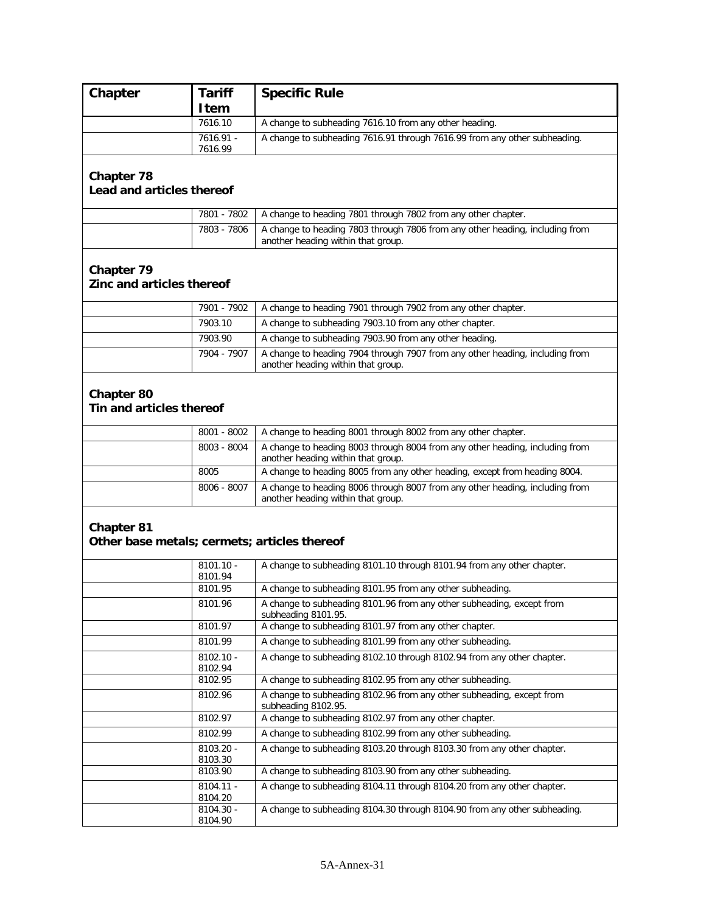| Chapter                                      | Tariff               | <b>Specific Rule</b>                                                                                               |
|----------------------------------------------|----------------------|--------------------------------------------------------------------------------------------------------------------|
|                                              | <b>I</b> tem         |                                                                                                                    |
|                                              | 7616.10              | A change to subheading 7616.10 from any other heading.                                                             |
|                                              | 7616.91 -            | A change to subheading 7616.91 through 7616.99 from any other subheading.                                          |
|                                              | 7616.99              |                                                                                                                    |
| <b>Chapter 78</b>                            |                      |                                                                                                                    |
| Lead and articles thereof                    |                      |                                                                                                                    |
|                                              | 7801 - 7802          | A change to heading 7801 through 7802 from any other chapter.                                                      |
|                                              | 7803 - 7806          | A change to heading 7803 through 7806 from any other heading, including from                                       |
|                                              |                      | another heading within that group.                                                                                 |
|                                              |                      |                                                                                                                    |
| Chapter 79                                   |                      |                                                                                                                    |
| Zinc and articles thereof                    |                      |                                                                                                                    |
|                                              | 7901 - 7902          | A change to heading 7901 through 7902 from any other chapter.                                                      |
|                                              | 7903.10              | A change to subheading 7903.10 from any other chapter.                                                             |
|                                              | 7903.90              | A change to subheading 7903.90 from any other heading.                                                             |
|                                              | $7904 - 7907$        | A change to heading 7904 through 7907 from any other heading, including from                                       |
|                                              |                      | another heading within that group.                                                                                 |
|                                              |                      |                                                                                                                    |
| <b>Chapter 80</b>                            |                      |                                                                                                                    |
| Tin and articles thereof                     |                      |                                                                                                                    |
|                                              | 8001 - 8002          | A change to heading 8001 through 8002 from any other chapter.                                                      |
|                                              | 8003 - 8004          | A change to heading 8003 through 8004 from any other heading, including from                                       |
|                                              |                      | another heading within that group.                                                                                 |
|                                              | 8005                 | A change to heading 8005 from any other heading, except from heading 8004.                                         |
|                                              | 8006 - 8007          | A change to heading 8006 through 8007 from any other heading, including from<br>another heading within that group. |
|                                              |                      |                                                                                                                    |
| <b>Chapter 81</b>                            |                      |                                                                                                                    |
| Other base metals; cermets; articles thereof |                      |                                                                                                                    |
|                                              | $8101.10 -$          | A change to subheading 8101.10 through 8101.94 from any other chapter.                                             |
|                                              | 8101.94              |                                                                                                                    |
|                                              | 8101.95              | A change to subheading 8101.95 from any other subheading.                                                          |
|                                              | 8101.96              | A change to subheading 8101.96 from any other subheading, except from<br>subheading 8101.95.                       |
|                                              | 8101.97              | A change to subheading 8101.97 from any other chapter.                                                             |
|                                              | 8101.99              | A change to subheading 8101.99 from any other subheading.                                                          |
|                                              | $8102.10 -$          | A change to subheading 8102.10 through 8102.94 from any other chapter.                                             |
|                                              | 8102.94<br>8102.95   | A change to subheading 8102.95 from any other subheading.                                                          |
|                                              | 8102.96              | A change to subheading 8102.96 from any other subheading, except from                                              |
|                                              |                      | subheading 8102.95.                                                                                                |
|                                              | 8102.97              | A change to subheading 8102.97 from any other chapter.                                                             |
|                                              | 8102.99              | A change to subheading 8102.99 from any other subheading.                                                          |
|                                              | 8103.20 -<br>8103.30 | A change to subheading 8103.20 through 8103.30 from any other chapter.                                             |
|                                              | 8103.90              | A change to subheading 8103.90 from any other subheading.                                                          |
|                                              | $8104.11 -$          | A change to subheading 8104.11 through 8104.20 from any other chapter.                                             |
|                                              | 8104.20<br>8104.30 - | A change to subheading 8104.30 through 8104.90 from any other subheading.                                          |
|                                              | 8104.90              |                                                                                                                    |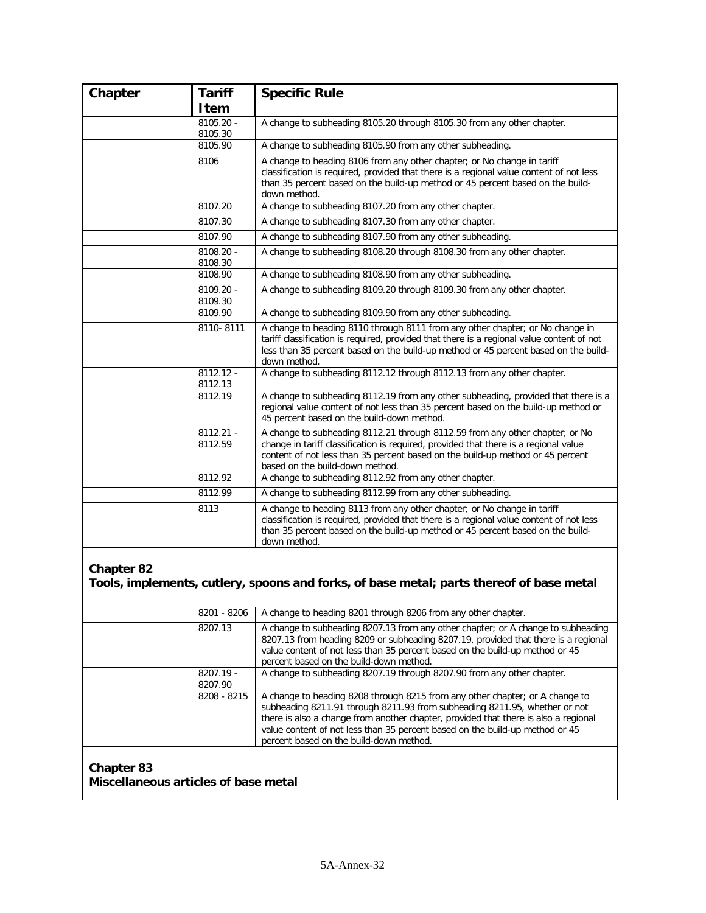| Chapter | <b>Tariff</b>          | <b>Specific Rule</b>                                                                                                                                                                                                                                                                      |
|---------|------------------------|-------------------------------------------------------------------------------------------------------------------------------------------------------------------------------------------------------------------------------------------------------------------------------------------|
|         | Item                   |                                                                                                                                                                                                                                                                                           |
|         | 8105.20 -<br>8105.30   | A change to subheading 8105.20 through 8105.30 from any other chapter.                                                                                                                                                                                                                    |
|         | 8105.90                | A change to subheading 8105.90 from any other subheading.                                                                                                                                                                                                                                 |
|         | 8106                   | A change to heading 8106 from any other chapter; or No change in tariff<br>classification is required, provided that there is a regional value content of not less<br>than 35 percent based on the build-up method or 45 percent based on the build-<br>down method.                      |
|         | 8107.20                | A change to subheading 8107.20 from any other chapter.                                                                                                                                                                                                                                    |
|         | 8107.30                | A change to subheading 8107.30 from any other chapter.                                                                                                                                                                                                                                    |
|         | 8107.90                | A change to subheading 8107.90 from any other subheading.                                                                                                                                                                                                                                 |
|         | 8108.20 -<br>8108.30   | A change to subheading 8108.20 through 8108.30 from any other chapter.                                                                                                                                                                                                                    |
|         | 8108.90                | A change to subheading 8108.90 from any other subheading.                                                                                                                                                                                                                                 |
|         | 8109.20 -<br>8109.30   | A change to subheading 8109.20 through 8109.30 from any other chapter.                                                                                                                                                                                                                    |
|         | 8109.90                | A change to subheading 8109.90 from any other subheading.                                                                                                                                                                                                                                 |
|         | 8110-8111              | A change to heading 8110 through 8111 from any other chapter; or No change in<br>tariff classification is required, provided that there is a regional value content of not<br>less than 35 percent based on the build-up method or 45 percent based on the build-<br>down method.         |
|         | $8112.12 -$<br>8112.13 | A change to subheading 8112.12 through 8112.13 from any other chapter.                                                                                                                                                                                                                    |
|         | 8112.19                | A change to subheading 8112.19 from any other subheading, provided that there is a<br>regional value content of not less than 35 percent based on the build-up method or<br>45 percent based on the build-down method.                                                                    |
|         | $8112.21 -$<br>8112.59 | A change to subheading 8112.21 through 8112.59 from any other chapter; or No<br>change in tariff classification is required, provided that there is a regional value<br>content of not less than 35 percent based on the build-up method or 45 percent<br>based on the build-down method. |
|         | 8112.92                | A change to subheading 8112.92 from any other chapter.                                                                                                                                                                                                                                    |
|         | 8112.99                | A change to subheading 8112.99 from any other subheading.                                                                                                                                                                                                                                 |
|         | 8113                   | A change to heading 8113 from any other chapter; or No change in tariff<br>classification is required, provided that there is a regional value content of not less<br>than 35 percent based on the build-up method or 45 percent based on the build-<br>down method.                      |

**Tools, implements, cutlery, spoons and forks, of base metal; parts thereof of base metal**

| 8201 - 8206            | A change to heading 8201 through 8206 from any other chapter.                                                                                                                                                                                                                                                                                                                |
|------------------------|------------------------------------------------------------------------------------------------------------------------------------------------------------------------------------------------------------------------------------------------------------------------------------------------------------------------------------------------------------------------------|
| 8207.13                | A change to subheading 8207.13 from any other chapter; or A change to subheading<br>8207.13 from heading 8209 or subheading 8207.19, provided that there is a regional<br>value content of not less than 35 percent based on the build-up method or 45<br>percent based on the build-down method.                                                                            |
| $8207.19 -$<br>8207.90 | A change to subheading 8207.19 through 8207.90 from any other chapter.                                                                                                                                                                                                                                                                                                       |
| 8208 - 8215            | A change to heading 8208 through 8215 from any other chapter; or A change to<br>subheading 8211.91 through 8211.93 from subheading 8211.95, whether or not<br>there is also a change from another chapter, provided that there is also a regional<br>value content of not less than 35 percent based on the build-up method or 45<br>percent based on the build-down method. |

#### **Chapter 83 Miscellaneous articles of base metal**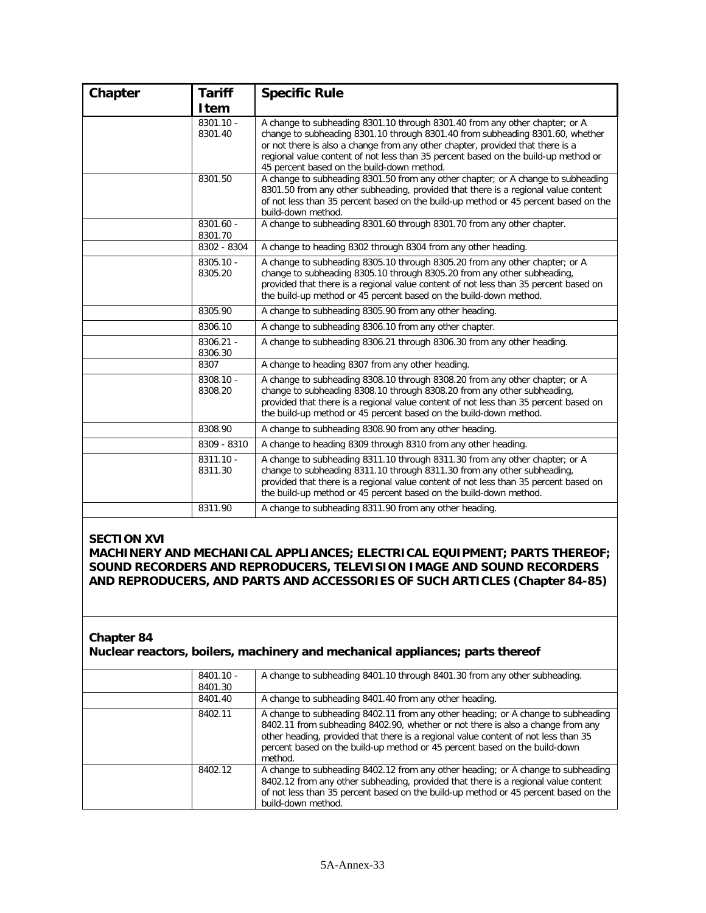| Chapter | <b>Tariff</b>          | <b>Specific Rule</b>                                                                                                                                                                                                                                                                                                                                                               |
|---------|------------------------|------------------------------------------------------------------------------------------------------------------------------------------------------------------------------------------------------------------------------------------------------------------------------------------------------------------------------------------------------------------------------------|
|         | Item                   |                                                                                                                                                                                                                                                                                                                                                                                    |
|         | $8301.10 -$<br>8301.40 | A change to subheading 8301.10 through 8301.40 from any other chapter; or A<br>change to subheading 8301.10 through 8301.40 from subheading 8301.60, whether<br>or not there is also a change from any other chapter, provided that there is a<br>regional value content of not less than 35 percent based on the build-up method or<br>45 percent based on the build-down method. |
|         | 8301.50                | A change to subheading 8301.50 from any other chapter; or A change to subheading<br>8301.50 from any other subheading, provided that there is a regional value content<br>of not less than 35 percent based on the build-up method or 45 percent based on the<br>build-down method.                                                                                                |
|         | $8301.60 -$<br>8301.70 | A change to subheading 8301.60 through 8301.70 from any other chapter.                                                                                                                                                                                                                                                                                                             |
|         | 8302 - 8304            | A change to heading 8302 through 8304 from any other heading.                                                                                                                                                                                                                                                                                                                      |
|         | 8305.10 -<br>8305.20   | A change to subheading 8305.10 through 8305.20 from any other chapter; or A<br>change to subheading 8305.10 through 8305.20 from any other subheading,<br>provided that there is a regional value content of not less than 35 percent based on<br>the build-up method or 45 percent based on the build-down method.                                                                |
|         | 8305.90                | A change to subheading 8305.90 from any other heading.                                                                                                                                                                                                                                                                                                                             |
|         | 8306.10                | A change to subheading 8306.10 from any other chapter.                                                                                                                                                                                                                                                                                                                             |
|         | 8306.21 -<br>8306.30   | A change to subheading 8306.21 through 8306.30 from any other heading.                                                                                                                                                                                                                                                                                                             |
|         | 8307                   | A change to heading 8307 from any other heading.                                                                                                                                                                                                                                                                                                                                   |
|         | 8308.10 -<br>8308.20   | A change to subheading 8308.10 through 8308.20 from any other chapter; or A<br>change to subheading 8308.10 through 8308.20 from any other subheading,<br>provided that there is a regional value content of not less than 35 percent based on<br>the build-up method or 45 percent based on the build-down method.                                                                |
|         | 8308.90                | A change to subheading 8308.90 from any other heading.                                                                                                                                                                                                                                                                                                                             |
|         | 8309 - 8310            | A change to heading 8309 through 8310 from any other heading.                                                                                                                                                                                                                                                                                                                      |
|         | $8311.10 -$<br>8311.30 | A change to subheading 8311.10 through 8311.30 from any other chapter; or A<br>change to subheading 8311.10 through 8311.30 from any other subheading,<br>provided that there is a regional value content of not less than 35 percent based on<br>the build-up method or 45 percent based on the build-down method.                                                                |
|         | 8311.90                | A change to subheading 8311.90 from any other heading.                                                                                                                                                                                                                                                                                                                             |

#### **SECTION XVI**

**MACHINERY AND MECHANICAL APPLIANCES; ELECTRICAL EQUIPMENT; PARTS THEREOF; SOUND RECORDERS AND REPRODUCERS, TELEVISION IMAGE AND SOUND RECORDERS AND REPRODUCERS, AND PARTS AND ACCESSORIES OF SUCH ARTICLES (Chapter 84-85)**

#### **Chapter 84**

#### **Nuclear reactors, boilers, machinery and mechanical appliances; parts thereof**

| $8401.10 -$<br>8401.30 | A change to subheading 8401.10 through 8401.30 from any other subheading.                                                                                                                                                                                                                                                                          |
|------------------------|----------------------------------------------------------------------------------------------------------------------------------------------------------------------------------------------------------------------------------------------------------------------------------------------------------------------------------------------------|
| 8401.40                | A change to subheading 8401.40 from any other heading.                                                                                                                                                                                                                                                                                             |
| 8402.11                | A change to subheading 8402.11 from any other heading; or A change to subheading<br>8402.11 from subheading 8402.90, whether or not there is also a change from any<br>other heading, provided that there is a regional value content of not less than 35<br>percent based on the build-up method or 45 percent based on the build-down<br>method. |
| 8402.12                | A change to subheading 8402.12 from any other heading; or A change to subheading<br>8402.12 from any other subheading, provided that there is a regional value content<br>of not less than 35 percent based on the build-up method or 45 percent based on the<br>build-down method.                                                                |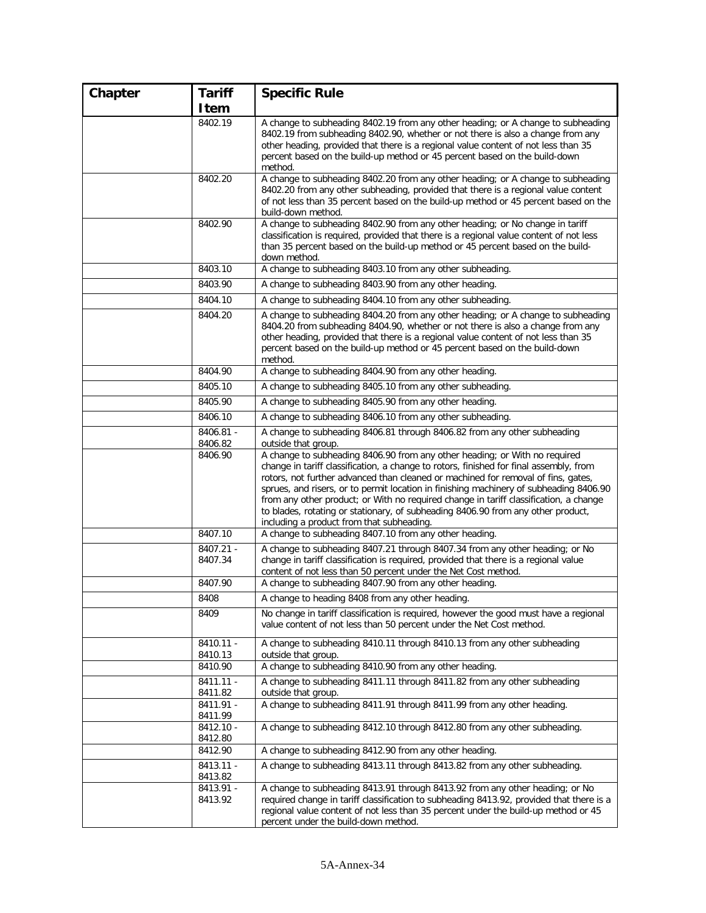| Chapter | <b>Tariff</b>        | <b>Specific Rule</b>                                                                                                                                                                                                                                                                                                                                                                                                                                                                                                                                                          |
|---------|----------------------|-------------------------------------------------------------------------------------------------------------------------------------------------------------------------------------------------------------------------------------------------------------------------------------------------------------------------------------------------------------------------------------------------------------------------------------------------------------------------------------------------------------------------------------------------------------------------------|
|         | Item                 |                                                                                                                                                                                                                                                                                                                                                                                                                                                                                                                                                                               |
|         | 8402.19              | A change to subheading 8402.19 from any other heading; or A change to subheading<br>8402.19 from subheading 8402.90, whether or not there is also a change from any<br>other heading, provided that there is a regional value content of not less than 35<br>percent based on the build-up method or 45 percent based on the build-down<br>method.                                                                                                                                                                                                                            |
|         | 8402.20              | A change to subheading 8402.20 from any other heading; or A change to subheading<br>8402.20 from any other subheading, provided that there is a regional value content<br>of not less than 35 percent based on the build-up method or 45 percent based on the<br>build-down method.                                                                                                                                                                                                                                                                                           |
|         | 8402.90              | A change to subheading 8402.90 from any other heading; or No change in tariff<br>classification is required, provided that there is a regional value content of not less<br>than 35 percent based on the build-up method or 45 percent based on the build-<br>down method.                                                                                                                                                                                                                                                                                                    |
|         | 8403.10              | A change to subheading 8403.10 from any other subheading.                                                                                                                                                                                                                                                                                                                                                                                                                                                                                                                     |
|         | 8403.90              | A change to subheading 8403.90 from any other heading.                                                                                                                                                                                                                                                                                                                                                                                                                                                                                                                        |
|         | 8404.10              | A change to subheading 8404.10 from any other subheading.                                                                                                                                                                                                                                                                                                                                                                                                                                                                                                                     |
|         | 8404.20              | A change to subheading 8404.20 from any other heading; or A change to subheading<br>8404.20 from subheading 8404.90, whether or not there is also a change from any<br>other heading, provided that there is a regional value content of not less than 35<br>percent based on the build-up method or 45 percent based on the build-down<br>method.                                                                                                                                                                                                                            |
|         | 8404.90              | A change to subheading 8404.90 from any other heading.                                                                                                                                                                                                                                                                                                                                                                                                                                                                                                                        |
|         | 8405.10              | A change to subheading 8405.10 from any other subheading.                                                                                                                                                                                                                                                                                                                                                                                                                                                                                                                     |
|         | 8405.90              | A change to subheading 8405.90 from any other heading.                                                                                                                                                                                                                                                                                                                                                                                                                                                                                                                        |
|         | 8406.10              | A change to subheading 8406.10 from any other subheading.                                                                                                                                                                                                                                                                                                                                                                                                                                                                                                                     |
|         | 8406.81 -<br>8406.82 | A change to subheading 8406.81 through 8406.82 from any other subheading<br>outside that group.                                                                                                                                                                                                                                                                                                                                                                                                                                                                               |
|         | 8406.90              | A change to subheading 8406.90 from any other heading; or With no required<br>change in tariff classification, a change to rotors, finished for final assembly, from<br>rotors, not further advanced than cleaned or machined for removal of fins, gates,<br>sprues, and risers, or to permit location in finishing machinery of subheading 8406.90<br>from any other product; or With no required change in tariff classification, a change<br>to blades, rotating or stationary, of subheading 8406.90 from any other product,<br>including a product from that subheading. |
|         | 8407.10              | A change to subheading 8407.10 from any other heading.                                                                                                                                                                                                                                                                                                                                                                                                                                                                                                                        |
|         | 8407.21 -<br>8407.34 | A change to subheading 8407.21 through 8407.34 from any other heading; or No<br>change in tariff classification is required, provided that there is a regional value<br>content of not less than 50 percent under the Net Cost method.                                                                                                                                                                                                                                                                                                                                        |
|         | 8407.90              | A change to subheading 8407.90 from any other heading.                                                                                                                                                                                                                                                                                                                                                                                                                                                                                                                        |
|         | 8408                 | A change to heading 8408 from any other heading.                                                                                                                                                                                                                                                                                                                                                                                                                                                                                                                              |
|         | 8409                 | No change in tariff classification is required, however the good must have a regional<br>value content of not less than 50 percent under the Net Cost method.                                                                                                                                                                                                                                                                                                                                                                                                                 |
|         | 8410.11 -<br>8410.13 | A change to subheading 8410.11 through 8410.13 from any other subheading<br>outside that group.                                                                                                                                                                                                                                                                                                                                                                                                                                                                               |
|         | 8410.90              | A change to subheading 8410.90 from any other heading.                                                                                                                                                                                                                                                                                                                                                                                                                                                                                                                        |
|         | 8411.11 -<br>8411.82 | A change to subheading 8411.11 through 8411.82 from any other subheading<br>outside that group.                                                                                                                                                                                                                                                                                                                                                                                                                                                                               |
|         | 8411.91 -<br>8411.99 | A change to subheading 8411.91 through 8411.99 from any other heading.                                                                                                                                                                                                                                                                                                                                                                                                                                                                                                        |
|         | 8412.10 -<br>8412.80 | A change to subheading 8412.10 through 8412.80 from any other subheading.                                                                                                                                                                                                                                                                                                                                                                                                                                                                                                     |
|         | 8412.90              | A change to subheading 8412.90 from any other heading.                                                                                                                                                                                                                                                                                                                                                                                                                                                                                                                        |
|         | 8413.11 -<br>8413.82 | A change to subheading 8413.11 through 8413.82 from any other subheading.                                                                                                                                                                                                                                                                                                                                                                                                                                                                                                     |
|         | 8413.91 -<br>8413.92 | A change to subheading 8413.91 through 8413.92 from any other heading; or No<br>required change in tariff classification to subheading 8413.92, provided that there is a<br>regional value content of not less than 35 percent under the build-up method or 45<br>percent under the build-down method.                                                                                                                                                                                                                                                                        |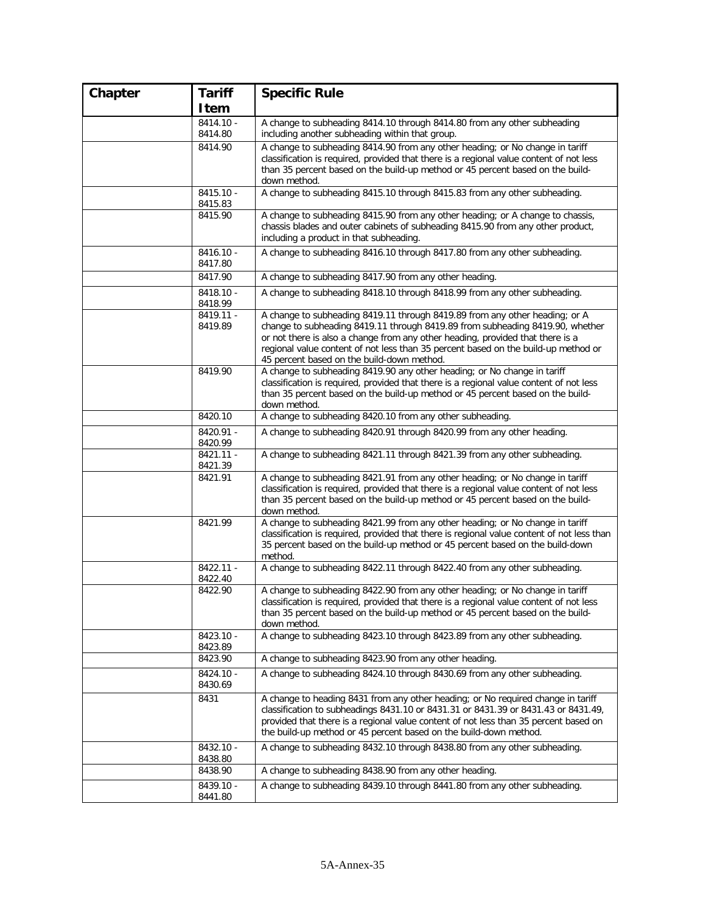| Chapter | <b>Tariff</b>          | <b>Specific Rule</b>                                                                                                                                                       |
|---------|------------------------|----------------------------------------------------------------------------------------------------------------------------------------------------------------------------|
|         | Item                   |                                                                                                                                                                            |
|         | 8414.10 -              | A change to subheading 8414.10 through 8414.80 from any other subheading                                                                                                   |
|         | 8414.80                | including another subheading within that group.                                                                                                                            |
|         | 8414.90                | A change to subheading 8414.90 from any other heading; or No change in tariff<br>classification is required, provided that there is a regional value content of not less   |
|         |                        | than 35 percent based on the build-up method or 45 percent based on the build-                                                                                             |
|         |                        | down method.                                                                                                                                                               |
|         | $8415.10 -$<br>8415.83 | A change to subheading 8415.10 through 8415.83 from any other subheading.                                                                                                  |
|         | 8415.90                | A change to subheading 8415.90 from any other heading; or A change to chassis,                                                                                             |
|         |                        | chassis blades and outer cabinets of subheading 8415.90 from any other product,<br>including a product in that subheading.                                                 |
|         | 8416.10 -              | A change to subheading 8416.10 through 8417.80 from any other subheading.                                                                                                  |
|         | 8417.80                |                                                                                                                                                                            |
|         | 8417.90                | A change to subheading 8417.90 from any other heading.                                                                                                                     |
|         | 8418.10 -<br>8418.99   | A change to subheading 8418.10 through 8418.99 from any other subheading.                                                                                                  |
|         | 8419.11 -              | A change to subheading 8419.11 through 8419.89 from any other heading; or A                                                                                                |
|         | 8419.89                | change to subheading 8419.11 through 8419.89 from subheading 8419.90, whether<br>or not there is also a change from any other heading, provided that there is a            |
|         |                        | regional value content of not less than 35 percent based on the build-up method or                                                                                         |
|         |                        | 45 percent based on the build-down method.                                                                                                                                 |
|         | 8419.90                | A change to subheading 8419.90 any other heading; or No change in tariff                                                                                                   |
|         |                        | classification is required, provided that there is a regional value content of not less                                                                                    |
|         |                        | than 35 percent based on the build-up method or 45 percent based on the build-<br>down method.                                                                             |
|         | 8420.10                | A change to subheading 8420.10 from any other subheading.                                                                                                                  |
|         | 8420.91 -              | A change to subheading 8420.91 through 8420.99 from any other heading.                                                                                                     |
|         | 8420.99                |                                                                                                                                                                            |
|         | $8421.11 -$<br>8421.39 | A change to subheading 8421.11 through 8421.39 from any other subheading.                                                                                                  |
|         | 8421.91                | A change to subheading 8421.91 from any other heading; or No change in tariff                                                                                              |
|         |                        | classification is required, provided that there is a regional value content of not less<br>than 35 percent based on the build-up method or 45 percent based on the build-  |
|         |                        | down method.                                                                                                                                                               |
|         | 8421.99                | A change to subheading 8421.99 from any other heading; or No change in tariff                                                                                              |
|         |                        | classification is required, provided that there is regional value content of not less than                                                                                 |
|         |                        | 35 percent based on the build-up method or 45 percent based on the build-down<br>method.                                                                                   |
|         | $8422.11 -$            | A change to subheading 8422.11 through 8422.40 from any other subheading.                                                                                                  |
|         | 8422.40                |                                                                                                                                                                            |
|         | 8422.90                | A change to subheading 8422.90 from any other heading; or No change in tariff                                                                                              |
|         |                        | classification is required, provided that there is a regional value content of not less<br>than 35 percent based on the build-up method or 45 percent based on the build-  |
|         |                        | down method.                                                                                                                                                               |
|         | 8423.10 -              | A change to subheading 8423.10 through 8423.89 from any other subheading.                                                                                                  |
|         | 8423.89                |                                                                                                                                                                            |
|         | 8423.90                | A change to subheading 8423.90 from any other heading.                                                                                                                     |
|         | 8424.10 -<br>8430.69   | A change to subheading 8424.10 through 8430.69 from any other subheading.                                                                                                  |
|         | 8431                   | A change to heading 8431 from any other heading; or No required change in tariff                                                                                           |
|         |                        | classification to subheadings 8431.10 or 8431.31 or 8431.39 or 8431.43 or 8431.49,<br>provided that there is a regional value content of not less than 35 percent based on |
|         |                        | the build-up method or 45 percent based on the build-down method.                                                                                                          |
|         | 8432.10 -<br>8438.80   | A change to subheading 8432.10 through 8438.80 from any other subheading.                                                                                                  |
|         | 8438.90                | A change to subheading 8438.90 from any other heading.                                                                                                                     |
|         | 8439.10 -              | A change to subheading 8439.10 through 8441.80 from any other subheading.                                                                                                  |
|         | 8441.80                |                                                                                                                                                                            |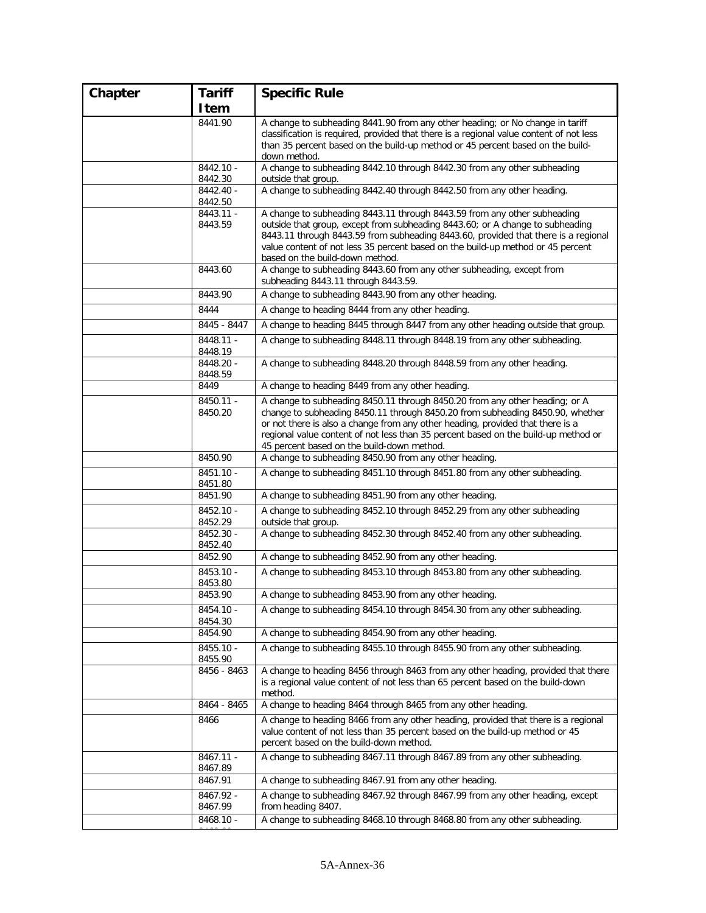| Chapter | <b>Tariff</b>                   | <b>Specific Rule</b>                                                                                                                                                                                                                                                                                                                 |
|---------|---------------------------------|--------------------------------------------------------------------------------------------------------------------------------------------------------------------------------------------------------------------------------------------------------------------------------------------------------------------------------------|
|         | Item                            |                                                                                                                                                                                                                                                                                                                                      |
|         | 8441.90                         | A change to subheading 8441.90 from any other heading; or No change in tariff<br>classification is required, provided that there is a regional value content of not less<br>than 35 percent based on the build-up method or 45 percent based on the build-<br>down method.                                                           |
|         | 8442.10 -<br>8442.30            | A change to subheading 8442.10 through 8442.30 from any other subheading<br>outside that group.                                                                                                                                                                                                                                      |
|         | 8442.40 -<br>8442.50            | A change to subheading 8442.40 through 8442.50 from any other heading.                                                                                                                                                                                                                                                               |
|         | $8443.11 -$<br>8443.59          | A change to subheading 8443.11 through 8443.59 from any other subheading<br>outside that group, except from subheading 8443.60; or A change to subheading<br>8443.11 through 8443.59 from subheading 8443.60, provided that there is a regional<br>value content of not less 35 percent based on the build-up method or 45 percent   |
|         | 8443.60                         | based on the build-down method.<br>A change to subheading 8443.60 from any other subheading, except from<br>subheading 8443.11 through 8443.59.                                                                                                                                                                                      |
|         | 8443.90                         | A change to subheading 8443.90 from any other heading.                                                                                                                                                                                                                                                                               |
|         | 8444                            | A change to heading 8444 from any other heading.                                                                                                                                                                                                                                                                                     |
|         | 8445 - 8447                     | A change to heading 8445 through 8447 from any other heading outside that group.                                                                                                                                                                                                                                                     |
|         | 8448.11 -                       | A change to subheading 8448.11 through 8448.19 from any other subheading.                                                                                                                                                                                                                                                            |
|         | 8448.19<br>8448.20 -<br>8448.59 | A change to subheading 8448.20 through 8448.59 from any other heading.                                                                                                                                                                                                                                                               |
|         | 8449                            | A change to heading 8449 from any other heading.                                                                                                                                                                                                                                                                                     |
|         | 8450.11 -<br>8450.20            | A change to subheading 8450.11 through 8450.20 from any other heading; or A<br>change to subheading 8450.11 through 8450.20 from subheading 8450.90, whether<br>or not there is also a change from any other heading, provided that there is a<br>regional value content of not less than 35 percent based on the build-up method or |
|         | 8450.90                         | 45 percent based on the build-down method.<br>A change to subheading 8450.90 from any other heading.                                                                                                                                                                                                                                 |
|         | $8451.10 -$<br>8451.80          | A change to subheading 8451.10 through 8451.80 from any other subheading.                                                                                                                                                                                                                                                            |
|         | 8451.90                         | A change to subheading 8451.90 from any other heading.                                                                                                                                                                                                                                                                               |
|         | 8452.10 -<br>8452.29            | A change to subheading 8452.10 through 8452.29 from any other subheading<br>outside that group.                                                                                                                                                                                                                                      |
|         | 8452.30 -<br>8452.40            | A change to subheading 8452.30 through 8452.40 from any other subheading.                                                                                                                                                                                                                                                            |
|         | 8452.90                         | A change to subheading 8452.90 from any other heading.                                                                                                                                                                                                                                                                               |
|         | 8453.10 -<br>8453.80            | A change to subheading 8453.10 through 8453.80 from any other subheading.                                                                                                                                                                                                                                                            |
|         | 8453.90                         | A change to subheading 8453.90 from any other heading.                                                                                                                                                                                                                                                                               |
|         | 8454.10 -<br>8454.30            | A change to subheading 8454.10 through 8454.30 from any other subheading.                                                                                                                                                                                                                                                            |
|         | 8454.90                         | A change to subheading 8454.90 from any other heading.                                                                                                                                                                                                                                                                               |
|         | 8455.10 -<br>8455.90            | A change to subheading 8455.10 through 8455.90 from any other subheading.                                                                                                                                                                                                                                                            |
|         | 8456 - 8463                     | A change to heading 8456 through 8463 from any other heading, provided that there<br>is a regional value content of not less than 65 percent based on the build-down<br>method.                                                                                                                                                      |
|         | 8464 - 8465                     | A change to heading 8464 through 8465 from any other heading.                                                                                                                                                                                                                                                                        |
|         | 8466                            | A change to heading 8466 from any other heading, provided that there is a regional<br>value content of not less than 35 percent based on the build-up method or 45<br>percent based on the build-down method.                                                                                                                        |
|         | 8467.11 -<br>8467.89            | A change to subheading 8467.11 through 8467.89 from any other subheading.                                                                                                                                                                                                                                                            |
|         | 8467.91                         | A change to subheading 8467.91 from any other heading.                                                                                                                                                                                                                                                                               |
|         | 8467.92 -<br>8467.99            | A change to subheading 8467.92 through 8467.99 from any other heading, except<br>from heading 8407.                                                                                                                                                                                                                                  |
|         | 8468.10 -                       | A change to subheading 8468.10 through 8468.80 from any other subheading.                                                                                                                                                                                                                                                            |
|         |                                 |                                                                                                                                                                                                                                                                                                                                      |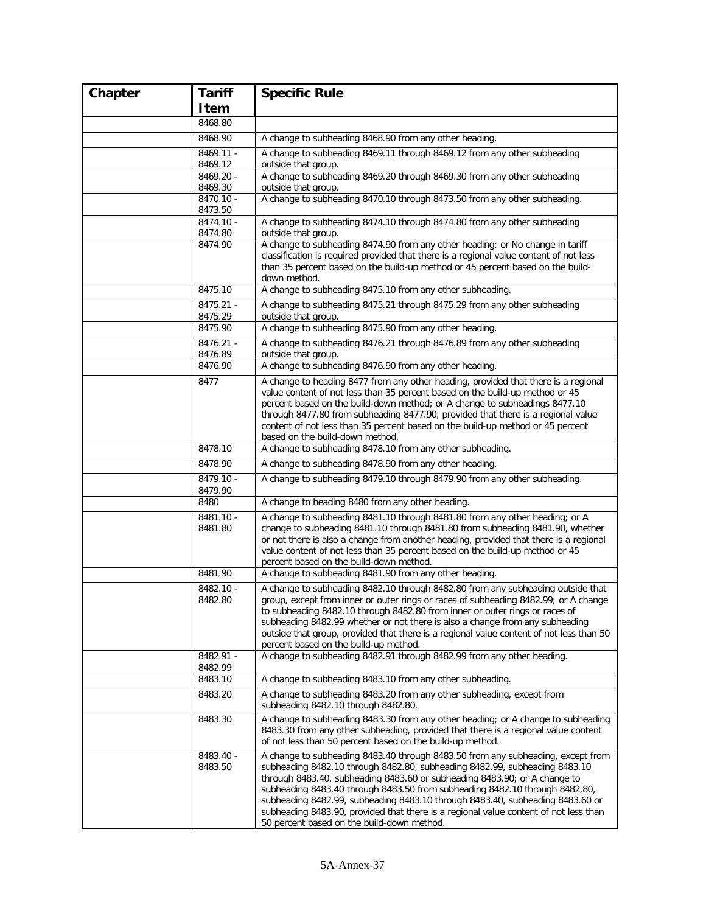| Chapter | <b>Tariff</b>        | <b>Specific Rule</b>                                                                                                                                                                                                                                                                                                                                                                                                                                                                                                                             |
|---------|----------------------|--------------------------------------------------------------------------------------------------------------------------------------------------------------------------------------------------------------------------------------------------------------------------------------------------------------------------------------------------------------------------------------------------------------------------------------------------------------------------------------------------------------------------------------------------|
|         | Item                 |                                                                                                                                                                                                                                                                                                                                                                                                                                                                                                                                                  |
|         | 8468.80              |                                                                                                                                                                                                                                                                                                                                                                                                                                                                                                                                                  |
|         | 8468.90              | A change to subheading 8468.90 from any other heading.                                                                                                                                                                                                                                                                                                                                                                                                                                                                                           |
|         | 8469.11 -<br>8469.12 | A change to subheading 8469.11 through 8469.12 from any other subheading<br>outside that group.                                                                                                                                                                                                                                                                                                                                                                                                                                                  |
|         | 8469.20 -            | A change to subheading 8469.20 through 8469.30 from any other subheading                                                                                                                                                                                                                                                                                                                                                                                                                                                                         |
|         | 8469.30<br>8470.10 - | outside that group.<br>A change to subheading 8470.10 through 8473.50 from any other subheading.                                                                                                                                                                                                                                                                                                                                                                                                                                                 |
|         | 8473.50<br>8474.10 - | A change to subheading 8474.10 through 8474.80 from any other subheading                                                                                                                                                                                                                                                                                                                                                                                                                                                                         |
|         | 8474.80              | outside that group.                                                                                                                                                                                                                                                                                                                                                                                                                                                                                                                              |
|         | 8474.90              | A change to subheading 8474.90 from any other heading; or No change in tariff<br>classification is required provided that there is a regional value content of not less<br>than 35 percent based on the build-up method or 45 percent based on the build-<br>down method.                                                                                                                                                                                                                                                                        |
|         | 8475.10              | A change to subheading 8475.10 from any other subheading.                                                                                                                                                                                                                                                                                                                                                                                                                                                                                        |
|         | 8475.21 -<br>8475.29 | A change to subheading 8475.21 through 8475.29 from any other subheading<br>outside that group.                                                                                                                                                                                                                                                                                                                                                                                                                                                  |
|         | 8475.90              | A change to subheading 8475.90 from any other heading.                                                                                                                                                                                                                                                                                                                                                                                                                                                                                           |
|         | 8476.21 -<br>8476.89 | A change to subheading 8476.21 through 8476.89 from any other subheading<br>outside that group.                                                                                                                                                                                                                                                                                                                                                                                                                                                  |
|         | 8476.90              | A change to subheading 8476.90 from any other heading.                                                                                                                                                                                                                                                                                                                                                                                                                                                                                           |
|         | 8477                 | A change to heading 8477 from any other heading, provided that there is a regional<br>value content of not less than 35 percent based on the build-up method or 45<br>percent based on the build-down method; or A change to subheadings 8477.10<br>through 8477.80 from subheading 8477.90, provided that there is a regional value<br>content of not less than 35 percent based on the build-up method or 45 percent<br>based on the build-down method.                                                                                        |
|         | 8478.10              | A change to subheading 8478.10 from any other subheading.                                                                                                                                                                                                                                                                                                                                                                                                                                                                                        |
|         | 8478.90              | A change to subheading 8478.90 from any other heading.                                                                                                                                                                                                                                                                                                                                                                                                                                                                                           |
|         | 8479.10 -<br>8479.90 | A change to subheading 8479.10 through 8479.90 from any other subheading.                                                                                                                                                                                                                                                                                                                                                                                                                                                                        |
|         | 8480                 | A change to heading 8480 from any other heading.                                                                                                                                                                                                                                                                                                                                                                                                                                                                                                 |
|         | 8481.10 -<br>8481.80 | A change to subheading 8481.10 through 8481.80 from any other heading; or A<br>change to subheading 8481.10 through 8481.80 from subheading 8481.90, whether<br>or not there is also a change from another heading, provided that there is a regional<br>value content of not less than 35 percent based on the build-up method or 45<br>percent based on the build-down method.                                                                                                                                                                 |
|         | 8481.90              | A change to subheading 8481.90 from any other heading.                                                                                                                                                                                                                                                                                                                                                                                                                                                                                           |
|         | 8482.10 -<br>8482.80 | A change to subheading 8482.10 through 8482.80 from any subheading outside that<br>group, except from inner or outer rings or races of subheading 8482.99; or A change<br>to subheading 8482.10 through 8482.80 from inner or outer rings or races of<br>subheading 8482.99 whether or not there is also a change from any subheading<br>outside that group, provided that there is a regional value content of not less than 50<br>percent based on the build-up method.                                                                        |
|         | 8482.91 -<br>8482.99 | A change to subheading 8482.91 through 8482.99 from any other heading.                                                                                                                                                                                                                                                                                                                                                                                                                                                                           |
|         | 8483.10              | A change to subheading 8483.10 from any other subheading.                                                                                                                                                                                                                                                                                                                                                                                                                                                                                        |
|         | 8483.20              | A change to subheading 8483.20 from any other subheading, except from<br>subheading 8482.10 through 8482.80.                                                                                                                                                                                                                                                                                                                                                                                                                                     |
|         | 8483.30              | A change to subheading 8483.30 from any other heading; or A change to subheading<br>8483.30 from any other subheading, provided that there is a regional value content<br>of not less than 50 percent based on the build-up method.                                                                                                                                                                                                                                                                                                              |
|         | 8483.40 -<br>8483.50 | A change to subheading 8483.40 through 8483.50 from any subheading, except from<br>subheading 8482.10 through 8482.80, subheading 8482.99, subheading 8483.10<br>through 8483.40, subheading 8483.60 or subheading 8483.90; or A change to<br>subheading 8483.40 through 8483.50 from subheading 8482.10 through 8482.80,<br>subheading 8482.99, subheading 8483.10 through 8483.40, subheading 8483.60 or<br>subheading 8483.90, provided that there is a regional value content of not less than<br>50 percent based on the build-down method. |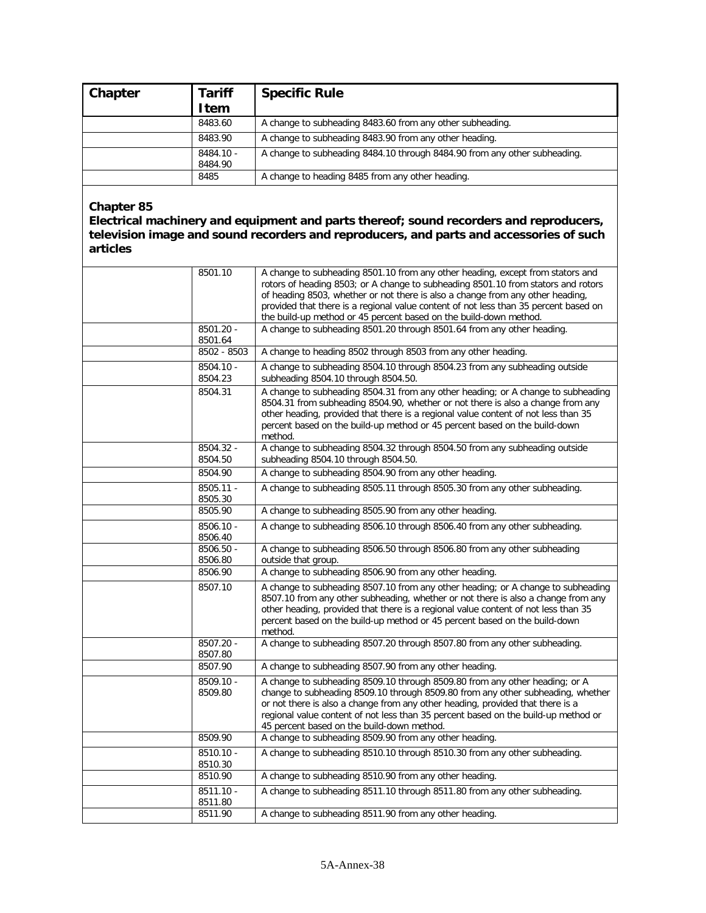| Chapter | <b>Tariff</b><br><b>Item</b> | <b>Specific Rule</b>                                                      |
|---------|------------------------------|---------------------------------------------------------------------------|
|         | 8483.60                      | A change to subheading 8483.60 from any other subheading.                 |
|         | 8483.90                      | A change to subheading 8483.90 from any other heading.                    |
|         | 8484.10 -<br>8484.90         | A change to subheading 8484.10 through 8484.90 from any other subheading. |
|         | 8485                         | A change to heading 8485 from any other heading.                          |

**Electrical machinery and equipment and parts thereof; sound recorders and reproducers, television image and sound recorders and reproducers, and parts and accessories of such articles**

| 8501.10                | A change to subheading 8501.10 from any other heading, except from stators and<br>rotors of heading 8503; or A change to subheading 8501.10 from stators and rotors<br>of heading 8503, whether or not there is also a change from any other heading,<br>provided that there is a regional value content of not less than 35 percent based on<br>the build-up method or 45 percent based on the build-down method. |
|------------------------|--------------------------------------------------------------------------------------------------------------------------------------------------------------------------------------------------------------------------------------------------------------------------------------------------------------------------------------------------------------------------------------------------------------------|
| 8501.20 -<br>8501.64   | A change to subheading 8501.20 through 8501.64 from any other heading.                                                                                                                                                                                                                                                                                                                                             |
| $8502 - 8503$          | A change to heading 8502 through 8503 from any other heading.                                                                                                                                                                                                                                                                                                                                                      |
| 8504.10 -<br>8504.23   | A change to subheading 8504.10 through 8504.23 from any subheading outside<br>subheading 8504.10 through 8504.50.                                                                                                                                                                                                                                                                                                  |
| 8504.31                | A change to subheading 8504.31 from any other heading; or A change to subheading<br>8504.31 from subheading 8504.90, whether or not there is also a change from any<br>other heading, provided that there is a regional value content of not less than 35<br>percent based on the build-up method or 45 percent based on the build-down<br>method.                                                                 |
| 8504.32 -<br>8504.50   | A change to subheading 8504.32 through 8504.50 from any subheading outside<br>subheading 8504.10 through 8504.50.                                                                                                                                                                                                                                                                                                  |
| 8504.90                | A change to subheading 8504.90 from any other heading.                                                                                                                                                                                                                                                                                                                                                             |
| $8505.11 -$<br>8505.30 | A change to subheading 8505.11 through 8505.30 from any other subheading.                                                                                                                                                                                                                                                                                                                                          |
| 8505.90                | A change to subheading 8505.90 from any other heading.                                                                                                                                                                                                                                                                                                                                                             |
| $8506.10 -$<br>8506.40 | A change to subheading 8506.10 through 8506.40 from any other subheading.                                                                                                                                                                                                                                                                                                                                          |
| 8506.50 -<br>8506.80   | A change to subheading 8506.50 through 8506.80 from any other subheading<br>outside that group.                                                                                                                                                                                                                                                                                                                    |
| 8506.90                | A change to subheading 8506.90 from any other heading.                                                                                                                                                                                                                                                                                                                                                             |
| 8507.10                | A change to subheading 8507.10 from any other heading; or A change to subheading<br>8507.10 from any other subheading, whether or not there is also a change from any<br>other heading, provided that there is a regional value content of not less than 35<br>percent based on the build-up method or 45 percent based on the build-down<br>method.                                                               |
| 8507.20 -<br>8507.80   | A change to subheading 8507.20 through 8507.80 from any other subheading.                                                                                                                                                                                                                                                                                                                                          |
| 8507.90                | A change to subheading 8507.90 from any other heading.                                                                                                                                                                                                                                                                                                                                                             |
| 8509.10 -<br>8509.80   | A change to subheading 8509.10 through 8509.80 from any other heading; or A<br>change to subheading 8509.10 through 8509.80 from any other subheading, whether<br>or not there is also a change from any other heading, provided that there is a<br>regional value content of not less than 35 percent based on the build-up method or<br>45 percent based on the build-down method.                               |
| 8509.90                | A change to subheading 8509.90 from any other heading.                                                                                                                                                                                                                                                                                                                                                             |
| $8510.10 -$<br>8510.30 | A change to subheading 8510.10 through 8510.30 from any other subheading.                                                                                                                                                                                                                                                                                                                                          |
| 8510.90                | A change to subheading 8510.90 from any other heading.                                                                                                                                                                                                                                                                                                                                                             |
| $8511.10 -$<br>8511.80 | A change to subheading 8511.10 through 8511.80 from any other subheading.                                                                                                                                                                                                                                                                                                                                          |
| 8511.90                | A change to subheading 8511.90 from any other heading.                                                                                                                                                                                                                                                                                                                                                             |
|                        |                                                                                                                                                                                                                                                                                                                                                                                                                    |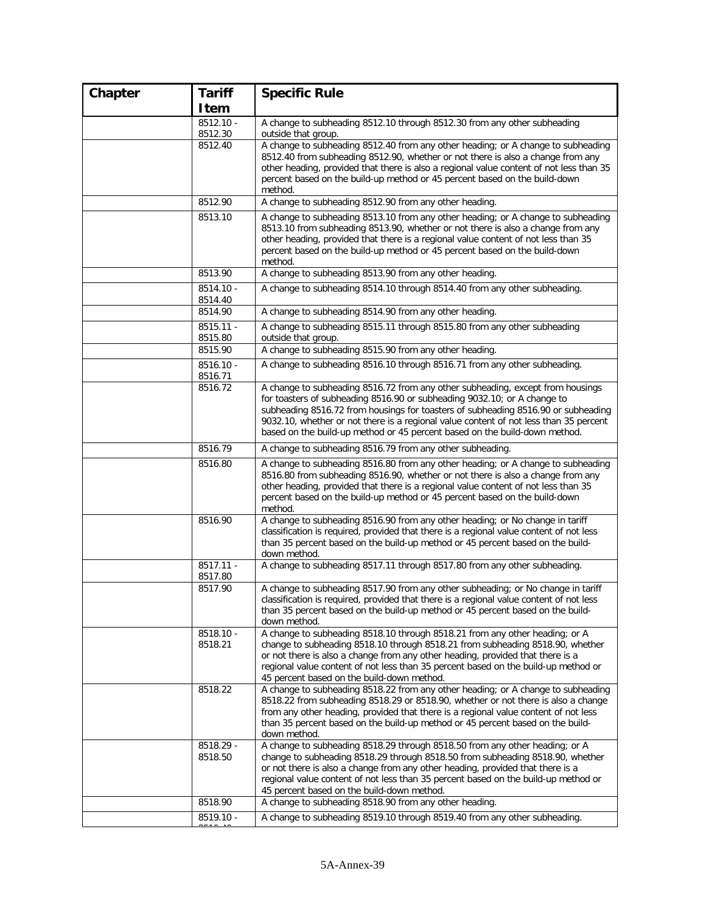| Chapter | <b>Tariff</b>          | <b>Specific Rule</b>                                                                                                                                                                                                                                                                                                                                                                                                   |
|---------|------------------------|------------------------------------------------------------------------------------------------------------------------------------------------------------------------------------------------------------------------------------------------------------------------------------------------------------------------------------------------------------------------------------------------------------------------|
|         | Item                   |                                                                                                                                                                                                                                                                                                                                                                                                                        |
|         | $8512.10 -$<br>8512.30 | A change to subheading 8512.10 through 8512.30 from any other subheading<br>outside that group.                                                                                                                                                                                                                                                                                                                        |
|         | 8512.40                | A change to subheading 8512.40 from any other heading; or A change to subheading<br>8512.40 from subheading 8512.90, whether or not there is also a change from any<br>other heading, provided that there is also a regional value content of not less than 35<br>percent based on the build-up method or 45 percent based on the build-down<br>method.                                                                |
|         | 8512.90                | A change to subheading 8512.90 from any other heading.                                                                                                                                                                                                                                                                                                                                                                 |
|         | 8513.10                | A change to subheading 8513.10 from any other heading; or A change to subheading<br>8513.10 from subheading 8513.90, whether or not there is also a change from any<br>other heading, provided that there is a regional value content of not less than 35<br>percent based on the build-up method or 45 percent based on the build-down<br>method.                                                                     |
|         | 8513.90                | A change to subheading 8513.90 from any other heading.                                                                                                                                                                                                                                                                                                                                                                 |
|         | $8514.10 -$<br>8514.40 | A change to subheading 8514.10 through 8514.40 from any other subheading.                                                                                                                                                                                                                                                                                                                                              |
|         | 8514.90                | A change to subheading 8514.90 from any other heading.                                                                                                                                                                                                                                                                                                                                                                 |
|         | $8515.11 -$<br>8515.80 | A change to subheading 8515.11 through 8515.80 from any other subheading<br>outside that group.                                                                                                                                                                                                                                                                                                                        |
|         | 8515.90                | A change to subheading 8515.90 from any other heading.                                                                                                                                                                                                                                                                                                                                                                 |
|         | $8516.10 -$<br>8516.71 | A change to subheading 8516.10 through 8516.71 from any other subheading.                                                                                                                                                                                                                                                                                                                                              |
|         | 8516.72                | A change to subheading 8516.72 from any other subheading, except from housings<br>for toasters of subheading 8516.90 or subheading 9032.10; or A change to<br>subheading 8516.72 from housings for toasters of subheading 8516.90 or subheading<br>9032.10, whether or not there is a regional value content of not less than 35 percent<br>based on the build-up method or 45 percent based on the build-down method. |
|         | 8516.79                | A change to subheading 8516.79 from any other subheading.                                                                                                                                                                                                                                                                                                                                                              |
|         | 8516.80                | A change to subheading 8516.80 from any other heading; or A change to subheading<br>8516.80 from subheading 8516.90, whether or not there is also a change from any<br>other heading, provided that there is a regional value content of not less than 35<br>percent based on the build-up method or 45 percent based on the build-down<br>method.                                                                     |
|         | 8516.90                | A change to subheading 8516.90 from any other heading; or No change in tariff<br>classification is required, provided that there is a regional value content of not less<br>than 35 percent based on the build-up method or 45 percent based on the build-<br>down method.                                                                                                                                             |
|         | $8517.11 -$<br>8517.80 | A change to subheading 8517.11 through 8517.80 from any other subheading.                                                                                                                                                                                                                                                                                                                                              |
|         | 8517.90                | A change to subheading 8517.90 from any other subheading; or No change in tariff<br>classification is required, provided that there is a regional value content of not less<br>than 35 percent based on the build-up method or 45 percent based on the build-<br>down method.                                                                                                                                          |
|         | 8518.10 -<br>8518.21   | A change to subheading 8518.10 through 8518.21 from any other heading; or A<br>change to subheading 8518.10 through 8518.21 from subheading 8518.90, whether<br>or not there is also a change from any other heading, provided that there is a<br>regional value content of not less than 35 percent based on the build-up method or<br>45 percent based on the build-down method.                                     |
|         | 8518.22                | A change to subheading 8518.22 from any other heading; or A change to subheading<br>8518.22 from subheading 8518.29 or 8518.90, whether or not there is also a change<br>from any other heading, provided that there is a regional value content of not less<br>than 35 percent based on the build-up method or 45 percent based on the build-<br>down method.                                                         |
|         | 8518.29 -<br>8518.50   | A change to subheading 8518.29 through 8518.50 from any other heading; or A<br>change to subheading 8518.29 through 8518.50 from subheading 8518.90, whether<br>or not there is also a change from any other heading, provided that there is a<br>regional value content of not less than 35 percent based on the build-up method or<br>45 percent based on the build-down method.                                     |
|         | 8518.90                | A change to subheading 8518.90 from any other heading.                                                                                                                                                                                                                                                                                                                                                                 |
|         | $8519.10 -$            | A change to subheading 8519.10 through 8519.40 from any other subheading.                                                                                                                                                                                                                                                                                                                                              |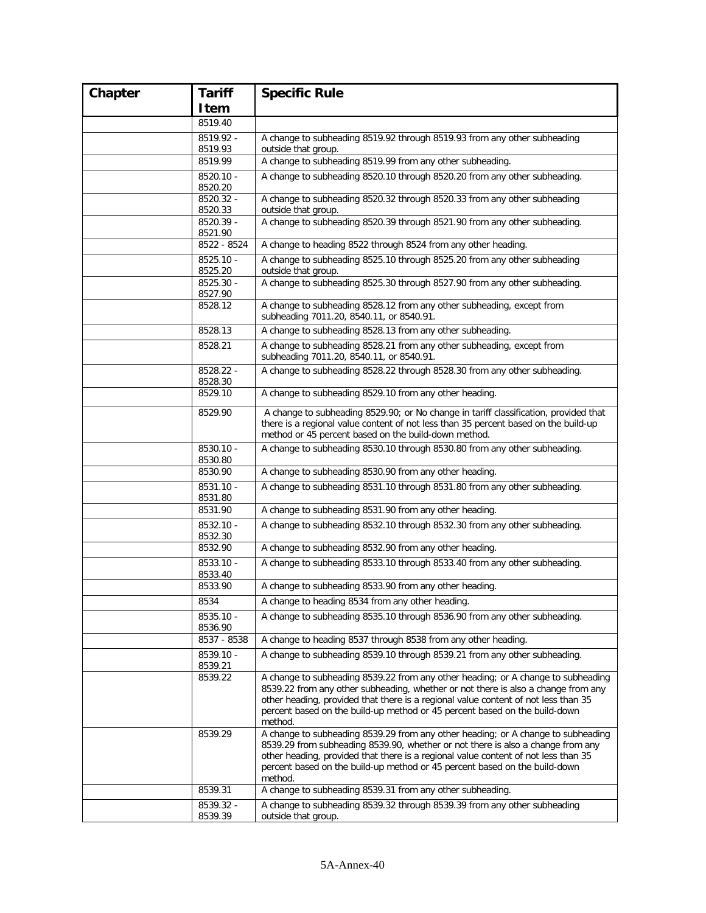| Chapter | <b>Tariff</b>          | <b>Specific Rule</b>                                                                                                                                                                                                                                                                                                                                 |
|---------|------------------------|------------------------------------------------------------------------------------------------------------------------------------------------------------------------------------------------------------------------------------------------------------------------------------------------------------------------------------------------------|
|         | Item                   |                                                                                                                                                                                                                                                                                                                                                      |
|         | 8519.40                |                                                                                                                                                                                                                                                                                                                                                      |
|         | 8519.92 -              | A change to subheading 8519.92 through 8519.93 from any other subheading                                                                                                                                                                                                                                                                             |
|         | 8519.93                | outside that group.                                                                                                                                                                                                                                                                                                                                  |
|         | 8519.99                | A change to subheading 8519.99 from any other subheading.                                                                                                                                                                                                                                                                                            |
|         | 8520.10 -<br>8520.20   | A change to subheading 8520.10 through 8520.20 from any other subheading.                                                                                                                                                                                                                                                                            |
|         | 8520.32 -<br>8520.33   | A change to subheading 8520.32 through 8520.33 from any other subheading<br>outside that group.                                                                                                                                                                                                                                                      |
|         | 8520.39 -<br>8521.90   | A change to subheading 8520.39 through 8521.90 from any other subheading.                                                                                                                                                                                                                                                                            |
|         | 8522 - 8524            | A change to heading 8522 through 8524 from any other heading.                                                                                                                                                                                                                                                                                        |
|         | 8525.10 -<br>8525.20   | A change to subheading 8525.10 through 8525.20 from any other subheading<br>outside that group.                                                                                                                                                                                                                                                      |
|         | 8525.30 -<br>8527.90   | A change to subheading 8525.30 through 8527.90 from any other subheading.                                                                                                                                                                                                                                                                            |
|         | 8528.12                | A change to subheading 8528.12 from any other subheading, except from<br>subheading 7011.20, 8540.11, or 8540.91.                                                                                                                                                                                                                                    |
|         | 8528.13                | A change to subheading 8528.13 from any other subheading.                                                                                                                                                                                                                                                                                            |
|         | 8528.21                | A change to subheading 8528.21 from any other subheading, except from<br>subheading 7011.20, 8540.11, or 8540.91.                                                                                                                                                                                                                                    |
|         | 8528.22 -<br>8528.30   | A change to subheading 8528.22 through 8528.30 from any other subheading.                                                                                                                                                                                                                                                                            |
|         | 8529.10                | A change to subheading 8529.10 from any other heading.                                                                                                                                                                                                                                                                                               |
|         | 8529.90                | A change to subheading 8529.90; or No change in tariff classification, provided that<br>there is a regional value content of not less than 35 percent based on the build-up<br>method or 45 percent based on the build-down method.                                                                                                                  |
|         | 8530.10 -<br>8530.80   | A change to subheading 8530.10 through 8530.80 from any other subheading.                                                                                                                                                                                                                                                                            |
|         | 8530.90                | A change to subheading 8530.90 from any other heading.                                                                                                                                                                                                                                                                                               |
|         | 8531.10 -<br>8531.80   | A change to subheading 8531.10 through 8531.80 from any other subheading.                                                                                                                                                                                                                                                                            |
|         | 8531.90                | A change to subheading 8531.90 from any other heading.                                                                                                                                                                                                                                                                                               |
|         | 8532.10 -<br>8532.30   | A change to subheading 8532.10 through 8532.30 from any other subheading.                                                                                                                                                                                                                                                                            |
|         | 8532.90                | A change to subheading 8532.90 from any other heading.                                                                                                                                                                                                                                                                                               |
|         | 8533.10 -<br>8533.40   | A change to subheading 8533.10 through 8533.40 from any other subheading.                                                                                                                                                                                                                                                                            |
|         | 8533.90                | A change to subheading 8533.90 from any other heading.                                                                                                                                                                                                                                                                                               |
|         | 8534                   | A change to heading 8534 from any other heading.                                                                                                                                                                                                                                                                                                     |
|         | $8535.10 -$<br>8536.90 | A change to subheading 8535.10 through 8536.90 from any other subheading.                                                                                                                                                                                                                                                                            |
|         | 8537 - 8538            | A change to heading 8537 through 8538 from any other heading.                                                                                                                                                                                                                                                                                        |
|         | 8539.10 -<br>8539.21   | A change to subheading 8539.10 through 8539.21 from any other subheading.                                                                                                                                                                                                                                                                            |
|         | 8539.22                | A change to subheading 8539.22 from any other heading; or A change to subheading<br>8539.22 from any other subheading, whether or not there is also a change from any<br>other heading, provided that there is a regional value content of not less than 35<br>percent based on the build-up method or 45 percent based on the build-down<br>method. |
|         | 8539.29                | A change to subheading 8539.29 from any other heading; or A change to subheading<br>8539.29 from subheading 8539.90, whether or not there is also a change from any<br>other heading, provided that there is a regional value content of not less than 35<br>percent based on the build-up method or 45 percent based on the build-down<br>method.   |
|         | 8539.31                | A change to subheading 8539.31 from any other subheading.                                                                                                                                                                                                                                                                                            |
|         | 8539.32 -<br>8539.39   | A change to subheading 8539.32 through 8539.39 from any other subheading<br>outside that group.                                                                                                                                                                                                                                                      |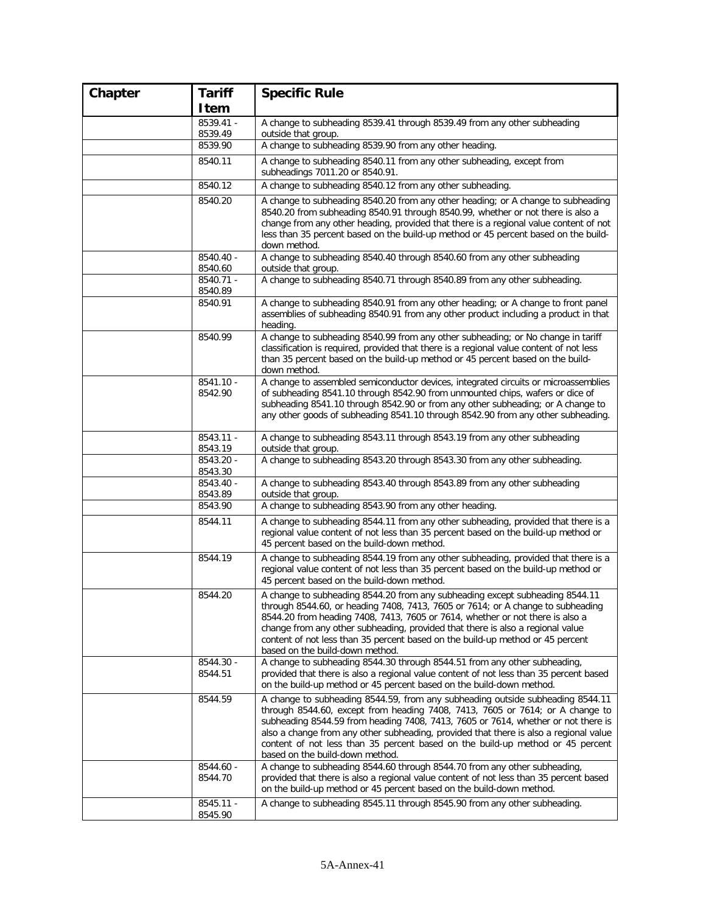| Chapter | <b>Tariff</b>          | <b>Specific Rule</b>                                                                                                                                                                                                                                                                                                                                                                                                                                               |
|---------|------------------------|--------------------------------------------------------------------------------------------------------------------------------------------------------------------------------------------------------------------------------------------------------------------------------------------------------------------------------------------------------------------------------------------------------------------------------------------------------------------|
|         | Item                   |                                                                                                                                                                                                                                                                                                                                                                                                                                                                    |
|         | $8539.41 -$            | A change to subheading 8539.41 through 8539.49 from any other subheading                                                                                                                                                                                                                                                                                                                                                                                           |
|         | 8539.49                | outside that group.                                                                                                                                                                                                                                                                                                                                                                                                                                                |
|         | 8539.90                | A change to subheading 8539.90 from any other heading.                                                                                                                                                                                                                                                                                                                                                                                                             |
|         | 8540.11                | A change to subheading 8540.11 from any other subheading, except from<br>subheadings 7011.20 or 8540.91.                                                                                                                                                                                                                                                                                                                                                           |
|         | 8540.12                | A change to subheading 8540.12 from any other subheading.                                                                                                                                                                                                                                                                                                                                                                                                          |
|         | 8540.20                | A change to subheading 8540.20 from any other heading; or A change to subheading<br>8540.20 from subheading 8540.91 through 8540.99, whether or not there is also a<br>change from any other heading, provided that there is a regional value content of not<br>less than 35 percent based on the build-up method or 45 percent based on the build-<br>down method.                                                                                                |
|         | 8540.40 -<br>8540.60   | A change to subheading 8540.40 through 8540.60 from any other subheading<br>outside that group.                                                                                                                                                                                                                                                                                                                                                                    |
|         | 8540.71 -<br>8540.89   | A change to subheading 8540.71 through 8540.89 from any other subheading.                                                                                                                                                                                                                                                                                                                                                                                          |
|         | 8540.91                | A change to subheading 8540.91 from any other heading; or A change to front panel<br>assemblies of subheading 8540.91 from any other product including a product in that<br>heading.                                                                                                                                                                                                                                                                               |
|         | 8540.99                | A change to subheading 8540.99 from any other subheading; or No change in tariff<br>classification is required, provided that there is a regional value content of not less<br>than 35 percent based on the build-up method or 45 percent based on the build-<br>down method.                                                                                                                                                                                      |
|         | 8541.10 -<br>8542.90   | A change to assembled semiconductor devices, integrated circuits or microassemblies<br>of subheading 8541.10 through 8542.90 from unmounted chips, wafers or dice of<br>subheading 8541.10 through 8542.90 or from any other subheading; or A change to<br>any other goods of subheading 8541.10 through 8542.90 from any other subheading.                                                                                                                        |
|         | 8543.11 -<br>8543.19   | A change to subheading 8543.11 through 8543.19 from any other subheading<br>outside that group.                                                                                                                                                                                                                                                                                                                                                                    |
|         | 8543.20 -<br>8543.30   | A change to subheading 8543.20 through 8543.30 from any other subheading.                                                                                                                                                                                                                                                                                                                                                                                          |
|         | 8543.40 -<br>8543.89   | A change to subheading 8543.40 through 8543.89 from any other subheading<br>outside that group.                                                                                                                                                                                                                                                                                                                                                                    |
|         | 8543.90                | A change to subheading 8543.90 from any other heading.                                                                                                                                                                                                                                                                                                                                                                                                             |
|         | 8544.11                | A change to subheading 8544.11 from any other subheading, provided that there is a<br>regional value content of not less than 35 percent based on the build-up method or<br>45 percent based on the build-down method.                                                                                                                                                                                                                                             |
|         | 8544.19                | A change to subheading 8544.19 from any other subheading, provided that there is a<br>regional value content of not less than 35 percent based on the build-up method or<br>45 percent based on the build-down method.                                                                                                                                                                                                                                             |
|         | 8544.20                | A change to subheading 8544.20 from any subheading except subheading 8544.11<br>through 8544.60, or heading 7408, 7413, 7605 or 7614; or A change to subheading<br>8544.20 from heading 7408, 7413, 7605 or 7614, whether or not there is also a<br>change from any other subheading, provided that there is also a regional value<br>content of not less than 35 percent based on the build-up method or 45 percent<br>based on the build-down method.            |
|         | 8544.30 -<br>8544.51   | A change to subheading 8544.30 through 8544.51 from any other subheading,<br>provided that there is also a regional value content of not less than 35 percent based<br>on the build-up method or 45 percent based on the build-down method.                                                                                                                                                                                                                        |
|         | 8544.59                | A change to subheading 8544.59, from any subheading outside subheading 8544.11<br>through 8544.60, except from heading 7408, 7413, 7605 or 7614; or A change to<br>subheading 8544.59 from heading 7408, 7413, 7605 or 7614, whether or not there is<br>also a change from any other subheading, provided that there is also a regional value<br>content of not less than 35 percent based on the build-up method or 45 percent<br>based on the build-down method. |
|         | 8544.60 -<br>8544.70   | A change to subheading 8544.60 through 8544.70 from any other subheading,<br>provided that there is also a regional value content of not less than 35 percent based<br>on the build-up method or 45 percent based on the build-down method.                                                                                                                                                                                                                        |
|         | $8545.11 -$<br>8545.90 | A change to subheading 8545.11 through 8545.90 from any other subheading.                                                                                                                                                                                                                                                                                                                                                                                          |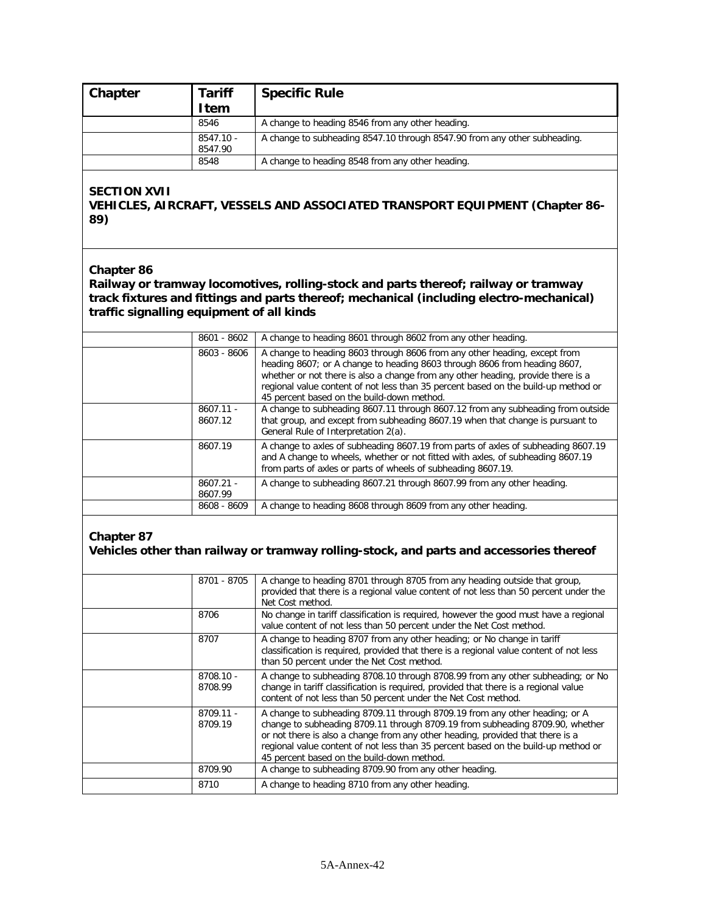| Chapter | <b>Tariff</b><br><b>Item</b> | <b>Specific Rule</b>                                                      |
|---------|------------------------------|---------------------------------------------------------------------------|
|         | 8546                         | A change to heading 8546 from any other heading.                          |
|         | 8547.10 -<br>8547.90         | A change to subheading 8547.10 through 8547.90 from any other subheading. |
|         | 8548                         | A change to heading 8548 from any other heading.                          |

#### **SECTION XVII**

### **VEHICLES, AIRCRAFT, VESSELS AND ASSOCIATED TRANSPORT EQUIPMENT (Chapter 86- 89)**

#### **Chapter 86**

**Railway or tramway locomotives, rolling-stock and parts thereof; railway or tramway track fixtures and fittings and parts thereof; mechanical (including electro-mechanical) traffic signalling equipment of all kinds**

| 8601 - 8602            | A change to heading 8601 through 8602 from any other heading.                                                                                                                                                                                                                                                                                                                  |
|------------------------|--------------------------------------------------------------------------------------------------------------------------------------------------------------------------------------------------------------------------------------------------------------------------------------------------------------------------------------------------------------------------------|
| 8603 - 8606            | A change to heading 8603 through 8606 from any other heading, except from<br>heading 8607; or A change to heading 8603 through 8606 from heading 8607,<br>whether or not there is also a change from any other heading, provide there is a<br>regional value content of not less than 35 percent based on the build-up method or<br>45 percent based on the build-down method. |
| $8607.11 -$<br>8607.12 | A change to subheading 8607.11 through 8607.12 from any subheading from outside<br>that group, and except from subheading 8607.19 when that change is pursuant to<br>General Rule of Interpretation 2(a).                                                                                                                                                                      |
| 8607.19                | A change to axles of subheading 8607.19 from parts of axles of subheading 8607.19<br>and A change to wheels, whether or not fitted with axles, of subheading 8607.19<br>from parts of axles or parts of wheels of subheading 8607.19.                                                                                                                                          |
| $8607.21 -$<br>8607.99 | A change to subheading 8607.21 through 8607.99 from any other heading.                                                                                                                                                                                                                                                                                                         |
| 8608 - 8609            | A change to heading 8608 through 8609 from any other heading.                                                                                                                                                                                                                                                                                                                  |

#### **Chapter 87 Vehicles other than railway or tramway rolling-stock, and parts and accessories thereof**

| 8701 - 8705            | A change to heading 8701 through 8705 from any heading outside that group,<br>provided that there is a regional value content of not less than 50 percent under the<br>Net Cost method.                                                                                                                                                                                            |
|------------------------|------------------------------------------------------------------------------------------------------------------------------------------------------------------------------------------------------------------------------------------------------------------------------------------------------------------------------------------------------------------------------------|
| 8706                   | No change in tariff classification is required, however the good must have a regional<br>value content of not less than 50 percent under the Net Cost method.                                                                                                                                                                                                                      |
| 8707                   | A change to heading 8707 from any other heading; or No change in tariff<br>classification is required, provided that there is a regional value content of not less<br>than 50 percent under the Net Cost method.                                                                                                                                                                   |
| 8708.10 -<br>8708.99   | A change to subheading 8708.10 through 8708.99 from any other subheading; or No<br>change in tariff classification is required, provided that there is a regional value<br>content of not less than 50 percent under the Net Cost method.                                                                                                                                          |
| $8709.11 -$<br>8709.19 | A change to subheading 8709.11 through 8709.19 from any other heading; or A<br>change to subheading 8709.11 through 8709.19 from subheading 8709.90, whether<br>or not there is also a change from any other heading, provided that there is a<br>regional value content of not less than 35 percent based on the build-up method or<br>45 percent based on the build-down method. |
| 8709.90                | A change to subheading 8709.90 from any other heading.                                                                                                                                                                                                                                                                                                                             |
| 8710                   | A change to heading 8710 from any other heading.                                                                                                                                                                                                                                                                                                                                   |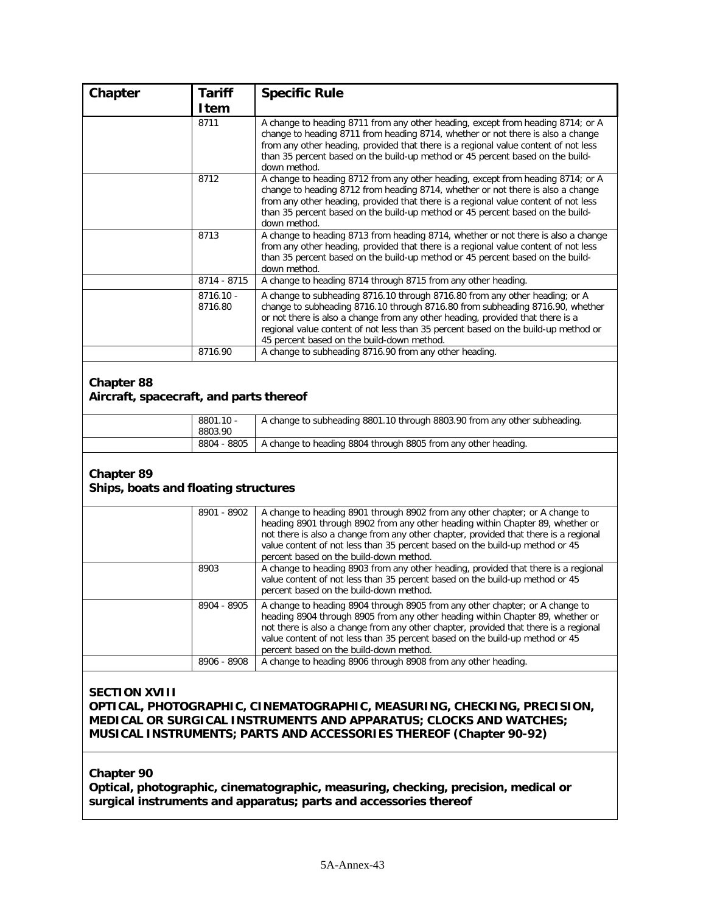| Chapter                                                      | <b>Tariff</b>        | <b>Specific Rule</b>                                                                                                                                                                                                                                                                                                                                                               |
|--------------------------------------------------------------|----------------------|------------------------------------------------------------------------------------------------------------------------------------------------------------------------------------------------------------------------------------------------------------------------------------------------------------------------------------------------------------------------------------|
|                                                              | <b>Item</b>          |                                                                                                                                                                                                                                                                                                                                                                                    |
|                                                              | 8711                 | A change to heading 8711 from any other heading, except from heading 8714; or A<br>change to heading 8711 from heading 8714, whether or not there is also a change<br>from any other heading, provided that there is a regional value content of not less<br>than 35 percent based on the build-up method or 45 percent based on the build-<br>down method.                        |
|                                                              | 8712                 | A change to heading 8712 from any other heading, except from heading 8714; or A<br>change to heading 8712 from heading 8714, whether or not there is also a change<br>from any other heading, provided that there is a regional value content of not less<br>than 35 percent based on the build-up method or 45 percent based on the build-<br>down method.                        |
|                                                              | 8713                 | A change to heading 8713 from heading 8714, whether or not there is also a change<br>from any other heading, provided that there is a regional value content of not less<br>than 35 percent based on the build-up method or 45 percent based on the build-<br>down method.                                                                                                         |
|                                                              | 8714 - 8715          | A change to heading 8714 through 8715 from any other heading.                                                                                                                                                                                                                                                                                                                      |
|                                                              | 8716.10 -<br>8716.80 | A change to subheading 8716.10 through 8716.80 from any other heading; or A<br>change to subheading 8716.10 through 8716.80 from subheading 8716.90, whether<br>or not there is also a change from any other heading, provided that there is a<br>regional value content of not less than 35 percent based on the build-up method or<br>45 percent based on the build-down method. |
|                                                              | 8716.90              | A change to subheading 8716.90 from any other heading.                                                                                                                                                                                                                                                                                                                             |
| <b>Chapter 88</b><br>Aircraft, spacecraft, and parts thereof |                      |                                                                                                                                                                                                                                                                                                                                                                                    |
|                                                              | 8801.10 -<br>8803.90 | A change to subheading 8801.10 through 8803.90 from any other subheading.                                                                                                                                                                                                                                                                                                          |
|                                                              | 8804 - 8805          | A change to heading 8804 through 8805 from any other heading.                                                                                                                                                                                                                                                                                                                      |
| <b>Chapter 89</b><br>Ships, boats and floating structures    | 8901 - 8902          | A change to heading 8901 through 8902 from any other chapter; or A change to                                                                                                                                                                                                                                                                                                       |
|                                                              |                      | heading 8901 through 8902 from any other heading within Chapter 89, whether or<br>not there is also a change from any other chapter, provided that there is a regional<br>value content of not less than 35 percent based on the build-up method or 45<br>percent based on the build-down method.                                                                                  |
|                                                              | 8903                 | A change to heading 8903 from any other heading, provided that there is a regional<br>value content of not less than 35 percent based on the build-up method or 45<br>percent based on the build-down method.                                                                                                                                                                      |
|                                                              | 8904 - 8905          | A change to heading 8904 through 8905 from any other chapter; or A change to<br>heading 8904 through 8905 from any other heading within Chapter 89, whether or<br>not there is also a change from any other chapter, provided that there is a regional<br>value content of not less than 35 percent based on the build-up method or 45<br>percent based on the build-down method.  |
|                                                              | 8906 - 8908          | A change to heading 8906 through 8908 from any other heading.                                                                                                                                                                                                                                                                                                                      |
| <b>SECTION XVIII</b>                                         |                      |                                                                                                                                                                                                                                                                                                                                                                                    |

**OPTICAL, PHOTOGRAPHIC, CINEMATOGRAPHIC, MEASURING, CHECKING, PRECISION, MEDICAL OR SURGICAL INSTRUMENTS AND APPARATUS; CLOCKS AND WATCHES; MUSICAL INSTRUMENTS; PARTS AND ACCESSORIES THEREOF (Chapter 90-92)**

**Chapter 90**

**Optical, photographic, cinematographic, measuring, checking, precision, medical or surgical instruments and apparatus; parts and accessories thereof**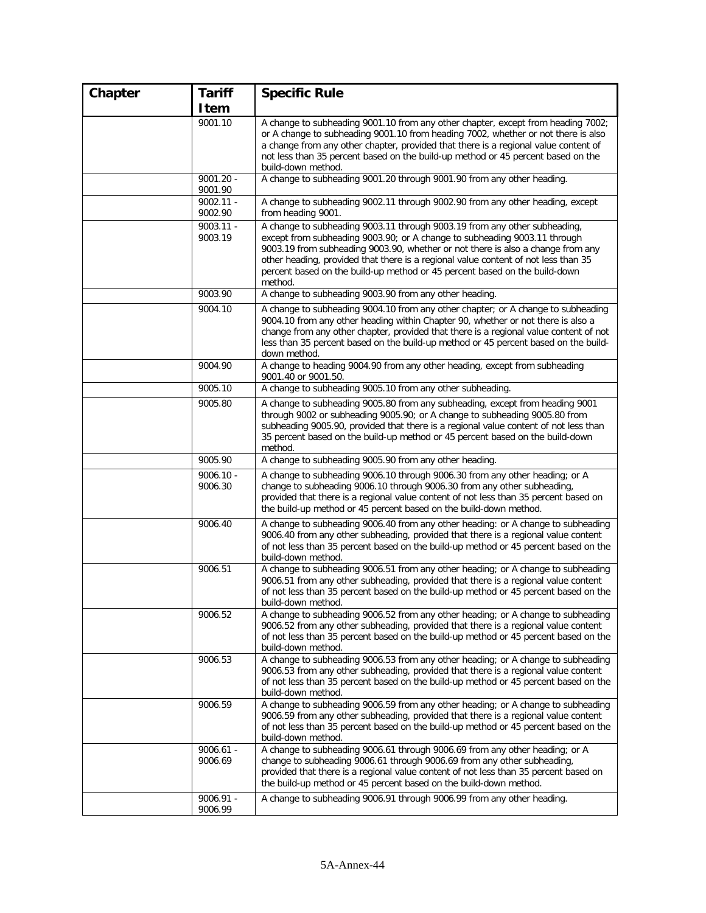| Chapter | <b>Tariff</b>          | <b>Specific Rule</b>                                                                                                                                                                                                                                                                                                                                                                                                     |
|---------|------------------------|--------------------------------------------------------------------------------------------------------------------------------------------------------------------------------------------------------------------------------------------------------------------------------------------------------------------------------------------------------------------------------------------------------------------------|
|         | Item                   |                                                                                                                                                                                                                                                                                                                                                                                                                          |
|         | 9001.10                | A change to subheading 9001.10 from any other chapter, except from heading 7002;<br>or A change to subheading 9001.10 from heading 7002, whether or not there is also<br>a change from any other chapter, provided that there is a regional value content of<br>not less than 35 percent based on the build-up method or 45 percent based on the<br>build-down method.                                                   |
|         | $9001.20 -$<br>9001.90 | A change to subheading 9001.20 through 9001.90 from any other heading.                                                                                                                                                                                                                                                                                                                                                   |
|         | $9002.11 -$<br>9002.90 | A change to subheading 9002.11 through 9002.90 from any other heading, except<br>from heading 9001.                                                                                                                                                                                                                                                                                                                      |
|         | $9003.11 -$<br>9003.19 | A change to subheading 9003.11 through 9003.19 from any other subheading,<br>except from subheading 9003.90; or A change to subheading 9003.11 through<br>9003.19 from subheading 9003.90, whether or not there is also a change from any<br>other heading, provided that there is a regional value content of not less than 35<br>percent based on the build-up method or 45 percent based on the build-down<br>method. |
|         | 9003.90                | A change to subheading 9003.90 from any other heading.                                                                                                                                                                                                                                                                                                                                                                   |
|         | 9004.10                | A change to subheading 9004.10 from any other chapter; or A change to subheading<br>9004.10 from any other heading within Chapter 90, whether or not there is also a<br>change from any other chapter, provided that there is a regional value content of not<br>less than 35 percent based on the build-up method or 45 percent based on the build-<br>down method.                                                     |
|         | 9004.90                | A change to heading 9004.90 from any other heading, except from subheading<br>9001.40 or 9001.50.                                                                                                                                                                                                                                                                                                                        |
|         | 9005.10                | A change to subheading 9005.10 from any other subheading.                                                                                                                                                                                                                                                                                                                                                                |
|         | 9005.80                | A change to subheading 9005.80 from any subheading, except from heading 9001<br>through 9002 or subheading 9005.90; or A change to subheading 9005.80 from<br>subheading 9005.90, provided that there is a regional value content of not less than<br>35 percent based on the build-up method or 45 percent based on the build-down<br>method.                                                                           |
|         | 9005.90                | A change to subheading 9005.90 from any other heading.                                                                                                                                                                                                                                                                                                                                                                   |
|         | $9006.10 -$<br>9006.30 | A change to subheading 9006.10 through 9006.30 from any other heading; or A<br>change to subheading 9006.10 through 9006.30 from any other subheading,<br>provided that there is a regional value content of not less than 35 percent based on<br>the build-up method or 45 percent based on the build-down method.                                                                                                      |
|         | 9006.40                | A change to subheading 9006.40 from any other heading: or A change to subheading<br>9006.40 from any other subheading, provided that there is a regional value content<br>of not less than 35 percent based on the build-up method or 45 percent based on the<br>build-down method.                                                                                                                                      |
|         | 9006.51                | A change to subheading 9006.51 from any other heading; or A change to subheading<br>9006.51 from any other subheading, provided that there is a regional value content<br>of not less than 35 percent based on the build-up method or 45 percent based on the<br>build-down method.                                                                                                                                      |
|         | 9006.52                | A change to subheading 9006.52 from any other heading; or A change to subheading<br>9006.52 from any other subheading, provided that there is a regional value content<br>of not less than 35 percent based on the build-up method or 45 percent based on the<br>build-down method.                                                                                                                                      |
|         | 9006.53                | A change to subheading 9006.53 from any other heading; or A change to subheading<br>9006.53 from any other subheading, provided that there is a regional value content<br>of not less than 35 percent based on the build-up method or 45 percent based on the<br>build-down method.                                                                                                                                      |
|         | 9006.59                | A change to subheading 9006.59 from any other heading; or A change to subheading<br>9006.59 from any other subheading, provided that there is a regional value content<br>of not less than 35 percent based on the build-up method or 45 percent based on the<br>build-down method.                                                                                                                                      |
|         | $9006.61 -$<br>9006.69 | A change to subheading 9006.61 through 9006.69 from any other heading; or A<br>change to subheading 9006.61 through 9006.69 from any other subheading,<br>provided that there is a regional value content of not less than 35 percent based on<br>the build-up method or 45 percent based on the build-down method.                                                                                                      |
|         | 9006.91 -<br>9006.99   | A change to subheading 9006.91 through 9006.99 from any other heading.                                                                                                                                                                                                                                                                                                                                                   |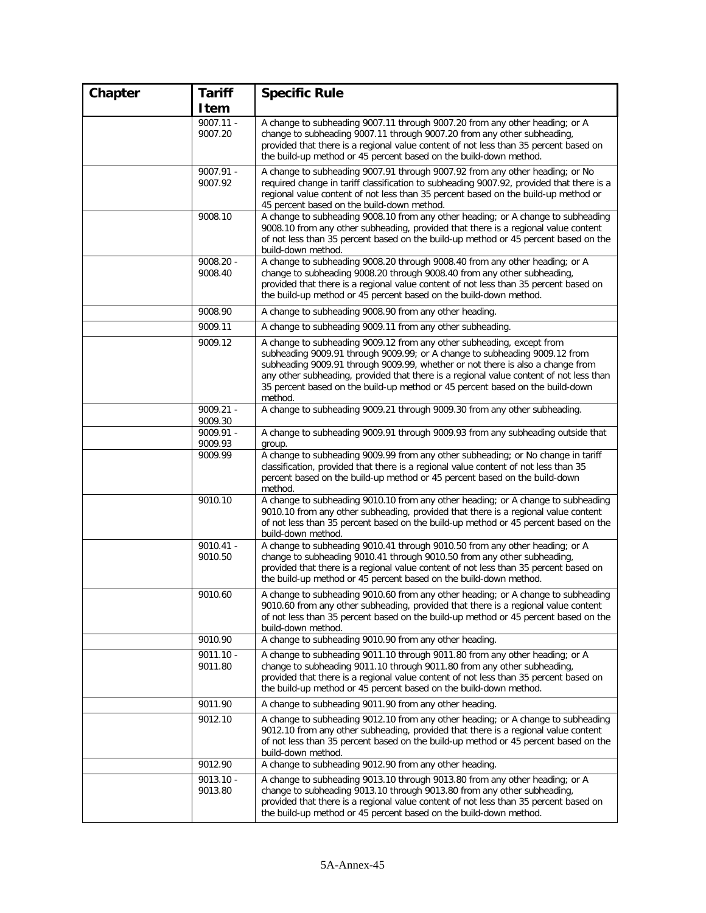| Chapter | <b>Tariff</b>          | <b>Specific Rule</b>                                                                                                                                                                                                                                                                                                                                                                                                        |
|---------|------------------------|-----------------------------------------------------------------------------------------------------------------------------------------------------------------------------------------------------------------------------------------------------------------------------------------------------------------------------------------------------------------------------------------------------------------------------|
|         | Item                   |                                                                                                                                                                                                                                                                                                                                                                                                                             |
|         | $9007.11 -$<br>9007.20 | A change to subheading 9007.11 through 9007.20 from any other heading; or A<br>change to subheading 9007.11 through 9007.20 from any other subheading,<br>provided that there is a regional value content of not less than 35 percent based on<br>the build-up method or 45 percent based on the build-down method.                                                                                                         |
|         | $9007.91 -$<br>9007.92 | A change to subheading 9007.91 through 9007.92 from any other heading; or No<br>required change in tariff classification to subheading 9007.92, provided that there is a<br>regional value content of not less than 35 percent based on the build-up method or<br>45 percent based on the build-down method.                                                                                                                |
|         | 9008.10                | A change to subheading 9008.10 from any other heading; or A change to subheading<br>9008.10 from any other subheading, provided that there is a regional value content<br>of not less than 35 percent based on the build-up method or 45 percent based on the<br>build-down method.                                                                                                                                         |
|         | $9008.20 -$<br>9008.40 | A change to subheading 9008.20 through 9008.40 from any other heading; or A<br>change to subheading 9008.20 through 9008.40 from any other subheading,<br>provided that there is a regional value content of not less than 35 percent based on<br>the build-up method or 45 percent based on the build-down method.                                                                                                         |
|         | 9008.90                | A change to subheading 9008.90 from any other heading.                                                                                                                                                                                                                                                                                                                                                                      |
|         | 9009.11                | A change to subheading 9009.11 from any other subheading.                                                                                                                                                                                                                                                                                                                                                                   |
|         | 9009.12                | A change to subheading 9009.12 from any other subheading, except from<br>subheading 9009.91 through 9009.99; or A change to subheading 9009.12 from<br>subheading 9009.91 through 9009.99, whether or not there is also a change from<br>any other subheading, provided that there is a regional value content of not less than<br>35 percent based on the build-up method or 45 percent based on the build-down<br>method. |
|         | $9009.21 -$<br>9009.30 | A change to subheading 9009.21 through 9009.30 from any other subheading.                                                                                                                                                                                                                                                                                                                                                   |
|         | 9009.91 -<br>9009.93   | A change to subheading 9009.91 through 9009.93 from any subheading outside that<br>group.                                                                                                                                                                                                                                                                                                                                   |
|         | 9009.99                | A change to subheading 9009.99 from any other subheading; or No change in tariff<br>classification, provided that there is a regional value content of not less than 35<br>percent based on the build-up method or 45 percent based on the build-down<br>method.                                                                                                                                                            |
|         | 9010.10                | A change to subheading 9010.10 from any other heading; or A change to subheading<br>9010.10 from any other subheading, provided that there is a regional value content<br>of not less than 35 percent based on the build-up method or 45 percent based on the<br>build-down method.                                                                                                                                         |
|         | $9010.41 -$<br>9010.50 | A change to subheading 9010.41 through 9010.50 from any other heading; or A<br>change to subheading 9010.41 through 9010.50 from any other subheading,<br>provided that there is a regional value content of not less than 35 percent based on<br>the build-up method or 45 percent based on the build-down method.                                                                                                         |
|         | 9010.60                | A change to subheading 9010.60 from any other heading; or A change to subheading<br>9010.60 from any other subheading, provided that there is a regional value content<br>of not less than 35 percent based on the build-up method or 45 percent based on the<br>build-down method.                                                                                                                                         |
|         | 9010.90                | A change to subheading 9010.90 from any other heading.                                                                                                                                                                                                                                                                                                                                                                      |
|         | $9011.10 -$<br>9011.80 | A change to subheading 9011.10 through 9011.80 from any other heading; or A<br>change to subheading 9011.10 through 9011.80 from any other subheading,<br>provided that there is a regional value content of not less than 35 percent based on<br>the build-up method or 45 percent based on the build-down method.                                                                                                         |
|         | 9011.90                | A change to subheading 9011.90 from any other heading.                                                                                                                                                                                                                                                                                                                                                                      |
|         | 9012.10                | A change to subheading 9012.10 from any other heading; or A change to subheading<br>9012.10 from any other subheading, provided that there is a regional value content<br>of not less than 35 percent based on the build-up method or 45 percent based on the<br>build-down method.                                                                                                                                         |
|         | 9012.90                | A change to subheading 9012.90 from any other heading.                                                                                                                                                                                                                                                                                                                                                                      |
|         | $9013.10 -$<br>9013.80 | A change to subheading 9013.10 through 9013.80 from any other heading; or A<br>change to subheading 9013.10 through 9013.80 from any other subheading,<br>provided that there is a regional value content of not less than 35 percent based on<br>the build-up method or 45 percent based on the build-down method.                                                                                                         |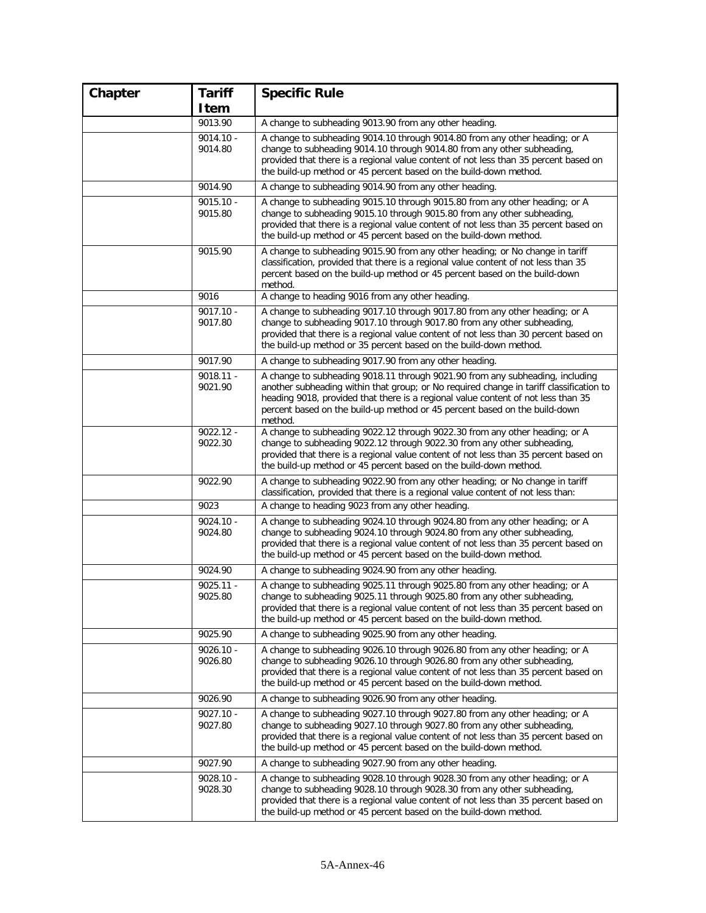| Chapter | <b>Tariff</b>          | <b>Specific Rule</b>                                                                                                                                                                                                                                                                                                                                   |
|---------|------------------------|--------------------------------------------------------------------------------------------------------------------------------------------------------------------------------------------------------------------------------------------------------------------------------------------------------------------------------------------------------|
|         | Item                   |                                                                                                                                                                                                                                                                                                                                                        |
|         | 9013.90                | A change to subheading 9013.90 from any other heading.                                                                                                                                                                                                                                                                                                 |
|         | $9014.10 -$<br>9014.80 | A change to subheading 9014.10 through 9014.80 from any other heading; or A<br>change to subheading 9014.10 through 9014.80 from any other subheading,<br>provided that there is a regional value content of not less than 35 percent based on<br>the build-up method or 45 percent based on the build-down method.                                    |
|         | 9014.90                | A change to subheading 9014.90 from any other heading.                                                                                                                                                                                                                                                                                                 |
|         | $9015.10 -$<br>9015.80 | A change to subheading 9015.10 through 9015.80 from any other heading; or A<br>change to subheading 9015.10 through 9015.80 from any other subheading,<br>provided that there is a regional value content of not less than 35 percent based on<br>the build-up method or 45 percent based on the build-down method.                                    |
|         | 9015.90                | A change to subheading 9015.90 from any other heading; or No change in tariff<br>classification, provided that there is a regional value content of not less than 35<br>percent based on the build-up method or 45 percent based on the build-down<br>method.                                                                                          |
|         | 9016                   | A change to heading 9016 from any other heading.                                                                                                                                                                                                                                                                                                       |
|         | $9017.10 -$<br>9017.80 | A change to subheading 9017.10 through 9017.80 from any other heading; or A<br>change to subheading 9017.10 through 9017.80 from any other subheading,<br>provided that there is a regional value content of not less than 30 percent based on<br>the build-up method or 35 percent based on the build-down method.                                    |
|         | 9017.90                | A change to subheading 9017.90 from any other heading.                                                                                                                                                                                                                                                                                                 |
|         | $9018.11 -$<br>9021.90 | A change to subheading 9018.11 through 9021.90 from any subheading, including<br>another subheading within that group; or No required change in tariff classification to<br>heading 9018, provided that there is a regional value content of not less than 35<br>percent based on the build-up method or 45 percent based on the build-down<br>method. |
|         | $9022.12 -$<br>9022.30 | A change to subheading 9022.12 through 9022.30 from any other heading; or A<br>change to subheading 9022.12 through 9022.30 from any other subheading,<br>provided that there is a regional value content of not less than 35 percent based on<br>the build-up method or 45 percent based on the build-down method.                                    |
|         | 9022.90                | A change to subheading 9022.90 from any other heading; or No change in tariff<br>classification, provided that there is a regional value content of not less than:                                                                                                                                                                                     |
|         | 9023                   | A change to heading 9023 from any other heading.                                                                                                                                                                                                                                                                                                       |
|         | $9024.10 -$<br>9024.80 | A change to subheading 9024.10 through 9024.80 from any other heading; or A<br>change to subheading 9024.10 through 9024.80 from any other subheading,<br>provided that there is a regional value content of not less than 35 percent based on<br>the build-up method or 45 percent based on the build-down method.                                    |
|         | 9024.90                | A change to subheading 9024.90 from any other heading.                                                                                                                                                                                                                                                                                                 |
|         | $9025.11 -$<br>9025.80 | A change to subheading 9025.11 through 9025.80 from any other heading; or A<br>change to subheading 9025.11 through 9025.80 from any other subheading,<br>provided that there is a regional value content of not less than 35 percent based on<br>the build-up method or 45 percent based on the build-down method.                                    |
|         | 9025.90                | A change to subheading 9025.90 from any other heading.                                                                                                                                                                                                                                                                                                 |
|         | $9026.10 -$<br>9026.80 | A change to subheading 9026.10 through 9026.80 from any other heading; or A<br>change to subheading 9026.10 through 9026.80 from any other subheading,<br>provided that there is a regional value content of not less than 35 percent based on<br>the build-up method or 45 percent based on the build-down method.                                    |
|         | 9026.90                | A change to subheading 9026.90 from any other heading.                                                                                                                                                                                                                                                                                                 |
|         | $9027.10 -$<br>9027.80 | A change to subheading 9027.10 through 9027.80 from any other heading; or A<br>change to subheading 9027.10 through 9027.80 from any other subheading,<br>provided that there is a regional value content of not less than 35 percent based on<br>the build-up method or 45 percent based on the build-down method.                                    |
|         | 9027.90                | A change to subheading 9027.90 from any other heading.                                                                                                                                                                                                                                                                                                 |
|         | $9028.10 -$<br>9028.30 | A change to subheading 9028.10 through 9028.30 from any other heading; or A<br>change to subheading 9028.10 through 9028.30 from any other subheading,<br>provided that there is a regional value content of not less than 35 percent based on<br>the build-up method or 45 percent based on the build-down method.                                    |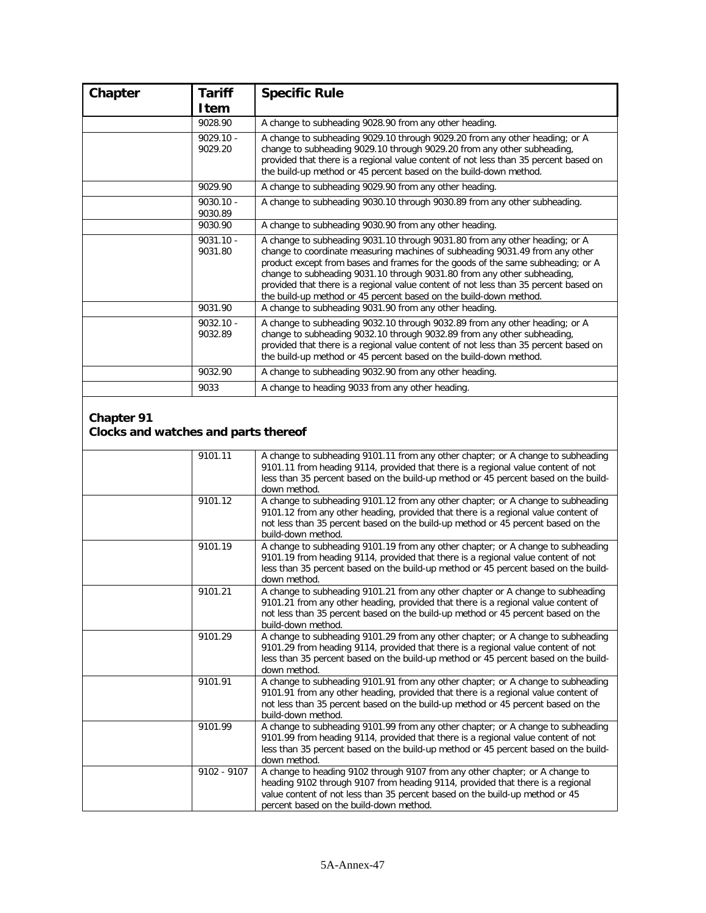| Chapter | <b>Tariff</b><br>Item  | <b>Specific Rule</b>                                                                                                                                                                                                                                                                                                                                                                                                                                                                   |
|---------|------------------------|----------------------------------------------------------------------------------------------------------------------------------------------------------------------------------------------------------------------------------------------------------------------------------------------------------------------------------------------------------------------------------------------------------------------------------------------------------------------------------------|
|         | 9028.90                | A change to subheading 9028.90 from any other heading.                                                                                                                                                                                                                                                                                                                                                                                                                                 |
|         | $9029.10 -$<br>9029.20 | A change to subheading 9029.10 through 9029.20 from any other heading; or A<br>change to subheading 9029.10 through 9029.20 from any other subheading,<br>provided that there is a regional value content of not less than 35 percent based on<br>the build-up method or 45 percent based on the build-down method.                                                                                                                                                                    |
|         | 9029.90                | A change to subheading 9029.90 from any other heading.                                                                                                                                                                                                                                                                                                                                                                                                                                 |
|         | $9030.10 -$<br>9030.89 | A change to subheading 9030.10 through 9030.89 from any other subheading.                                                                                                                                                                                                                                                                                                                                                                                                              |
|         | 9030.90                | A change to subheading 9030.90 from any other heading.                                                                                                                                                                                                                                                                                                                                                                                                                                 |
|         | $9031.10 -$<br>9031.80 | A change to subheading 9031.10 through 9031.80 from any other heading; or A<br>change to coordinate measuring machines of subheading 9031.49 from any other<br>product except from bases and frames for the goods of the same subheading; or A<br>change to subheading 9031.10 through 9031.80 from any other subheading,<br>provided that there is a regional value content of not less than 35 percent based on<br>the build-up method or 45 percent based on the build-down method. |
|         | 9031.90                | A change to subheading 9031.90 from any other heading.                                                                                                                                                                                                                                                                                                                                                                                                                                 |
|         | $9032.10 -$<br>9032.89 | A change to subheading 9032.10 through 9032.89 from any other heading; or A<br>change to subheading 9032.10 through 9032.89 from any other subheading,<br>provided that there is a regional value content of not less than 35 percent based on<br>the build-up method or 45 percent based on the build-down method.                                                                                                                                                                    |
|         | 9032.90                | A change to subheading 9032.90 from any other heading.                                                                                                                                                                                                                                                                                                                                                                                                                                 |
|         | 9033                   | A change to heading 9033 from any other heading.                                                                                                                                                                                                                                                                                                                                                                                                                                       |

#### **Chapter 91 Clocks and watches and parts thereof**

| 9101.11       | A change to subheading 9101.11 from any other chapter; or A change to subheading<br>9101.11 from heading 9114, provided that there is a regional value content of not<br>less than 35 percent based on the build-up method or 45 percent based on the build-<br>down method.              |
|---------------|-------------------------------------------------------------------------------------------------------------------------------------------------------------------------------------------------------------------------------------------------------------------------------------------|
| 9101.12       | A change to subheading 9101.12 from any other chapter; or A change to subheading<br>9101.12 from any other heading, provided that there is a regional value content of<br>not less than 35 percent based on the build-up method or 45 percent based on the<br>build-down method.          |
| 9101.19       | A change to subheading 9101.19 from any other chapter; or A change to subheading<br>9101.19 from heading 9114, provided that there is a regional value content of not<br>less than 35 percent based on the build-up method or 45 percent based on the build-<br>down method.              |
| 9101.21       | A change to subheading 9101.21 from any other chapter or A change to subheading<br>9101.21 from any other heading, provided that there is a regional value content of<br>not less than 35 percent based on the build-up method or 45 percent based on the<br>build-down method.           |
| 9101.29       | A change to subheading 9101.29 from any other chapter; or A change to subheading<br>9101.29 from heading 9114, provided that there is a regional value content of not<br>less than 35 percent based on the build-up method or 45 percent based on the build-<br>down method.              |
| 9101.91       | A change to subheading 9101.91 from any other chapter; or A change to subheading<br>9101.91 from any other heading, provided that there is a regional value content of<br>not less than 35 percent based on the build-up method or 45 percent based on the<br>build-down method.          |
| 9101.99       | A change to subheading 9101.99 from any other chapter; or A change to subheading<br>9101.99 from heading 9114, provided that there is a regional value content of not<br>less than 35 percent based on the build-up method or 45 percent based on the build-<br>down method.              |
| $9102 - 9107$ | A change to heading 9102 through 9107 from any other chapter; or A change to<br>heading 9102 through 9107 from heading 9114, provided that there is a regional<br>value content of not less than 35 percent based on the build-up method or 45<br>percent based on the build-down method. |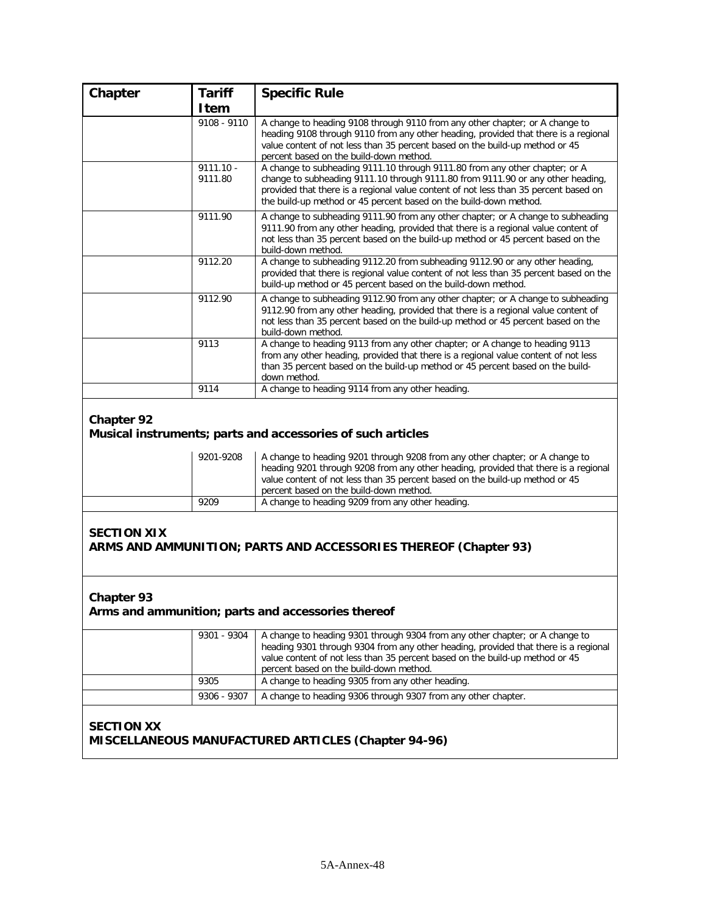| Chapter           | <b>Tariff</b><br>Item  | <b>Specific Rule</b>                                                                                                                                                                                                                                                                                                        |
|-------------------|------------------------|-----------------------------------------------------------------------------------------------------------------------------------------------------------------------------------------------------------------------------------------------------------------------------------------------------------------------------|
|                   | 9108 - 9110            | A change to heading 9108 through 9110 from any other chapter; or A change to<br>heading 9108 through 9110 from any other heading, provided that there is a regional<br>value content of not less than 35 percent based on the build-up method or 45<br>percent based on the build-down method.                              |
|                   | $9111.10 -$<br>9111.80 | A change to subheading 9111.10 through 9111.80 from any other chapter; or A<br>change to subheading 9111.10 through 9111.80 from 9111.90 or any other heading,<br>provided that there is a regional value content of not less than 35 percent based on<br>the build-up method or 45 percent based on the build-down method. |
|                   | 9111.90                | A change to subheading 9111.90 from any other chapter; or A change to subheading<br>9111.90 from any other heading, provided that there is a regional value content of<br>not less than 35 percent based on the build-up method or 45 percent based on the<br>build-down method.                                            |
|                   | 9112.20                | A change to subheading 9112.20 from subheading 9112.90 or any other heading,<br>provided that there is regional value content of not less than 35 percent based on the<br>build-up method or 45 percent based on the build-down method.                                                                                     |
|                   | 9112.90                | A change to subheading 9112.90 from any other chapter; or A change to subheading<br>9112.90 from any other heading, provided that there is a regional value content of<br>not less than 35 percent based on the build-up method or 45 percent based on the<br>build-down method.                                            |
|                   | 9113                   | A change to heading 9113 from any other chapter; or A change to heading 9113<br>from any other heading, provided that there is a regional value content of not less<br>than 35 percent based on the build-up method or 45 percent based on the build-<br>down method.                                                       |
|                   | 9114                   | A change to heading 9114 from any other heading.                                                                                                                                                                                                                                                                            |
| <b>Chapter 92</b> |                        | Musical instruments; parts and accessories of such articles                                                                                                                                                                                                                                                                 |
|                   | 9201-9208              | A change to heading 9201 through 9208 from any other chapter; or A change to<br>heading 9201 through 9208 from any other heading, provided that there is a regional<br>value contant of not less than 25 nersont based on the build up method or 45                                                                         |

|      | heading 9201 through 9208 from any other heading, provided that there is a regional<br>value content of not less than 35 percent based on the build-up method or 45 |
|------|---------------------------------------------------------------------------------------------------------------------------------------------------------------------|
|      | percent based on the build-down method.                                                                                                                             |
| 9209 | A change to heading 9209 from any other heading.                                                                                                                    |

## **SECTION XIX ARMS AND AMMUNITION; PARTS AND ACCESSORIES THEREOF (Chapter 93)**

#### **Chapter 93**

# **Arms and ammunition; parts and accessories thereof**

| $9301 - 9304$ | A change to heading 9301 through 9304 from any other chapter; or A change to<br>heading 9301 through 9304 from any other heading, provided that there is a regional<br>value content of not less than 35 percent based on the build-up method or 45<br>percent based on the build-down method. |
|---------------|------------------------------------------------------------------------------------------------------------------------------------------------------------------------------------------------------------------------------------------------------------------------------------------------|
| 9305          | A change to heading 9305 from any other heading.                                                                                                                                                                                                                                               |
| 9306 - 9307   | A change to heading 9306 through 9307 from any other chapter.                                                                                                                                                                                                                                  |

# **SECTION XX MISCELLANEOUS MANUFACTURED ARTICLES (Chapter 94-96)**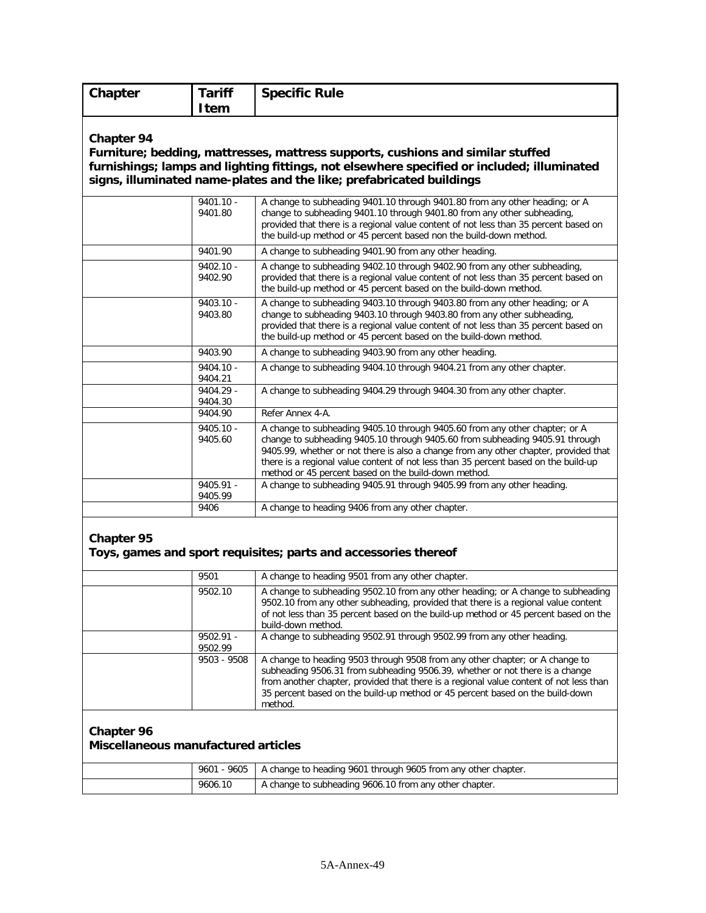| Chapter                                                  | <b>Tariff</b>          | <b>Specific Rule</b>                                                                                                                                                                                                                                                                                                                                                                               |
|----------------------------------------------------------|------------------------|----------------------------------------------------------------------------------------------------------------------------------------------------------------------------------------------------------------------------------------------------------------------------------------------------------------------------------------------------------------------------------------------------|
|                                                          | <b>Item</b>            |                                                                                                                                                                                                                                                                                                                                                                                                    |
| Chapter 94                                               |                        | Furniture; bedding, mattresses, mattress supports, cushions and similar stuffed<br>furnishings; lamps and lighting fittings, not elsewhere specified or included; illuminated<br>signs, illuminated name-plates and the like; prefabricated buildings                                                                                                                                              |
|                                                          | $9401.10 -$<br>9401.80 | A change to subheading 9401.10 through 9401.80 from any other heading; or A<br>change to subheading 9401.10 through 9401.80 from any other subheading,<br>provided that there is a regional value content of not less than 35 percent based on<br>the build-up method or 45 percent based non the build-down method.                                                                               |
|                                                          | 9401.90                | A change to subheading 9401.90 from any other heading.                                                                                                                                                                                                                                                                                                                                             |
|                                                          | $9402.10 -$<br>9402.90 | A change to subheading 9402.10 through 9402.90 from any other subheading,<br>provided that there is a regional value content of not less than 35 percent based on<br>the build-up method or 45 percent based on the build-down method.                                                                                                                                                             |
|                                                          | $9403.10 -$<br>9403.80 | A change to subheading 9403.10 through 9403.80 from any other heading; or A<br>change to subheading 9403.10 through 9403.80 from any other subheading,<br>provided that there is a regional value content of not less than 35 percent based on<br>the build-up method or 45 percent based on the build-down method.                                                                                |
|                                                          | 9403.90                | A change to subheading 9403.90 from any other heading.                                                                                                                                                                                                                                                                                                                                             |
|                                                          | $9404.10 -$<br>9404.21 | A change to subheading 9404.10 through 9404.21 from any other chapter.                                                                                                                                                                                                                                                                                                                             |
|                                                          | 9404.29 -              | A change to subheading 9404.29 through 9404.30 from any other chapter.                                                                                                                                                                                                                                                                                                                             |
|                                                          | 9404.30                |                                                                                                                                                                                                                                                                                                                                                                                                    |
|                                                          | 9404.90                | Refer Annex 4-A.                                                                                                                                                                                                                                                                                                                                                                                   |
|                                                          | $9405.10 -$<br>9405.60 | A change to subheading 9405.10 through 9405.60 from any other chapter; or A<br>change to subheading 9405.10 through 9405.60 from subheading 9405.91 through<br>9405.99, whether or not there is also a change from any other chapter, provided that<br>there is a regional value content of not less than 35 percent based on the build-up<br>method or 45 percent based on the build-down method. |
|                                                          | 9405.91 -<br>9405.99   | A change to subheading 9405.91 through 9405.99 from any other heading.                                                                                                                                                                                                                                                                                                                             |
|                                                          | 9406                   | A change to heading 9406 from any other chapter.                                                                                                                                                                                                                                                                                                                                                   |
| <b>Chapter 95</b>                                        | 9501                   | Toys, games and sport requisites; parts and accessories thereof<br>A change to heading 9501 from any other chapter.                                                                                                                                                                                                                                                                                |
|                                                          | 9502.10                | A change to subheading 9502.10 from any other heading; or A change to subheading                                                                                                                                                                                                                                                                                                                   |
|                                                          |                        | 9502.10 from any other subheading, provided that there is a regional value content<br>of not less than 35 percent based on the build-up method or 45 percent based on the<br>build-down method.                                                                                                                                                                                                    |
|                                                          | $9502.91 -$<br>9502.99 | A change to subheading 9502.91 through 9502.99 from any other heading.                                                                                                                                                                                                                                                                                                                             |
|                                                          | 9503 - 9508            | A change to heading 9503 through 9508 from any other chapter; or A change to<br>subheading 9506.31 from subheading 9506.39, whether or not there is a change<br>from another chapter, provided that there is a regional value content of not less than<br>35 percent based on the build-up method or 45 percent based on the build-down<br>method.                                                 |
| <b>Chapter 96</b><br>Miscellaneous manufactured articles |                        |                                                                                                                                                                                                                                                                                                                                                                                                    |
|                                                          | 9601 - 9605            | A change to heading 9601 through 9605 from any other chapter.                                                                                                                                                                                                                                                                                                                                      |
|                                                          | 9606.10                | A change to subheading 9606.10 from any other chapter.                                                                                                                                                                                                                                                                                                                                             |